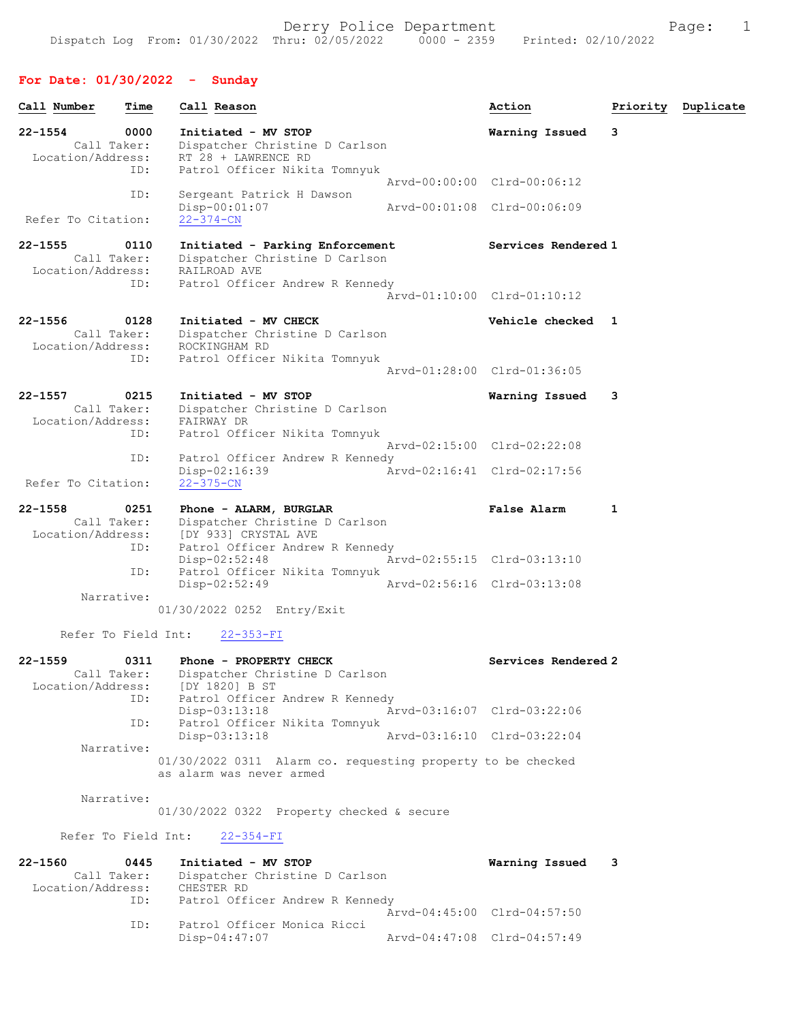## For Date: 01/30/2022 - Sunday

| Call Number                                     | Time        | Call Reason                                                                                                               | Action                      |   | Priority Duplicate |
|-------------------------------------------------|-------------|---------------------------------------------------------------------------------------------------------------------------|-----------------------------|---|--------------------|
| $22 - 1554$<br>Call Taker:<br>Location/Address: | 0000<br>ID: | Initiated - MV STOP<br>Dispatcher Christine D Carlson<br>RT 28 + LAWRENCE RD<br>Patrol Officer Nikita Tomnyuk             | Warning Issued              | 3 |                    |
|                                                 | ID:         | Sergeant Patrick H Dawson                                                                                                 | Arvd-00:00:00 Clrd-00:06:12 |   |                    |
| Refer To Citation:                              |             | $Disp-00:01:07$<br>$22 - 374 - CN$                                                                                        | Arvd-00:01:08 Clrd-00:06:09 |   |                    |
| $22 - 1555$<br>Call Taker:<br>Location/Address: | 0110        | Initiated - Parking Enforcement<br>Dispatcher Christine D Carlson<br>RAILROAD AVE                                         | Services Rendered 1         |   |                    |
|                                                 | ID:         | Patrol Officer Andrew R Kennedy                                                                                           | Arvd-01:10:00 Clrd-01:10:12 |   |                    |
| $22 - 1556$<br>Call Taker:<br>Location/Address: | 0128<br>ID: | Initiated - MV CHECK<br>Dispatcher Christine D Carlson<br>ROCKINGHAM RD<br>Patrol Officer Nikita Tomnyuk                  | Vehicle checked 1           |   |                    |
|                                                 |             |                                                                                                                           | Arvd-01:28:00 Clrd-01:36:05 |   |                    |
| 22-1557<br>Call Taker:<br>Location/Address:     | 0215<br>ID: | Initiated - MV STOP<br>Dispatcher Christine D Carlson<br>FAIRWAY DR<br>Patrol Officer Nikita Tomnyuk                      | Warning Issued              | 3 |                    |
|                                                 |             |                                                                                                                           | Arvd-02:15:00 Clrd-02:22:08 |   |                    |
| Refer To Citation:                              | ID:         | Patrol Officer Andrew R Kennedy<br>$Disp-02:16:39$<br>$22 - 375 - CN$                                                     | Arvd-02:16:41 Clrd-02:17:56 |   |                    |
| $22 - 1558$<br>Call Taker:<br>Location/Address: | 0251        | Phone - ALARM, BURGLAR<br>Dispatcher Christine D Carlson<br>[DY 933] CRYSTAL AVE                                          | <b>False Alarm</b>          | 1 |                    |
|                                                 | ID:<br>ID:  | Patrol Officer Andrew R Kennedy<br>$Disp-02:52:48$<br>Patrol Officer Nikita Tomnyuk                                       | Arvd-02:55:15 Clrd-03:13:10 |   |                    |
| Narrative:                                      |             | $Disp-02:52:49$                                                                                                           | Arvd-02:56:16 Clrd-03:13:08 |   |                    |
|                                                 |             | 01/30/2022 0252 Entry/Exit                                                                                                |                             |   |                    |
| Refer To Field Int:                             |             | $22 - 353 - FI$                                                                                                           |                             |   |                    |
| $22 - 1559$<br>Location/Address:                | 0311<br>ID: | Phone - PROPERTY CHECK<br>Call Taker: Dispatcher Christine D Carlson<br>[DY 1820] B ST<br>Patrol Officer Andrew R Kennedy | Services Rendered 2         |   |                    |
|                                                 |             | Disp-03:13:18                                                                                                             | Arvd-03:16:07 Clrd-03:22:06 |   |                    |
|                                                 | ID:         | Patrol Officer Nikita Tomnyuk<br>$Disp-03:13:18$                                                                          | Arvd-03:16:10 Clrd-03:22:04 |   |                    |
| Narrative:                                      |             | 01/30/2022 0311 Alarm co. requesting property to be checked<br>as alarm was never armed                                   |                             |   |                    |
| Narrative:                                      |             | $01/30/2022$ 0322 Property checked & secure                                                                               |                             |   |                    |
|                                                 |             | Refer To Field Int: 22-354-FI                                                                                             |                             |   |                    |
| $22 - 1560$                                     | 0445        | Initiated - MV STOP<br>Call Taker: Dispatcher Christine D Carlson                                                         | Warning Issued              | 3 |                    |

| Location/Address: | CHESTER RD                      |                             |  |
|-------------------|---------------------------------|-----------------------------|--|
| ID:               | Patrol Officer Andrew R Kennedy |                             |  |
|                   |                                 | Arvd-04:45:00 Clrd-04:57:50 |  |
| TD:               | Patrol Officer Monica Ricci     |                             |  |
|                   | Disp-04:47:07                   | Aryd-04:47:08 Clrd-04:57:49 |  |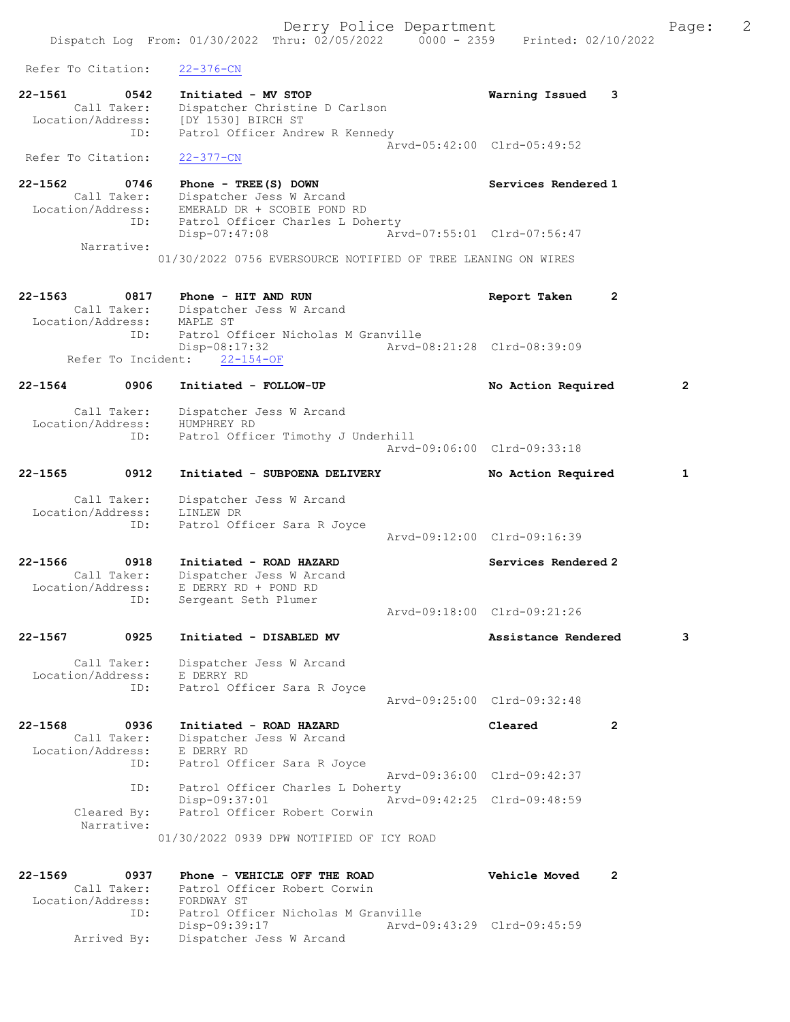Derry Police Department Fage: 2 Dispatch Log From: 01/30/2022 Thru: 02/05/2022 0000 - 2359 Printed: 02/10/2022 Refer To Citation: 22-376-CN 22-1561 0542 Initiated - MV STOP Warning Issued 3 Call Taker: Dispatcher Christine D Carlson Location/Address: [DY 1530] BIRCH ST ID: Patrol Officer Andrew R Kennedy Arvd-05:42:00 Clrd-05:49:52 Refer To Citation: 22-377-CN 22-1562 0746 Phone - TREE(S) DOWN Services Rendered 1 Call Taker: Dispatcher Jess W Arcand Location/Address: EMERALD DR + SCOBIE POND RD ID: Patrol Officer Charles L Doherty<br>Disp-07:47:08 Arve Disp-07:47:08 Arvd-07:55:01 Clrd-07:56:47 Narrative: 01/30/2022 0756 EVERSOURCE NOTIFIED OF TREE LEANING ON WIRES 22-1563 0817 Phone - HIT AND RUN Report Taken 2 Call Taker: Dispatcher Jess W Arcand Location/Address: MAPLE ST<br>D. Patrol O -- --<br>Patrol Officer Nicholas M Granville<br>Disp-08:17:32 Arvd-0 Disp-08:17:32 Arvd-08:21:28 Clrd-08:39:09 Refer To Incident: 22-154-OF 22-1564 0906 Initiated - FOLLOW-UP No Action Required 2 Call Taker: Dispatcher Jess W Arcand Location/Address: HUMPHREY RD ID: Patrol Officer Timothy J Underhill Arvd-09:06:00 Clrd-09:33:18 22-1565 0912 Initiated - SUBPOENA DELIVERY No Action Required 1 Call Taker: Dispatcher Jess W Arcand Location/Address: LINLEW DR ID: Patrol Officer Sara R Joyce Arvd-09:12:00 Clrd-09:16:39 22-1566 0918 Initiated - ROAD HAZARD Services Rendered 2 Call Taker: Dispatcher Jess W Arcand Location/Address: E DERRY RD + POND RD ID: Sergeant Seth Plumer Arvd-09:18:00 Clrd-09:21:26 22-1567 0925 Initiated - DISABLED MV Assistance Rendered 3 Call Taker: Dispatcher Jess W Arcand Location/Address: E DERRY RD ID: Patrol Officer Sara R Joyce Arvd-09:25:00 Clrd-09:32:48 22-1568 0936 Initiated - ROAD HAZARD Cleared 2 Call Taker: Dispatcher Jess W Arcand Location/Address: E DERRY RD ID: Patrol Officer Sara R Joyce Arvd-09:36:00 Clrd-09:42:37 ID: Patrol Officer Charles L Doherty<br>Disp-09:37:01 Arv Disp-09:37:01 Arvd-09:42:25 Clrd-09:48:59<br>Cleared By: Patrol Officer Robert Corwin Patrol Officer Robert Corwin Narrative: 01/30/2022 0939 DPW NOTIFIED OF ICY ROAD 22-1569 0937 Phone - VEHICLE OFF THE ROAD Vehicle Moved 2 Call Taker: Patrol Officer Robert Corwin Location/Address: FORDWAY ST ID: Patrol Officer Nicholas M Granville Disp-09:39:17 Arvd-09:43:29 Clrd-09:45:59

Arrived By: Dispatcher Jess W Arcand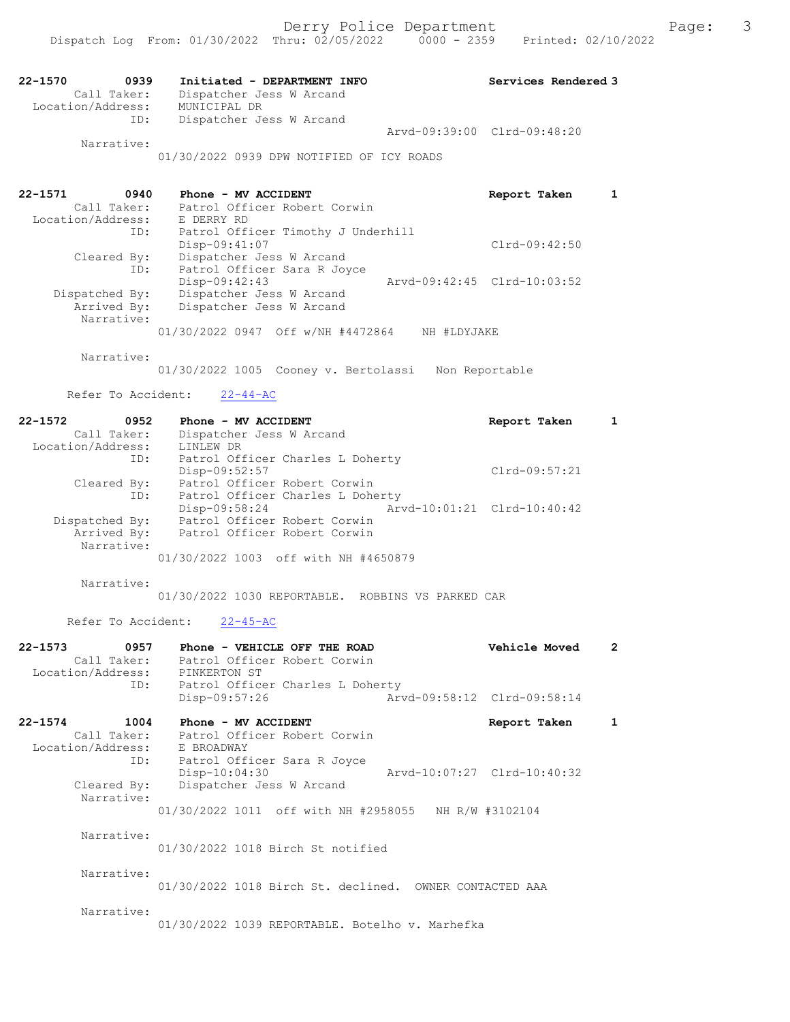| $22 - 1570$       | 0939        | Initiated - DEPARTMENT INFO |                             | Services Rendered 3 |
|-------------------|-------------|-----------------------------|-----------------------------|---------------------|
|                   | Call Taker: | Dispatcher Jess W Arcand    |                             |                     |
| Location/Address: |             | MUNICIPAL DR                |                             |                     |
|                   | ID:         | Dispatcher Jess W Arcand    |                             |                     |
|                   |             |                             | Arvd-09:39:00 Clrd-09:48:20 |                     |
|                   | Narrative:  |                             |                             |                     |

01/30/2022 0939 DPW NOTIFIED OF ICY ROADS

| 22-1571<br>0940   | Phone - MV ACCIDENT                              | Report Taken                |  |
|-------------------|--------------------------------------------------|-----------------------------|--|
| Call Taker:       | Patrol Officer Robert Corwin                     |                             |  |
| Location/Address: | E DERRY RD                                       |                             |  |
| ID:               | Patrol Officer Timothy J Underhill               |                             |  |
|                   | Disp-09:41:07                                    | $Clrd-09:42:50$             |  |
| Cleared By:       | Dispatcher Jess W Arcand                         |                             |  |
| ID:               | Patrol Officer Sara R Joyce                      |                             |  |
|                   | Disp-09:42:43                                    | Arvd-09:42:45 Clrd-10:03:52 |  |
| Dispatched By:    | Dispatcher Jess W Arcand                         |                             |  |
| Arrived By:       | Dispatcher Jess W Arcand                         |                             |  |
| Narrative:        |                                                  |                             |  |
|                   | 01/30/2022 0947 Off w/NH #4472864<br>NH #LDYJAKE |                             |  |

Narrative:

01/30/2022 1005 Cooney v. Bertolassi Non Reportable

#### Refer To Accident:  $22-44-AC$

| 22-1572<br>0952   | Phone - MV ACCIDENT                  | Report Taken                |  |
|-------------------|--------------------------------------|-----------------------------|--|
| Call Taker:       | Dispatcher Jess W Arcand             |                             |  |
| Location/Address: | LINLEW DR                            |                             |  |
| ID:               | Patrol Officer Charles L Doherty     |                             |  |
|                   | Disp-09:52:57                        | $Clrd-09:57:21$             |  |
| Cleared By:       | Patrol Officer Robert Corwin         |                             |  |
| ID:               | Patrol Officer Charles L Doherty     |                             |  |
|                   | Disp-09:58:24                        | Arvd-10:01:21 Clrd-10:40:42 |  |
| Dispatched By:    | Patrol Officer Robert Corwin         |                             |  |
| Arrived By:       | Patrol Officer Robert Corwin         |                             |  |
| Narrative:        |                                      |                             |  |
|                   | 01/30/2022 1003 off with NH #4650879 |                             |  |

Narrative:

01/30/2022 1030 REPORTABLE. ROBBINS VS PARKED CAR

Refer To Accident: 22-45-AC

| 0957<br>$22 - 1573$<br>Call Taker:<br>Location/Address: PINKERTON ST<br>ID: | Phone - VEHICLE OFF THE ROAD<br>Patrol Officer Robert Corwin<br>Patrol Officer Charles L Doherty                                   | Vehicle Moved | 2 |
|-----------------------------------------------------------------------------|------------------------------------------------------------------------------------------------------------------------------------|---------------|---|
|                                                                             | Disp-09:57:26<br>Arvd-09:58:12 Clrd-09:58:14                                                                                       |               |   |
| $22 - 1574$<br>1004<br>Location/Address: E BROADWAY                         | Phone - MV ACCIDENT<br>Call Taker: Patrol Officer Robert Corwin<br>ID:<br>Patrol Officer Sara R Joyce                              | Report Taken  | 1 |
| Cleared By:<br>Narrative:                                                   | Arvd-10:07:27 Clrd-10:40:32<br>$Disp-10:04:30$<br>Dispatcher Jess W Arcand<br>01/30/2022 1011 off with NH #2958055 NH R/W #3102104 |               |   |
| Narrative:                                                                  | 01/30/2022 1018 Birch St notified                                                                                                  |               |   |
| Narrative:                                                                  | 01/30/2022 1018 Birch St. declined. OWNER CONTACTED AAA                                                                            |               |   |
| Narrative:                                                                  |                                                                                                                                    |               |   |

01/30/2022 1039 REPORTABLE. Botelho v. Marhefka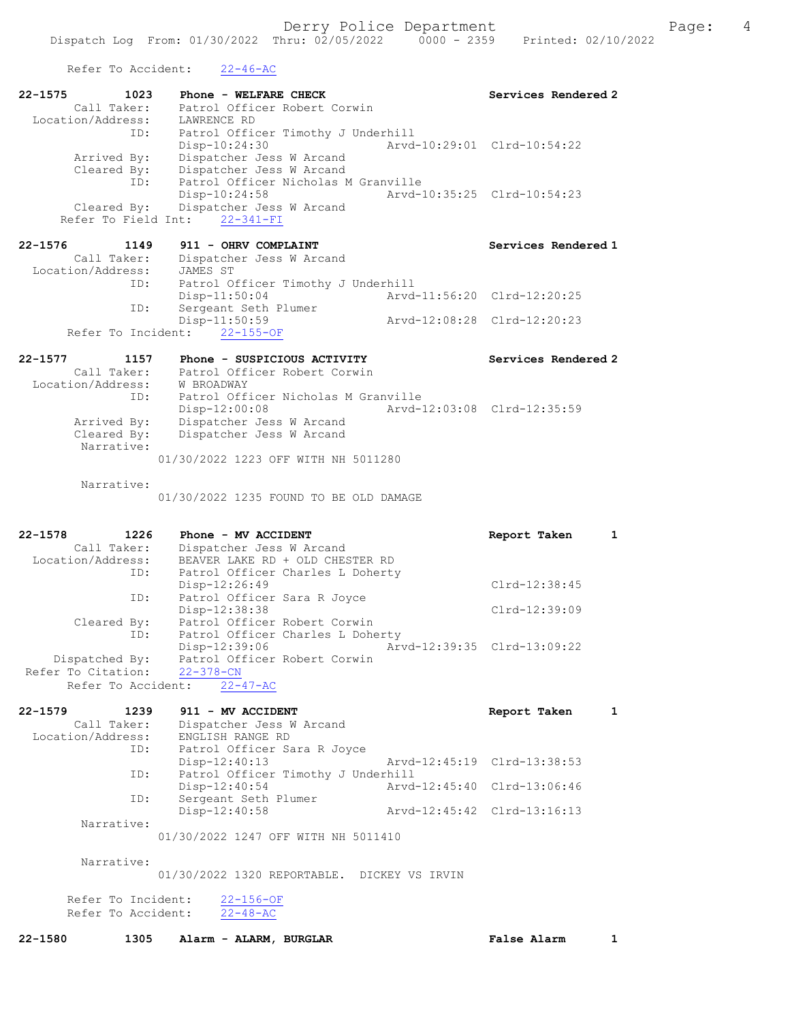Refer To Accident: 22-46-AC

Refer To Accident: 22-48-AC

| VATAT TO UPPTACHE.                                                | $22 - 70 - 70$                                                                                                                   |                                                            |
|-------------------------------------------------------------------|----------------------------------------------------------------------------------------------------------------------------------|------------------------------------------------------------|
| $22 - 1575$<br>1023<br>Call Taker:                                | Phone - WELFARE CHECK<br>Patrol Officer Robert Corwin                                                                            | Services Rendered 2                                        |
| Location/Address:<br>ID:<br>Arrived By:<br>Cleared By:            | LAWRENCE RD<br>Patrol Officer Timothy J Underhill<br>$Disp-10:24:30$<br>Dispatcher Jess W Arcand<br>Dispatcher Jess W Arcand     | Arvd-10:29:01 Clrd-10:54:22                                |
| ID:<br>Cleared By:<br>Refer To Field Int:                         | Patrol Officer Nicholas M Granville<br>Disp-10:24:58<br>Dispatcher Jess W Arcand<br>$22 - 341 - FI$                              | Arvd-10:35:25 Clrd-10:54:23                                |
| $22 - 1576$<br>1149<br>Call Taker:                                | 911 - OHRV COMPLAINT<br>Dispatcher Jess W Arcand                                                                                 | Services Rendered 1                                        |
| Location/Address:<br>ID:                                          | JAMES ST<br>Patrol Officer Timothy J Underhill                                                                                   |                                                            |
| ID:                                                               | $Disp-11:50:04$<br>Sergeant Seth Plumer<br>Disp-11:50:59                                                                         | Arvd-11:56:20 Clrd-12:20:25<br>Arvd-12:08:28 Clrd-12:20:23 |
|                                                                   | Refer To Incident: 22-155-OF                                                                                                     |                                                            |
| 22-1577<br>1157<br>Call Taker:<br>Location/Address:               | Phone - SUSPICIOUS ACTIVITY<br>Patrol Officer Robert Corwin<br>W BROADWAY                                                        | Services Rendered 2                                        |
| ID:<br>Arrived By:<br>Cleared By:                                 | Patrol Officer Nicholas M Granville<br>$Disp-12:00:08$<br>Dispatcher Jess W Arcand<br>Dispatcher Jess W Arcand                   | Arvd-12:03:08 Clrd-12:35:59                                |
| Narrative:                                                        | 01/30/2022 1223 OFF WITH NH 5011280                                                                                              |                                                            |
| Narrative:                                                        | 01/30/2022 1235 FOUND TO BE OLD DAMAGE                                                                                           |                                                            |
| $22 - 1578$<br>1226<br>Call Taker:<br>Location/Address:           | Phone - MV ACCIDENT<br>Dispatcher Jess W Arcand<br>BEAVER LAKE RD + OLD CHESTER RD                                               | $\mathbf{1}$<br>Report Taken                               |
| ID:<br>ID:                                                        | Patrol Officer Charles L Doherty<br>Disp-12:26:49<br>Patrol Officer Sara R Joyce                                                 | Clrd-12:38:45                                              |
| Cleared By:                                                       | Disp-12:38:38<br>Patrol Officer Robert Corwin                                                                                    | Clrd-12:39:09                                              |
| ID:<br>Dispatched By:<br>Refer To Citation:<br>Refer To Accident: | Patrol Officer Charles L Doherty<br>Disp-12:39:06 Arvd-12:39:35 Clrd-13:09:22<br>Patrol Officer Robert Corwin<br>$22 - 378 - CN$ |                                                            |
|                                                                   | $22 - 47 - AC$                                                                                                                   |                                                            |
| $22 - 1579$<br>1239<br>Call Taker:<br>Location/Address:<br>ID:    | 911 - MV ACCIDENT<br>Dispatcher Jess W Arcand<br>ENGLISH RANGE RD<br>Patrol Officer Sara R Joyce                                 | Report Taken<br>1                                          |
| ID:                                                               | $Disp-12:40:13$<br>Patrol Officer Timothy J Underhill                                                                            | Arvd-12:45:19<br>$Clrd-13:38:53$                           |
| ID:                                                               | Disp-12:40:54<br>Sergeant Seth Plumer                                                                                            | Arvd-12:45:40<br>Clrd-13:06:46                             |
| Narrative:                                                        | $Disp-12:40:58$                                                                                                                  | Arvd-12:45:42 Clrd-13:16:13                                |
|                                                                   | 01/30/2022 1247 OFF WITH NH 5011410                                                                                              |                                                            |
| Narrative:                                                        | 01/30/2022 1320 REPORTABLE. DICKEY VS IRVIN                                                                                      |                                                            |
| Refer To Incident:                                                | $22 - 156 - OF$                                                                                                                  |                                                            |

22-1580 1305 Alarm - ALARM, BURGLAR False Alarm 1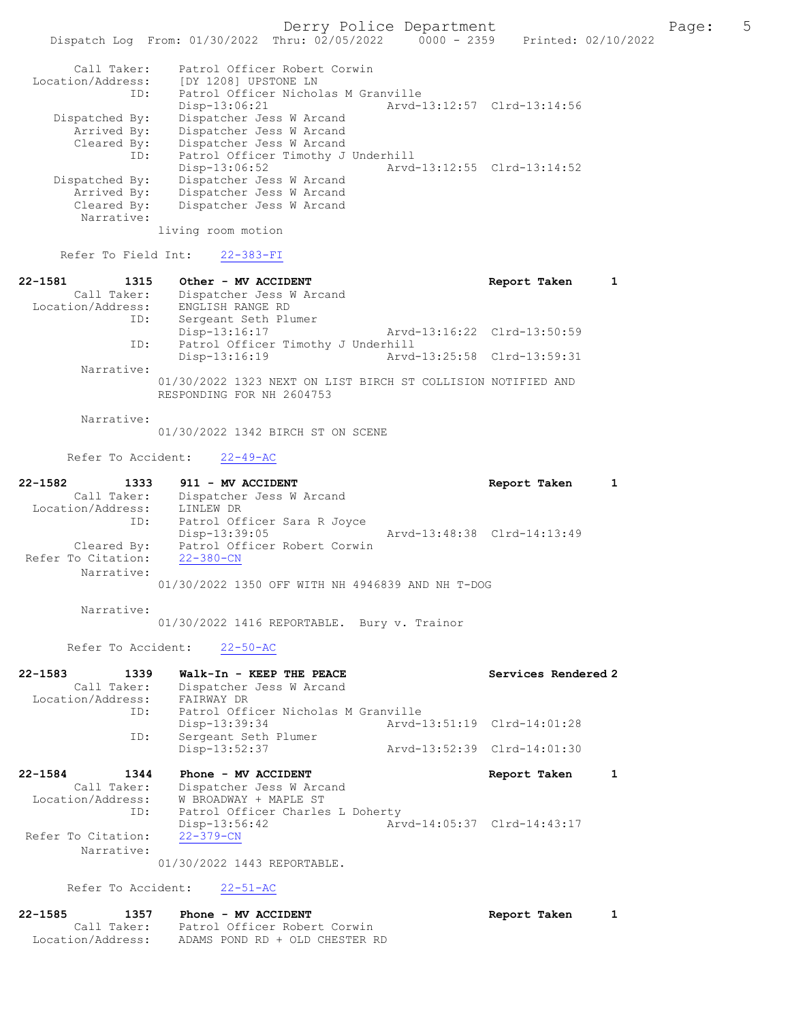Derry Police Department The Page: 5 Dispatch Log From: 01/30/2022 Thru: 02/05/2022 0000 - 2359 Printed: 02/10/2022 Call Taker: Patrol Officer Robert Corwin Location/Address: [DY 1208] UPSTONE LN ID: Patrol Officer Nicholas M Granville Disp-13:06:21 Arvd-13:12:57 Clrd-13:14:56 Dispatched By: Dispatcher Jess W Arcand Arrived By: Dispatcher Jess W Arcand Cleared By: Dispatcher Jess W Arcand ID: Patrol Officer Timothy J Underhill Disp-13:06:52 Arvd-13:12:55 Clrd-13:14:52 Dispatched By: Dispatcher Jess W Arcand Arrived By: Dispatcher Jess W Arcand<br>Cleared By: Dispatcher Jess W Arcand Dispatcher Jess W Arcand Narrative: living room motion Refer To Field Int: 22-383-FI 22-1581 1315 Other - MV ACCIDENT 1 22-1581 Report Taken 1 Call Taker: Dispatcher Jess W Arcand Location/Address: ENGLISH RANGE RD ID: Sergeant Seth Plumer Disp-13:16:17 Arvd-13:16:22 Clrd-13:50:59<br>ID: Patrol Officer Timothy J Underhill ID: Patrol Officer Timothy J Underhill Arvd-13:25:58 Clrd-13:59:31 Narrative: 01/30/2022 1323 NEXT ON LIST BIRCH ST COLLISION NOTIFIED AND RESPONDING FOR NH 2604753 Narrative: 01/30/2022 1342 BIRCH ST ON SCENE Refer To Accident: 22-49-AC 22-1582 1333 911 - MV ACCIDENT Report Taken 1 Call Taker: Dispatcher Jess W Arcand Location/Address: LINLEW DR ID: Patrol Officer Sara R Joyce<br>Disp-13:39:05 Disp-13:39:05 Arvd-13:48:38 Clrd-14:13:49 Cleared By: Patrol Officer Robert Corwin<br>To Citation: 22-380-CN Refer To Citation: Narrative: 01/30/2022 1350 OFF WITH NH 4946839 AND NH T-DOG Narrative: 01/30/2022 1416 REPORTABLE. Bury v. Trainor Refer To Accident: 22-50-AC 22-1583 1339 Walk-In - KEEP THE PEACE Services Rendered 2 Call Taker: Dispatcher Jess W Arcand Location/Address: FAIRWAY DR ID: Patrol Officer Nicholas M Granville<br>Disp-13:39:34 Arvd-13:51:19 Clrd-14:01:28 Disp-13:39:34<br>ID: Sergeant Seth Plumer ---.<br>Sergeant Seth Plumer<br>Disp-13:52:37 Disp-13:52:37 Arvd-13:52:39 Clrd-14:01:30 22-1584 1344 Phone - MV ACCIDENT Report Taken 1 Call Taker: Dispatcher Jess W Arcand<br>Location/Address: W BROADWAY + MAPLE ST ess: W BROADWAY + MAPLE ST<br>ID: Patrol Officer Charles Patrol Officer Charles L Doherty<br>Disp-13:56:42 Ar Disp-13:56:42 Arvd-14:05:37 Clrd-14:43:17 Refer To Citation: Narrative: 01/30/2022 1443 REPORTABLE. Refer To Accident: 22-51-AC 22-1585 1357 Phone - MV ACCIDENT 1 22-1585 Report Taken 1 Call Taker: Patrol Officer Robert Corwin

Location/Address: ADAMS POND RD + OLD CHESTER RD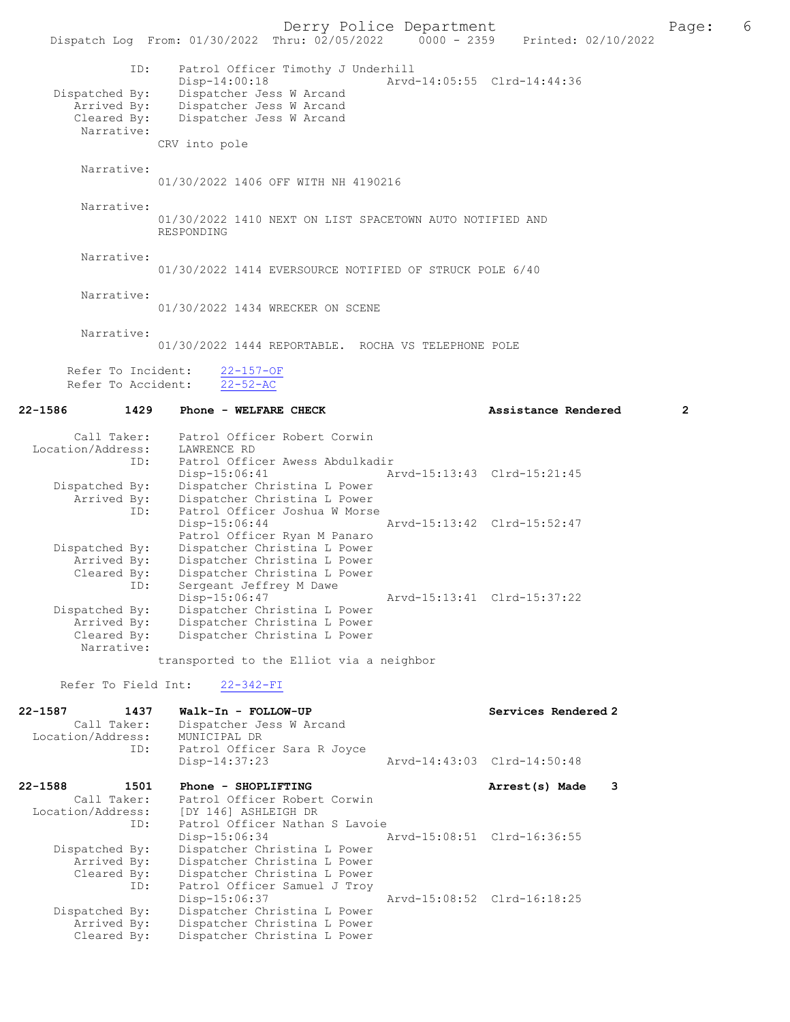Derry Police Department Page: 6 Dispatch Log From: 01/30/2022 Thru: 02/05/2022 ID: Patrol Officer Timothy J Underhill Disp-14:00:18 Arvd-14:05:55 Clrd-14:44:36<br>Dispatched By: Dispatcher Jess W Arcand patched By: Dispatcher Jess W Arcand<br>Arrived By: Dispatcher Jess W Arcand Arrived By: Dispatcher Jess W Arcand<br>Cleared By: Dispatcher Jess W Arcand Dispatcher Jess W Arcand Narrative: CRV into pole Narrative: 01/30/2022 1406 OFF WITH NH 4190216 Narrative: 01/30/2022 1410 NEXT ON LIST SPACETOWN AUTO NOTIFIED AND RESPONDING Narrative: 01/30/2022 1414 EVERSOURCE NOTIFIED OF STRUCK POLE 6/40 Narrative: 01/30/2022 1434 WRECKER ON SCENE Narrative: 01/30/2022 1444 REPORTABLE. ROCHA VS TELEPHONE POLE Refer To Incident: 22-157-OF Refer To Accident: 22-52-AC 22-1586 1429 Phone - WELFARE CHECK 2 Assistance Rendered 2 Call Taker: Patrol Officer Robert Corwin<br>ion/Address: LAWRENCE RD Location/Address:<br>TD: -<br>Patrol Officer Awess Abdulkadir<br>Disp-15:06:41 Al Disp-15:06:41 Arvd-15:13:43 Clrd-15:21:45 Dispatched By: Dispatcher Christina L Power By: Dispatcher Christina L Power<br>ID: Patrol Officer Joshua W Mors Patrol Officer Joshua W Morse<br>Disp-15:06:44 Arvd-15:13:42 Clrd-15:52:47 Patrol Officer Ryan M Panaro<br>Dispatched By: Dispatcher Christina L Power Dispatcher Christina L Power Arrived By: Dispatcher Christina L Power<br>Cleared By: Dispatcher Christina L Power Dispatcher Christina L Power ID: Sergeant Jeffrey M Dawe<br>Disp-15:06:47 Disp-15:06:47<br>Dispatched By: Dispatcher Christina L Power<br>Dispatched By: Dispatcher Christina L Power patched By: Dispatcher Christina L Power<br>Arrived By: Dispatcher Christina L Power Arrived By: Dispatcher Christina L Power<br>Cleared By: Dispatcher Christina L Power Dispatcher Christina L Power Narrative: transported to the Elliot via a neighbor Refer To Field Int: 22-342-FI 22-1587 1437 Walk-In - FOLLOW-UP Services Rendered 2<br>Call Taker: Dispatcher Jess W Arcand Dispatcher Jess W Arcand<br>MUNICIPAL DR Location/Address: ID: Patrol Officer Sara R Joyce Disp-14:37:23 Arvd-14:43:03 Clrd-14:50:48 22-1588 1501 Phone - SHOPLIFTING 1990 1508 Arrest(s) Made 3 Call Taker: Patrol Officer Robert Corwin<br>Location/Address: [DY 146] ASHLEIGH DR Location/Address: [DY 146] ASHLEIGH DR ID: Patrol Officer Nathan S Lavoie Disp-15:06:34 Arvd-15:08:51 Clrd-16:36:55<br>Dispatched By: Dispatcher Christina L Power patched By: Dispatcher Christina L Power<br>Arrived By: Dispatcher Christina L Power Dispatcher Christina L Power Cleared By: Dispatcher Christina L Power<br>ID: Patrol Officer Samuel J Trov Patrol Officer Samuel J Troy Disp-15:06:37 Arvd-15:08:52 Clrd-16:18:25 Dispatched By: Dispatcher Christina L Power<br>Arrived By: Dispatcher Christina L Power Dispatcher Christina L Power Cleared By: Dispatcher Christina L Power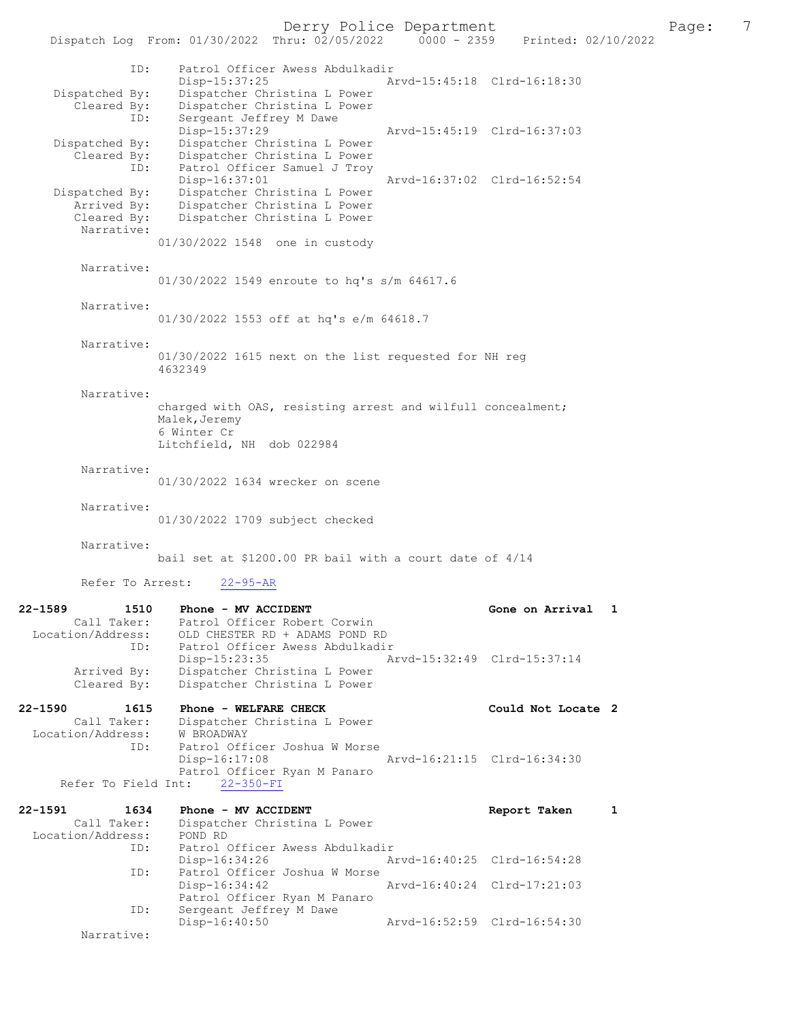Derry Police Department<br>
Page: 7<br>
Printed: 02/10/2022<br>
Printed: 02/10/2022

Dispatch Log From: 01/30/2022 Thru: 02/05/2022 ID: Patrol Officer Awess Abdulkadir Disp-15:37:25 Arvd-15:45:18 Clrd-16:18:30<br>Dispatched By: Dispatcher Christina L Power patched By: Dispatcher Christina L Power<br>Cleared By: Dispatcher Christina L Power By: Dispatcher Christina L Power<br>TD: Sergeant Jeffrey M Dawe Sergeant Jeffrey M Dawe<br>Disp-15:37:29 Disp-15:37:29 Arvd-15:45:19 Clrd-16:37:03<br>Dispatched By: Dispatcher Christina L Power Dispatcher Christina L Power Cleared By: Dispatcher Christina L Power Patrol Officer Samuel J Troy<br>Disp-16:37:01 Disp-16:37:01 Arvd-16:37:02 Clrd-16:52:54<br>Dispatched By: Dispatcher Christina L Power patched By: Dispatcher Christina L Power<br>Arrived By: Dispatcher Christina L Power Dispatcher Christina L Power Cleared By: Dispatcher Christina L Power Narrative: 01/30/2022 1548 one in custody Narrative: 01/30/2022 1549 enroute to hq's s/m 64617.6 Narrative: 01/30/2022 1553 off at hq's e/m 64618.7 Narrative: 01/30/2022 1615 next on the list requested for NH reg 4632349 Narrative: charged with OAS, resisting arrest and wilfull concealment; Malek, Jeremy 6 Winter Cr Litchfield, NH dob 022984 Narrative: 01/30/2022 1634 wrecker on scene Narrative: 01/30/2022 1709 subject checked Narrative: bail set at \$1200.00 PR bail with a court date of 4/14 Refer To Arrest: 22-95-AR 22-1589 1510 Phone - MV ACCIDENT Gone on Arrival 1 Call Taker: Patrol Officer Robert Corwin Location/Address: OLD CHESTER RD + ADAMS POND RD ID: Patrol Officer Awess Abdulkadir Disp-15:23:35 Arvd-15:32:49 Clrd-15:37:14 Arrived By: Dispatcher Christina L Power Cleared By: Dispatcher Christina L Power 22-1590 1615 Phone - WELFARE CHECK Could Not Locate 2<br>Call Taker: Dispatcher Christina L Power Dispatcher Christina L Power<br>W BROADWAY Location/Address:<br>ID: Patrol Officer Joshua W Morse<br>Disp-16:17:08 Disp-16:17:08 Arvd-16:21:15 Clrd-16:34:30 Patrol Officer Ryan M Panaro Refer To Field Int: 22-350-FI 22-1591 1634 Phone - MV ACCIDENT 1634 Phone - MV ACCIDENT Report Taken 1<br>Call Taker: Dispatcher Christina L Power Dispatcher Christina L Power<br>POND RD Location/Address: ID: Patrol Officer Awess Abdulkadir Disp-16:34:26 Arvd-16:40:25 Clrd-16:54:28<br>TD: Patrol Officer Joshua W Morse Patrol Officer Joshua W Morse<br>Disp-16:34:42 Arvd-16:40:24 Clrd-17:21:03 Patrol Officer Ryan M Panaro<br>ID: Sergeant Jeffrey M Dawe Sergeant Jeffrey M Dawe Disp-16:40:50 Arvd-16:52:59 Clrd-16:54:30 Narrative: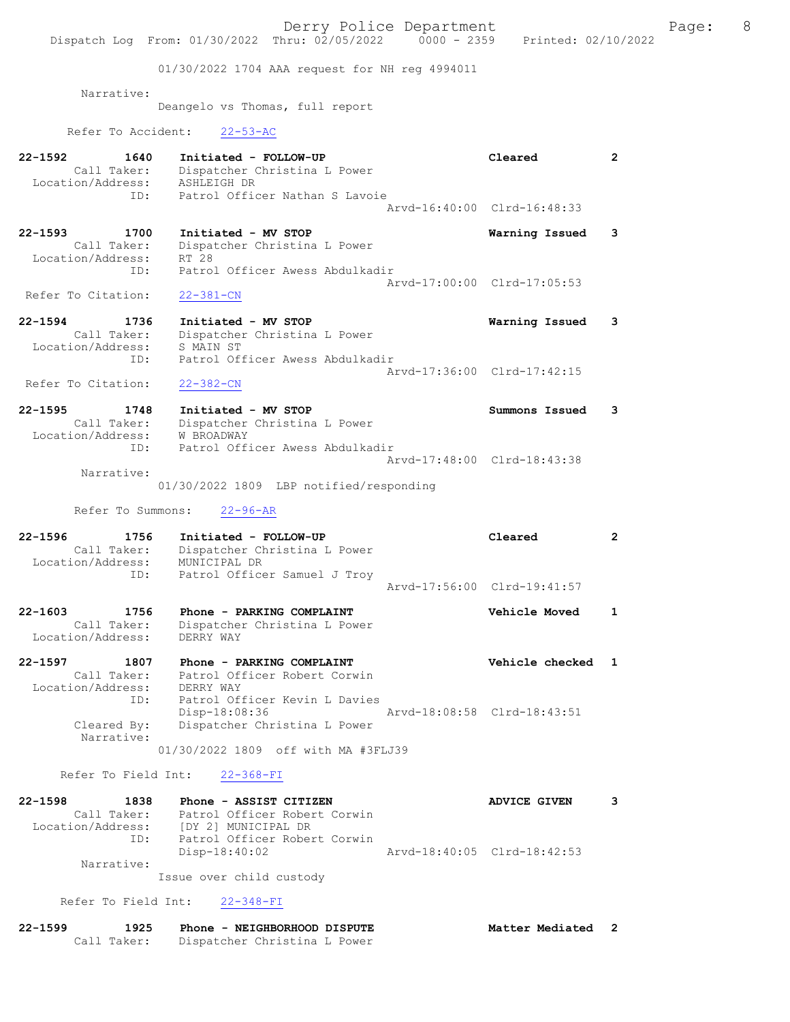01/30/2022 1704 AAA request for NH reg 4994011

Narrative:

Deangelo vs Thomas, full report

Refer To Accident: 22-53-AC

| 22-1592<br>1640<br>Call Taker:<br>Location/Address:            | Initiated - FOLLOW-UP<br>Dispatcher Christina L Power<br>ASHLEIGH DR                                    | Cleared                     | $\mathbf{2}^{\circ}$ |
|----------------------------------------------------------------|---------------------------------------------------------------------------------------------------------|-----------------------------|----------------------|
| ID:                                                            | Patrol Officer Nathan S Lavoie                                                                          | Arvd-16:40:00 Clrd-16:48:33 |                      |
| $22 - 1593$<br>1700<br>Call Taker:<br>Location/Address:        | Initiated - MV STOP<br>Dispatcher Christina L Power<br>RT 28                                            | Warning Issued              | 3                    |
| ID:<br>Refer To Citation:                                      | Patrol Officer Awess Abdulkadir<br>$22 - 381 - CN$                                                      | Arvd-17:00:00 Clrd-17:05:53 |                      |
| $22 - 1594$<br>1736<br>Call Taker:<br>Location/Address:        | Initiated - MV STOP<br>Dispatcher Christina L Power<br>S MAIN ST                                        | Warning Issued              | 3                    |
| ID:<br>Refer To Citation:                                      | Patrol Officer Awess Abdulkadir<br>$22 - 382 - CN$                                                      | Arvd-17:36:00 Clrd-17:42:15 |                      |
| $22 - 1595$<br>1748<br>Call Taker:<br>Location/Address:        | Initiated - MV STOP<br>Dispatcher Christina L Power<br>W BROADWAY                                       | Summons Issued              | 3                    |
| ID:<br>Narrative:                                              | Patrol Officer Awess Abdulkadir                                                                         | Arvd-17:48:00 Clrd-18:43:38 |                      |
| Refer To Summons:                                              | 01/30/2022 1809 LBP notified/responding<br>$22 - 96 - AR$                                               |                             |                      |
| 22-1596                                                        |                                                                                                         |                             |                      |
| 1756<br>Call Taker:<br>Location/Address:<br>ID:                | Initiated - FOLLOW-UP<br>Dispatcher Christina L Power<br>MUNICIPAL DR<br>Patrol Officer Samuel J Troy   | Cleared                     | $\overline{2}$       |
|                                                                |                                                                                                         | Arvd-17:56:00 Clrd-19:41:57 |                      |
| $22 - 1603$<br>1756<br>Call Taker:<br>Location/Address:        | Phone - PARKING COMPLAINT<br>Dispatcher Christina L Power<br>DERRY WAY                                  | <b>Vehicle Moved</b>        | $\mathbf{1}$         |
| $22 - 1597$<br>1807<br>Call Taker:<br>Location/Address:<br>ID: | Phone - PARKING COMPLAINT<br>Patrol Officer Robert Corwin<br>DERRY WAY<br>Patrol Officer Kevin L Davies | Vehicle checked             | $\mathbf{1}$         |
| Cleared By:<br>Narrative:                                      | Disp-18:08:36<br>Dispatcher Christina L Power<br>01/30/2022 1809 off with MA #3FLJ39                    | Arvd-18:08:58 Clrd-18:43:51 |                      |
| Refer To Field Int:                                            | $22 - 368 - FI$                                                                                         |                             |                      |
| $22 - 1598$<br>1838                                            | Phone - ASSIST CITIZEN                                                                                  | <b>ADVICE GIVEN</b>         | 3                    |

| 22-1330 | 1030              | FRONE - ASSISI CIIIZEN       | ADVICE GIVEN                |  |
|---------|-------------------|------------------------------|-----------------------------|--|
|         | Call Taker:       | Patrol Officer Robert Corwin |                             |  |
|         | Location/Address: | [DY 2] MUNICIPAL DR          |                             |  |
|         | TD:               | Patrol Officer Robert Corwin |                             |  |
|         |                   | Disp-18:40:02                | Arvd-18:40:05 Clrd-18:42:53 |  |
|         | Narrative:        |                              |                             |  |

Issue over child custody

Refer To Field Int: 22-348-FI

| $22 - 1599$ | 1925        | Phone - NEIGHBORHOOD DISPUTE | Matter Mediated |  |
|-------------|-------------|------------------------------|-----------------|--|
|             | Call Taker: | Dispatcher Christina L Power |                 |  |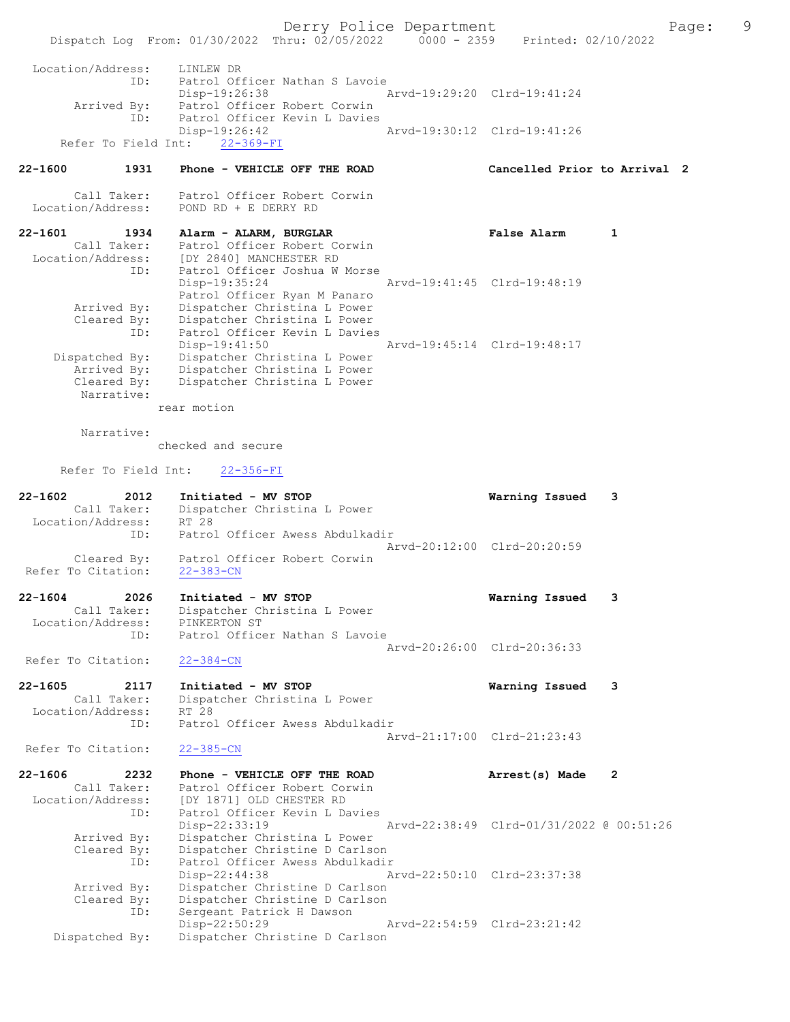Derry Police Department Fage: 9 Dispatch Log From: 01/30/2022 Thru: 02/05/2022 0000 - 2359 Printed: 02/10/2022 Location/Address: LINLEW DR ID: Patrol Officer Nathan S Lavoie Disp-19:26:38 Arvd-19:29:20 Clrd-19:41:24 Arrived By: Patrol Officer Robert Corwin ID: Patrol Officer Kevin L Davies Disp-19:26:42 Arvd-19:30:12 Clrd-19:41:26 Refer To Field Int: 22-369-FI 22-1600 1931 Phone - VEHICLE OFF THE ROAD Cancelled Prior to Arrival 2 Call Taker: Patrol Officer Robert Corwin Location/Address: POND RD + E DERRY RD 22-1601 1934 Alarm - ALARM, BURGLAR False Alarm 1 Call Taker: Patrol Officer Robert Corwin Location/Address: [DY 2840] MANCHESTER RD ID: Patrol Officer Joshua W Morse Disp-19:35:24 Arvd-19:41:45 Clrd-19:48:19 Patrol Officer Ryan M Panaro Arrived By: Dispatcher Christina L Power Cleared By: Dispatcher Christina L Power ID: Patrol Officer Kevin L Davies Disp-19:41:50 Arvd-19:45:14 Clrd-19:48:17 Dispatched By: Dispatcher Christina L Power Arrived By: Dispatcher Christina L Power Cleared By: Dispatcher Christina L Power Narrative: rear motion Narrative: checked and secure Refer To Field Int: 22-356-FI 22-1602 2012 Initiated - MV STOP Warning Issued 3 Call Taker: Dispatcher Christina L Power Location/Address: RT 28 ID: Patrol Officer Awess Abdulkadir Arvd-20:12:00 Clrd-20:20:59 Cleared By: Patrol Officer Robert Corwin Refer To Citation: 22-383-CN 22-1604 2026 Initiated - MV STOP Warning Issued 3 Call Taker: Dispatcher Christina L Power Location/Address: PINKERTON ST ID: Patrol Officer Nathan S Lavoie Arvd-20:26:00 Clrd-20:36:33 Refer To Citation: 22-384-CN 22-1605 2117 Initiated - MV STOP Warning Issued 3 Call Taker: Dispatcher Christina L Power Location/Address: RT 28 ID: Patrol Officer Awess Abdulkadir Arvd-21:17:00 Clrd-21:23:43<br>22-385-CN Refer To Citation: 22-1606 2232 Phone - VEHICLE OFF THE ROAD Arrest(s) Made 2 Call Taker: Patrol Officer Robert Corwin Location/Address: [DY 1871] OLD CHESTER RD ID: Patrol Officer Kevin L Davies Disp-22:33:19 Arvd-22:38:49 Clrd-01/31/2022 @ 00:51:26 Arrived By: Dispatcher Christina L Power Cleared By: Dispatcher Christine D Carlson ID: Patrol Officer Awess Abdulkadir Disp-22:44:38 Arvd-22:50:10 Clrd-23:37:38

 Arrived By: Dispatcher Christine D Carlson Cleared By: Dispatcher Christine D Carlson ID: Sergeant Patrick H Dawson Disp-22:50:29 Arvd-22:54:59 Clrd-23:21:42 Dispatched By: Dispatcher Christine D Carlson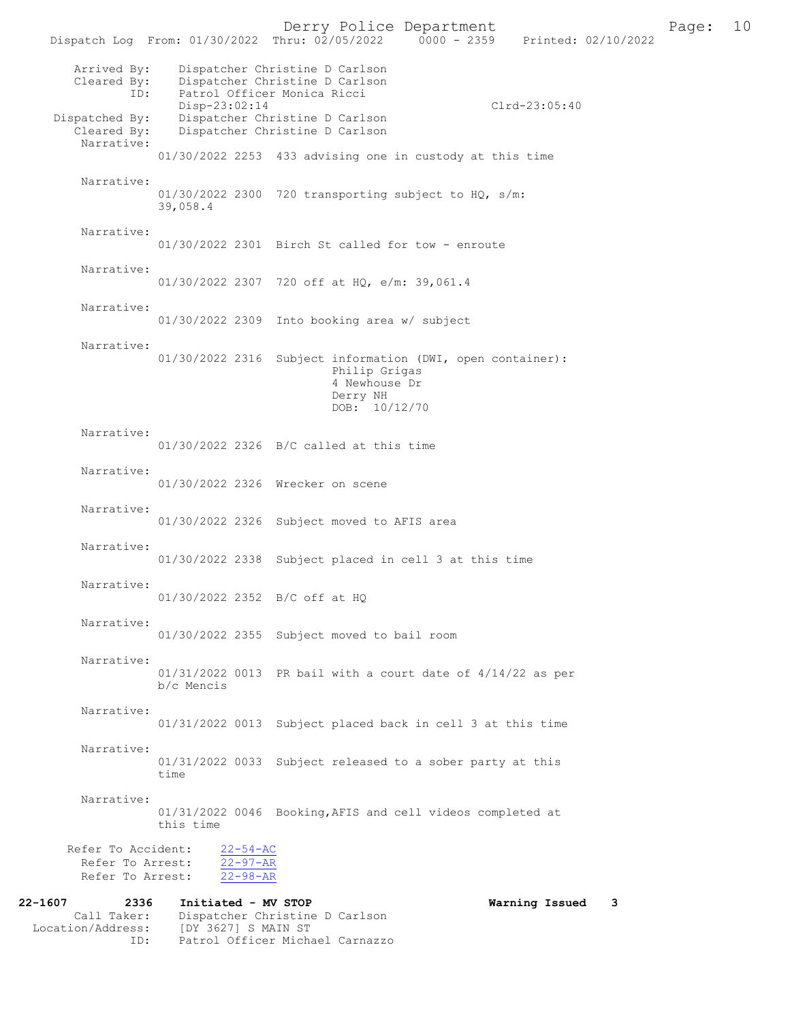Dispatch Log From: 01/30/2022 Thru: 02/05/2022 Arrived By: Dispatcher Christine D Carlson Cleared By: Dispatcher Christine D Carlson ID: Patrol Officer Monica Ricci Disp-23:02:14 Clrd-23:05:40<br>Dispatched By: Dispatcher Christine D Carlson patched By: Dispatcher Christine D Carlson<br>Cleared By: Dispatcher Christine D Carlson Dispatcher Christine D Carlson Narrative: 01/30/2022 2253 433 advising one in custody at this time Narrative: 01/30/2022 2300 720 transporting subject to HO, s/m: 39,058.4 Narrative: 01/30/2022 2301 Birch St called for tow - enroute Narrative: 01/30/2022 2307 720 off at HQ, e/m: 39,061.4 Narrative: 01/30/2022 2309 Into booking area w/ subject Narrative: 01/30/2022 2316 Subject information (DWI, open container): Philip Grigas 4 Newhouse Dr Derry NH DOB: 10/12/70 Narrative: 01/30/2022 2326 B/C called at this time Narrative: 01/30/2022 2326 Wrecker on scene Narrative: 01/30/2022 2326 Subject moved to AFIS area Narrative: 01/30/2022 2338 Subject placed in cell 3 at this time Narrative: 01/30/2022 2352 B/C off at HQ Narrative: 01/30/2022 2355 Subject moved to bail room Narrative: 01/31/2022 0013 PR bail with a court date of 4/14/22 as per b/c Mencis Narrative: 01/31/2022 0013 Subject placed back in cell 3 at this time Narrative: 01/31/2022 0033 Subject released to a sober party at this time Narrative: 01/31/2022 0046 Booking,AFIS and cell videos completed at this time Refer To Accident:  $\frac{22-54-AC}{22-97-AR}$ Refer To Arrest:  $\frac{22-97-AR}{22-98-AR}$ Refer To Arrest: 22-1607 2336 Initiated - MV STOP Warning Issued 3 Call Taker: Dispatcher Christine D Carlson Location/Address: [DY 3627] S MAIN ST ID: Patrol Officer Michael Carnazzo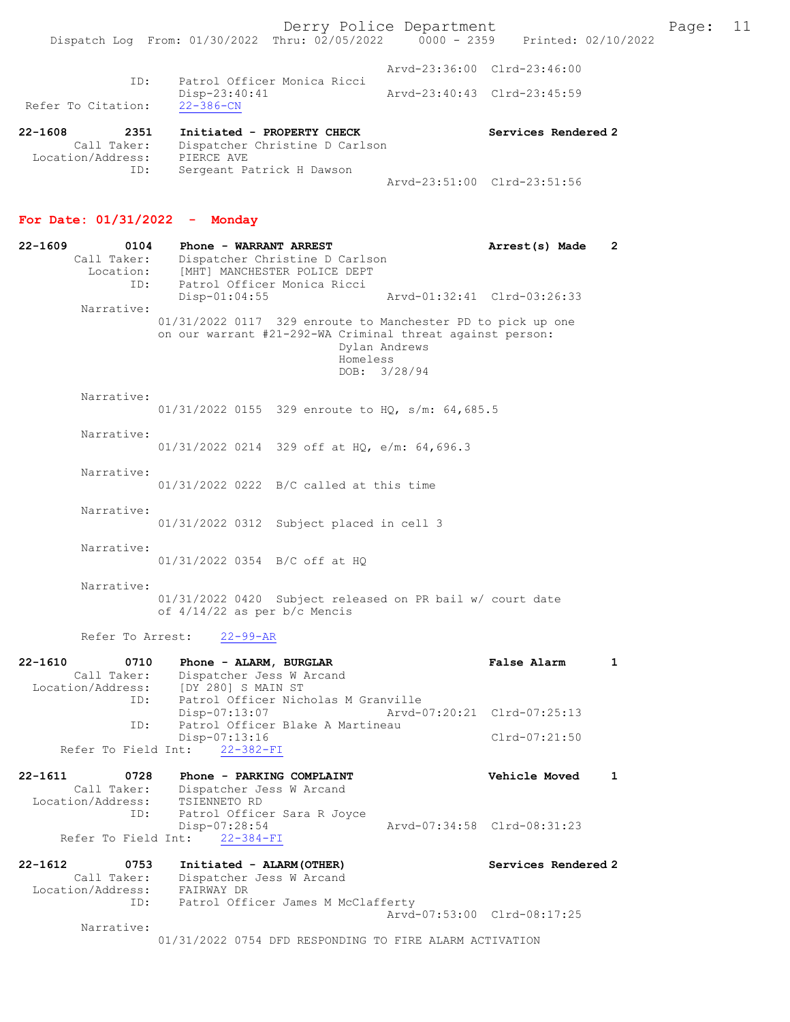Derry Police Department Page: 11

Arvd-23:51:00 Clrd-23:51:56

|                                                     | Dispatch Log From: 01/30/2022 Thru: 02/05/2022                             | 0000 - 2359 Printed: 02/10/2022 |
|-----------------------------------------------------|----------------------------------------------------------------------------|---------------------------------|
|                                                     |                                                                            | Aryd-23:36:00 Clrd-23:46:00     |
| ID:<br>Refer To Citation:                           | Patrol Officer Monica Ricci<br>$Disp-23:40:41$<br>$22 - 386 - CN$          | Arvd-23:40:43 Clrd-23:45:59     |
| 22-1608<br>2351<br>Call Taker:<br>Location/Address: | Initiated - PROPERTY CHECK<br>Dispatcher Christine D Carlson<br>PIERCE AVE | Services Rendered 2             |

# For Date: 01/31/2022 - Monday

ID: Sergeant Patrick H Dawson

| 22-1609     | 0104<br>Call Taker:<br>Location: | Phone - WARRANT ARREST<br>Dispatcher Christine D Carlson<br>[MHT] MANCHESTER POLICE DEPT                                                                              | Arrest(s) Made              | $\mathbf{2}$ |
|-------------|----------------------------------|-----------------------------------------------------------------------------------------------------------------------------------------------------------------------|-----------------------------|--------------|
|             | ID:                              | Patrol Officer Monica Ricci<br>$Disp-01:04:55$                                                                                                                        | Arvd-01:32:41 Clrd-03:26:33 |              |
|             | Narrative:                       | 01/31/2022 0117 329 enroute to Manchester PD to pick up one<br>on our warrant #21-292-WA Criminal threat against person:<br>Dylan Andrews<br>Homeless<br>DOB: 3/28/94 |                             |              |
|             | Narrative:                       | 01/31/2022 0155 329 enroute to HQ, s/m: 64,685.5                                                                                                                      |                             |              |
|             | Narrative:                       | $01/31/2022$ 0214 329 off at HQ, e/m: 64,696.3                                                                                                                        |                             |              |
|             | Narrative:                       | $01/31/2022$ 0222 B/C called at this time                                                                                                                             |                             |              |
|             | Narrative:                       | 01/31/2022 0312 Subject placed in cell 3                                                                                                                              |                             |              |
|             | Narrative:                       | 01/31/2022 0354 B/C off at HQ                                                                                                                                         |                             |              |
|             | Narrative:                       | 01/31/2022 0420 Subject released on PR bail w/ court date<br>of 4/14/22 as per b/c Mencis                                                                             |                             |              |
|             | Refer To Arrest:                 | $22 - 99 - AR$                                                                                                                                                        |                             |              |
| $22 - 1610$ | 0710<br>Call Taker:<br>ID:       | Phone - ALARM, BURGLAR<br>Dispatcher Jess W Arcand<br>Location/Address: [DY 280] S MAIN ST<br>Patrol Officer Nicholas M Granville                                     | False Alarm                 | $\mathbf{1}$ |
|             | ID:                              | Disp-07:13:07<br>Arvd-07:20:21 Clrd-07:25:13<br>Patrol Officer Blake A Martineau                                                                                      |                             |              |
|             |                                  | Disp-07:13:16<br>Refer To Field Int: 22-382-FI                                                                                                                        | $Clrd-07:21:50$             |              |
| $22 - 1611$ | 0728                             | Phone - PARKING COMPLAINT                                                                                                                                             | <b>Vehicle Moved</b>        | 1            |
|             | Call Taker:<br>Location/Address: | Dispatcher Jess W Arcand<br>TSIENNETO RD                                                                                                                              |                             |              |
|             | ID:                              | Patrol Officer Sara R Joyce<br>Disp-07:28:54                                                                                                                          | Arvd-07:34:58 Clrd-08:31:23 |              |
|             | Refer To Field Int:              | $22 - 384 - FI$                                                                                                                                                       |                             |              |
| $22 - 1612$ | 0753                             | Initiated - ALARM (OTHER)                                                                                                                                             | Services Rendered 2         |              |
|             | Call Taker:<br>Location/Address: | Dispatcher Jess W Arcand<br>FAIRWAY DR                                                                                                                                |                             |              |
|             | ID:                              | Patrol Officer James M McClafferty                                                                                                                                    | Arvd-07:53:00 Clrd-08:17:25 |              |
|             | Narrative:                       |                                                                                                                                                                       |                             |              |

01/31/2022 0754 DFD RESPONDING TO FIRE ALARM ACTIVATION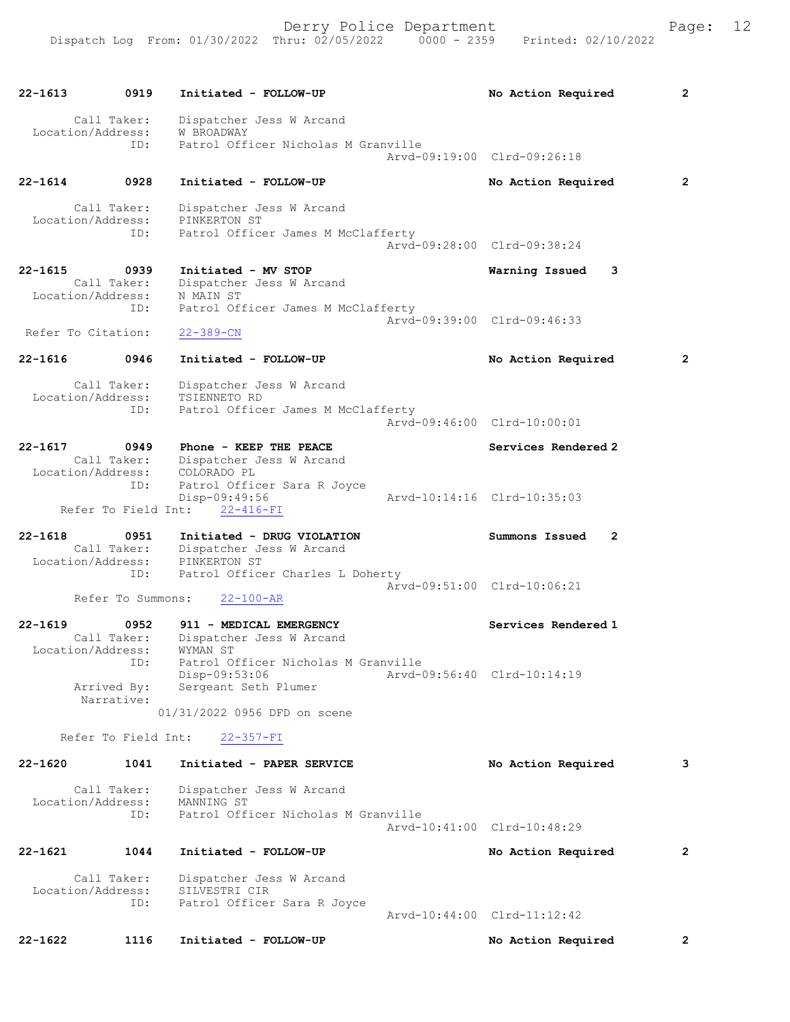| $22 - 1613$                      | 0919                     | Initiated - FOLLOW-UP                                                                    | No Action Required                                | $\mathbf{2}$   |
|----------------------------------|--------------------------|------------------------------------------------------------------------------------------|---------------------------------------------------|----------------|
| Location/Address:                | Call Taker:<br>ID:       | Dispatcher Jess W Arcand<br>W BROADWAY<br>Patrol Officer Nicholas M Granville            | Arvd-09:19:00 Clrd-09:26:18                       |                |
| $22 - 1614$                      | 0928                     | Initiated - FOLLOW-UP                                                                    | No Action Required                                | $\overline{2}$ |
| Location/Address:                | Call Taker:<br>ID:       | Dispatcher Jess W Arcand<br>PINKERTON ST<br>Patrol Officer James M McClafferty           | Arvd-09:28:00 Clrd-09:38:24                       |                |
| 22-1615                          | 0939                     | Initiated - MV STOP                                                                      | Warning Issued<br>3                               |                |
| Location/Address:                | Call Taker:<br>ID:       | Dispatcher Jess W Arcand<br>N MAIN ST<br>Patrol Officer James M McClafferty              | Arvd-09:39:00 Clrd-09:46:33                       |                |
| Refer To Citation:               |                          | $22 - 389 - CN$                                                                          |                                                   |                |
| $22 - 1616$                      | 0946                     | Initiated - FOLLOW-UP                                                                    | No Action Required                                | $\overline{2}$ |
| Location/Address:                | Call Taker:<br>ID:       | Dispatcher Jess W Arcand<br>TSIENNETO RD<br>Patrol Officer James M McClafferty           | Arvd-09:46:00 Clrd-10:00:01                       |                |
| 22-1617                          | 0949                     | Phone - KEEP THE PEACE                                                                   | Services Rendered 2                               |                |
|                                  | Call Taker:<br>ID:       | Dispatcher Jess W Arcand<br>Location/Address: COLORADO PL<br>Patrol Officer Sara R Joyce |                                                   |                |
|                                  | Refer To Field Int:      | Disp-09:49:56<br>$22 - 416 - FI$                                                         | Arvd-10:14:16 Clrd-10:35:03                       |                |
| $22 - 1618$<br>Location/Address: | 0951<br>Call Taker:      | Initiated - DRUG VIOLATION<br>Dispatcher Jess W Arcand<br>PINKERTON ST                   | Summons Issued<br>$\mathbf{2}$                    |                |
|                                  | ID:<br>Refer To Summons: | Patrol Officer Charles L Doherty<br>$22 - 100 - AR$                                      | Arvd-09:51:00 Clrd-10:06:21                       |                |
| $22 - 1619$                      | 0952<br>Call Taker:      | 911 - MEDICAL EMERGENCY<br>Dispatcher Jess W Arcand                                      | Services Rendered 1                               |                |
| Location/Address:                | ID:<br>Arrived By:       | WYMAN ST<br>Patrol Officer Nicholas M Granville<br>Disp-09:53:06<br>Sergeant Seth Plumer | Arvd-09:56:40 Clrd-10:14:19                       |                |
|                                  | Narrative:               | 01/31/2022 0956 DFD on scene                                                             |                                                   |                |
|                                  | Refer To Field Int:      | $22 - 357 - FI$                                                                          |                                                   |                |
| $22 - 1620$                      | 1041                     | Initiated - PAPER SERVICE                                                                | No Action Required                                | 3              |
|                                  |                          |                                                                                          |                                                   |                |
| Location/Address:                | Call Taker:<br>ID:       | Dispatcher Jess W Arcand<br>MANNING ST<br>Patrol Officer Nicholas M Granville            |                                                   |                |
|                                  |                          |                                                                                          | Arvd-10:41:00 Clrd-10:48:29                       |                |
| $22 - 1621$                      | 1044                     | Initiated - FOLLOW-UP                                                                    | No Action Required                                | $\overline{2}$ |
| Location/Address:                | Call Taker:<br>ID:       | Dispatcher Jess W Arcand<br>SILVESTRI CIR<br>Patrol Officer Sara R Joyce                 |                                                   |                |
| 22-1622                          | 1116                     | Initiated - FOLLOW-UP                                                                    | Arvd-10:44:00 Clrd-11:12:42<br>No Action Required | 2              |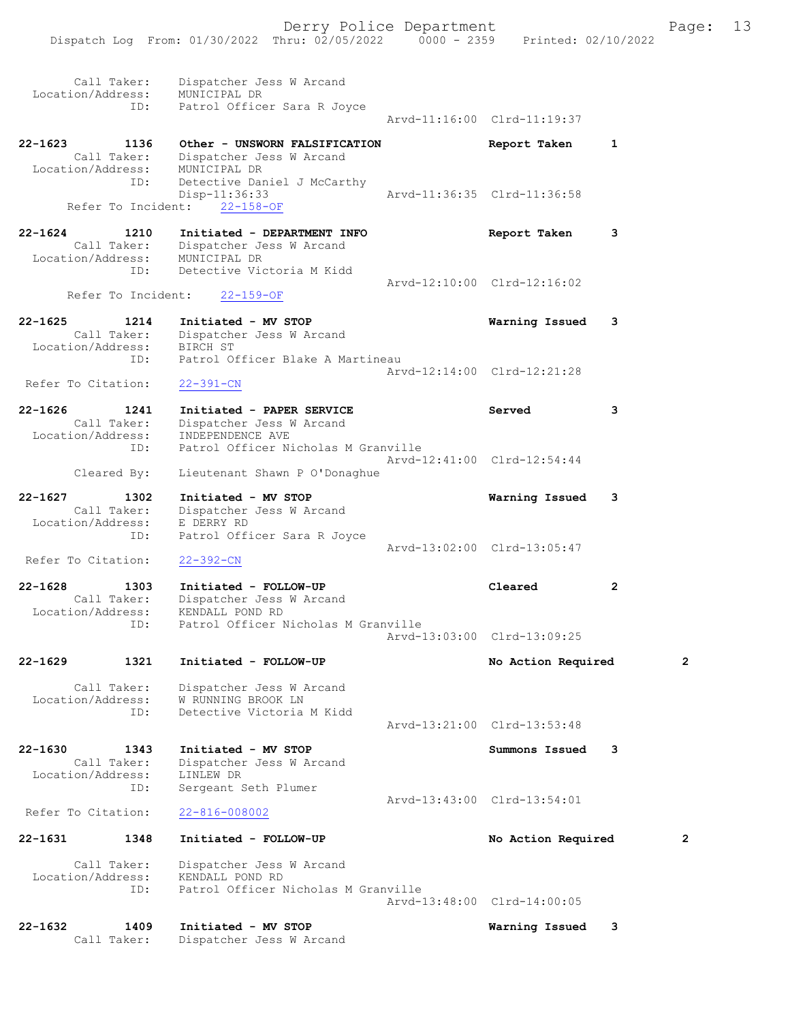| Location/Address:                | Call Taker:         | Dispatcher Jess W Arcand<br>MUNICIPAL DR                              |                             |                |
|----------------------------------|---------------------|-----------------------------------------------------------------------|-----------------------------|----------------|
|                                  | ID:                 | Patrol Officer Sara R Joyce                                           | Aryd-11:16:00 Clrd-11:19:37 |                |
| 22-1623                          | 1136<br>Call Taker: | Other - UNSWORN FALSIFICATION<br>Dispatcher Jess W Arcand             | Report Taken                | $\mathbf{1}$   |
| Location/Address:                | ID:                 | MUNICIPAL DR<br>Detective Daniel J McCarthy                           |                             |                |
|                                  | Refer To Incident:  | Disp-11:36:33<br>$22 - 158 - OF$                                      | Arvd-11:36:35 Clrd-11:36:58 |                |
| 22-1624                          | 1210                | Initiated - DEPARTMENT INFO                                           | Report Taken                | 3              |
| Location/Address:                | Call Taker:<br>ID:  | Dispatcher Jess W Arcand<br>MUNICIPAL DR<br>Detective Victoria M Kidd |                             |                |
|                                  | Refer To Incident:  | $22 - 159 - OF$                                                       | Arvd-12:10:00 Clrd-12:16:02 |                |
|                                  |                     |                                                                       |                             |                |
| $22 - 1625$<br>Location/Address: | 1214<br>Call Taker: | Initiated - MV STOP<br>Dispatcher Jess W Arcand<br>BIRCH ST           | Warning Issued              | 3              |
|                                  | ID:                 | Patrol Officer Blake A Martineau                                      | Arvd-12:14:00 Clrd-12:21:28 |                |
| Refer To Citation:               |                     | $22 - 391 - CN$                                                       |                             |                |
| 22-1626                          | 1241<br>Call Taker: | Initiated - PAPER SERVICE<br>Dispatcher Jess W Arcand                 | Served                      | 3              |
| Location/Address:                | ID:                 | INDEPENDENCE AVE<br>Patrol Officer Nicholas M Granville               |                             |                |
|                                  | Cleared By:         | Lieutenant Shawn P O'Donaghue                                         | Arvd-12:41:00 Clrd-12:54:44 |                |
| 22-1627                          | 1302                | Initiated - MV STOP                                                   | Warning Issued              | 3              |
| Location/Address:                | Call Taker:<br>ID:  | Dispatcher Jess W Arcand<br>E DERRY RD<br>Patrol Officer Sara R Joyce |                             |                |
| Refer To Citation:               |                     | $22 - 392 - CN$                                                       | Arvd-13:02:00 Clrd-13:05:47 |                |
| 22-1628                          | 1303                | Initiated - FOLLOW-UP                                                 | Cleared                     | $\overline{2}$ |
| Location/Address:                | Call Taker:         | Dispatcher Jess W Arcand<br>KENDALL POND RD                           |                             |                |
|                                  | ID:                 | Patrol Officer Nicholas M Granville                                   | Arvd-13:03:00 Clrd-13:09:25 |                |
| 22-1629                          | 1321                | Initiated - FOLLOW-UP                                                 | No Action Required          | 2              |
|                                  |                     |                                                                       |                             |                |
| Location/Address:                | Call Taker:         | Dispatcher Jess W Arcand<br>W RUNNING BROOK LN                        |                             |                |
|                                  | ID:                 | Detective Victoria M Kidd                                             | Arvd-13:21:00 Clrd-13:53:48 |                |
| $22 - 1630$                      | 1343                | Initiated - MV STOP                                                   | Summons Issued              | 3              |
| Location/Address:                | Call Taker:<br>ID:  | Dispatcher Jess W Arcand<br>LINLEW DR<br>Sergeant Seth Plumer         |                             |                |
| Refer To Citation:               |                     | $22 - 816 - 008002$                                                   | Arvd-13:43:00 Clrd-13:54:01 |                |
| 22-1631                          | 1348                | Initiated - FOLLOW-UP                                                 | No Action Required          | 2              |
|                                  | Call Taker:         | Dispatcher Jess W Arcand                                              |                             |                |
| Location/Address:                | ID:                 | KENDALL POND RD<br>Patrol Officer Nicholas M Granville                |                             |                |
|                                  |                     |                                                                       | Arvd-13:48:00 Clrd-14:00:05 |                |
| 22-1632                          | 1409<br>Call Taker: | Initiated - MV STOP<br>Dispatcher Jess W Arcand                       | Warning Issued              | 3              |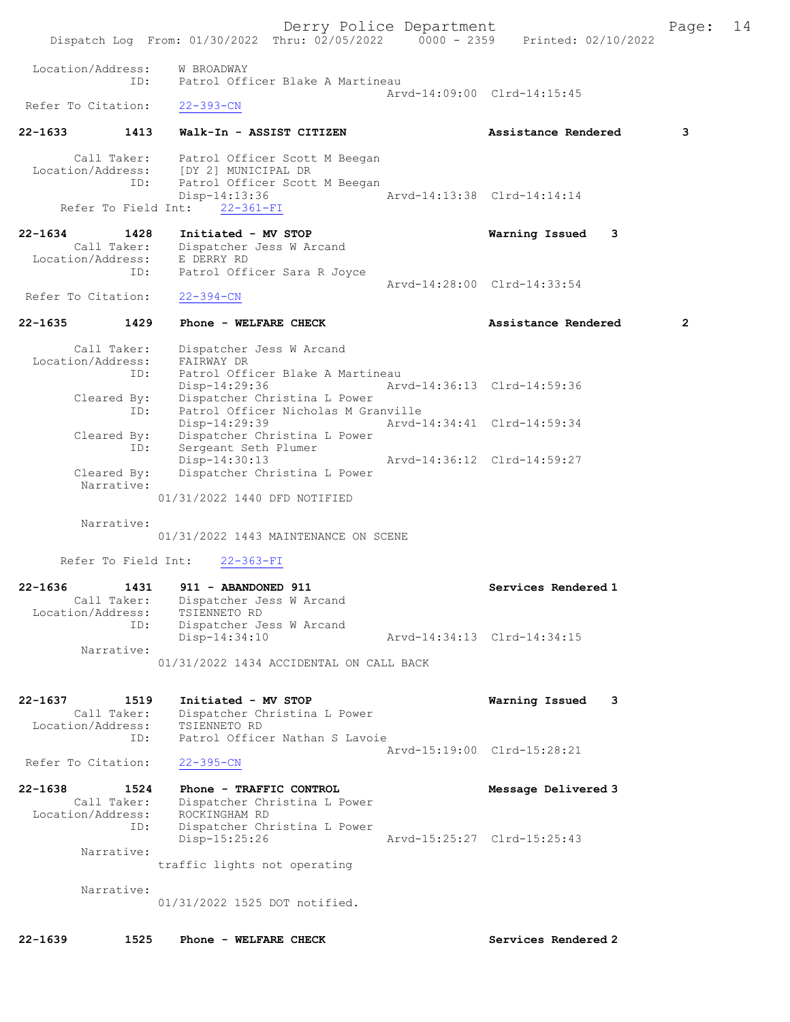Derry Police Department Fage: 14 Dispatch Log From: 01/30/2022 Thru: 02/05/2022 0000 - 2359 Printed: 02/10/2022 Location/Address: W BROADWAY ID: Patrol Officer Blake A Martineau Arvd-14:09:00 Clrd-14:15:45<br>22-393-CN Refer To Citation: 22-1633 1413 Walk-In - ASSIST CITIZEN Assistance Rendered 3 Call Taker: Patrol Officer Scott M Beegan Location/Address: [DY 2] MUNICIPAL DR ID: Patrol Officer Scott M Beegan Disp-14:13:36 Arvd-14:13:38 Clrd-14:14:14 Refer To Field Int: 22-361-FI 22-1634 1428 Initiated - MV STOP Warning Issued 3 Call Taker: Dispatcher Jess W Arcand Location/Address: E DERRY RD ID: Patrol Officer Sara R Joyce Arvd-14:28:00 Clrd-14:33:54 Refer To Citation: 22-394-CN 22-1635 1429 Phone - WELFARE CHECK 2 Assistance Rendered 2 Call Taker: Dispatcher Jess W Arcand Location/Address: FAIRWAY DR ID: Patrol Officer Blake A Martineau Disp-14:29:36 Arvd-14:36:13 Clrd-14:59:36 Cleared By: Dispatcher Christina L Power ID: Patrol Officer Nicholas M Granville Disp-14:29:39 Arvd-14:34:41 Clrd-14:59:34 Cleared By: Dispatcher Christina L Power ID: Sergeant Seth Plumer Disp-14:30:13 Arvd-14:36:12 Clrd-14:59:27 Cleared By: Dispatcher Christina L Power Narrative: 01/31/2022 1440 DFD NOTIFIED Narrative: 01/31/2022 1443 MAINTENANCE ON SCENE Refer To Field Int: 22-363-FI 22-1636 1431 911 - ABANDONED 911 Services Rendered 1 Call Taker: Dispatcher Jess W Arcand Location/Address: TSIENNETO RD ess: ISIERRAND AD<br>ID: Dispatcher Jess W Arcand<br>Disp-14:34:10 Disp-14:34:10 Arvd-14:34:13 Clrd-14:34:15 Narrative: 01/31/2022 1434 ACCIDENTAL ON CALL BACK 22-1637 1519 Initiated - MV STOP Warning Issued 3 Call Taker: Dispatcher Christina L Power Location/Address: TSIENNETO RD ID: Patrol Officer Nathan S Lavoie Arvd-15:19:00 Clrd-15:28:21<br>22-395-CN Refer To Citation: 22-1638 1524 Phone - TRAFFIC CONTROL Message Delivered 3 Call Taker: Dispatcher Christina L Power Location/Address: ROCKINGHAM RD ID: Dispatcher Christina L Power Disp-15:25:26 Arvd-15:25:27 Clrd-15:25:43 Narrative: traffic lights not operating Narrative: 01/31/2022 1525 DOT notified.

22-1639 1525 Phone - WELFARE CHECK Services Rendered 2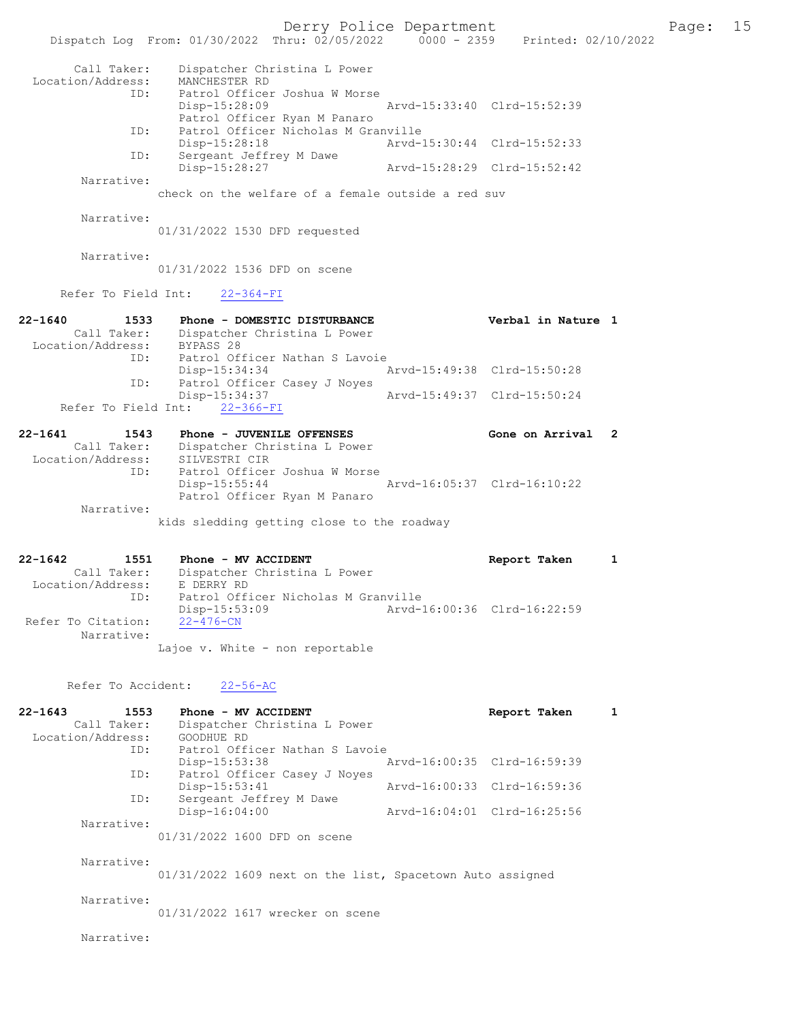Derry Police Department Fage: 15 Dispatch Log From: 01/30/2022 Thru: 02/05/2022 0000 - 2359 Printed: 02/10/2022 Call Taker: Dispatcher Christina L Power Location/Address: MANCHESTER RD ID: Patrol Officer Joshua W Morse Disp-15:28:09 Arvd-15:33:40 Clrd-15:52:39 Patrol Officer Ryan M Panaro ID: Patrol Officer Nicholas M Granville Disp-15:28:18 Arvd-15:30:44 Clrd-15:52:33 ID: Sergeant Jeffrey M Dawe Disp-15:28:27 Arvd-15:28:29 Clrd-15:52:42 Narrative: check on the welfare of a female outside a red suv Narrative: 01/31/2022 1530 DFD requested Narrative: 01/31/2022 1536 DFD on scene Refer To Field Int: 22-364-FI 22-1640 1533 Phone - DOMESTIC DISTURBANCE Verbal in Nature 1 Call Taker: Dispatcher Christina L Power Location/Address: BYPASS 28 ID: Patrol Officer Nathan S Lavoie<br>Disp-15:34:34 Disp-15:34:34 Arvd-15:49:38 Clrd-15:50:28 Patrol Officer Casey J Noyes<br>Disp-15:34:37 Disp-15:34:37 Arvd-15:49:37 Clrd-15:50:24 Refer To Field Int: 22-366-FI 22-1641 1543 Phone - JUVENILE OFFENSES Cone on Arrival 2 Call Taker: Dispatcher Christina L Power Location/Address: SILVESTRI CIR ID: Patrol Officer Joshua W Morse Disp-15:55:44 Arvd-16:05:37 Clrd-16:10:22 Patrol Officer Ryan M Panaro Narrative: kids sledding getting close to the roadway 22-1642 1551 Phone - MV ACCIDENT Report Taken 1 Call Taker: Dispatcher Christina L Power Location/Address: E DERRY RD ID: Patrol Officer Nicholas M Granville<br>Disp-15:53:09 Arvd-1 Disp-15:53:09 Arvd-16:00:36 Clrd-16:22:59 Refer To Citation: Narrative: Lajoe v. White - non reportable Refer To Accident: 22-56-AC 22-1643 1553 Phone - MV ACCIDENT 1 Report Taken 1 Call Taker: Dispatcher Christina L Power Location/Address: GOODHUE RD ID: Patrol Officer Nathan S Lavoie Disp-15:53:38 Arvd-16:00:35 Clrd-16:59:39<br>ID: Patrol Officer Casev J Noves .<br>Patrol Officer Casey J Noyes<br>Disp-15:53:41 Disp-15:53:41 Arvd-16:00:33 Clrd-16:59:36 ID: Sergeant Jeffrey M Dawe<br>Disp-16:04:00 Disp-16:04:00 Arvd-16:04:01 Clrd-16:25:56 Narrative: 01/31/2022 1600 DFD on scene Narrative: 01/31/2022 1609 next on the list, Spacetown Auto assigned Narrative: 01/31/2022 1617 wrecker on scene Narrative: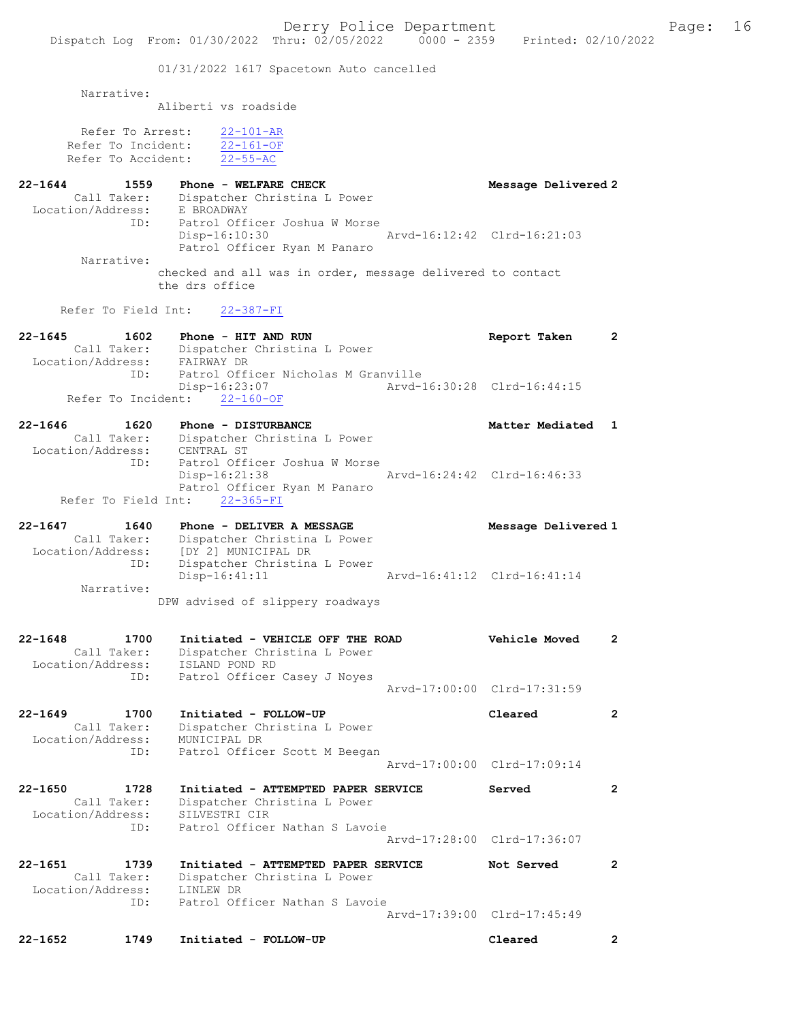Derry Police Department Fage: 16 Dispatch Log From: 01/30/2022 Thru: 02/05/2022 0000 - 2359 Printed: 02/10/2022 01/31/2022 1617 Spacetown Auto cancelled Narrative: Aliberti vs roadside Refer To Arrest: 22-101-AR Refer To Incident: 22-161-OF Refer To Accident: 22-55-AC 22-1644 1559 Phone - WELFARE CHECK Message Delivered 2 Call Taker: Dispatcher Christina L Power Location/Address: E BROADWAY ID: Patrol Officer Joshua W Morse Disp-16:10:30 Arvd-16:12:42 Clrd-16:21:03 Patrol Officer Ryan M Panaro Narrative: checked and all was in order, message delivered to contact the drs office Refer To Field Int: 22-387-FI 22-1645 1602 Phone - HIT AND RUN Report Taken 2 Call Taker: Dispatcher Christina L Power Location/Address: FAIRWAY DR ID: Patrol Officer Nicholas M Granville Disp-16:23:07 Arvd-16:30:28 Clrd-16:44:15 Refer To Incident: 22-160-OF 22-1646 1620 Phone - DISTURBANCE Matter Mediated 1 Call Taker: Dispatcher Christina L Power Location/Address: CENTRAL ST<br>ID: Patrol Off: Patrol Officer Joshua W Morse<br>Disp-16:21:38 Disp-16:21:38 Arvd-16:24:42 Clrd-16:46:33 Patrol Officer Ryan M Panaro Refer To Field Int: 22-365-FI 22-1647 1640 Phone - DELIVER A MESSAGE Nessage Delivered 1 Call Taker: Dispatcher Christina L Power Location/Address: [DY 2] MUNICIPAL DR ID: Dispatcher Christina L Power Disp-16:41:11 Arvd-16:41:12 Clrd-16:41:14 Narrative: DPW advised of slippery roadways 22-1648 1700 Initiated - VEHICLE OFF THE ROAD Vehicle Moved 2 Call Taker: Dispatcher Christina L Power Location/Address: ISLAND POND RD ID: Patrol Officer Casey J Noyes Arvd-17:00:00 Clrd-17:31:59 22-1649 1700 Initiated - FOLLOW-UP Cleared 2 Call Taker: Dispatcher Christina L Power Location/Address: MUNICIPAL DR ID: Patrol Officer Scott M Beegan Arvd-17:00:00 Clrd-17:09:14 22-1650 1728 Initiated - ATTEMPTED PAPER SERVICE Served 2 Call Taker: Dispatcher Christina L Power Location/Address: SILVESTRI CIR ID: Patrol Officer Nathan S Lavoie Arvd-17:28:00 Clrd-17:36:07 22-1651 1739 Initiated - ATTEMPTED PAPER SERVICE Not Served 2 Call Taker: Dispatcher Christina L Power Location/Address: LINLEW DR ID: Patrol Officer Nathan S Lavoie Arvd-17:39:00 Clrd-17:45:49 22-1652 1749 Initiated - FOLLOW-UP Cleared 2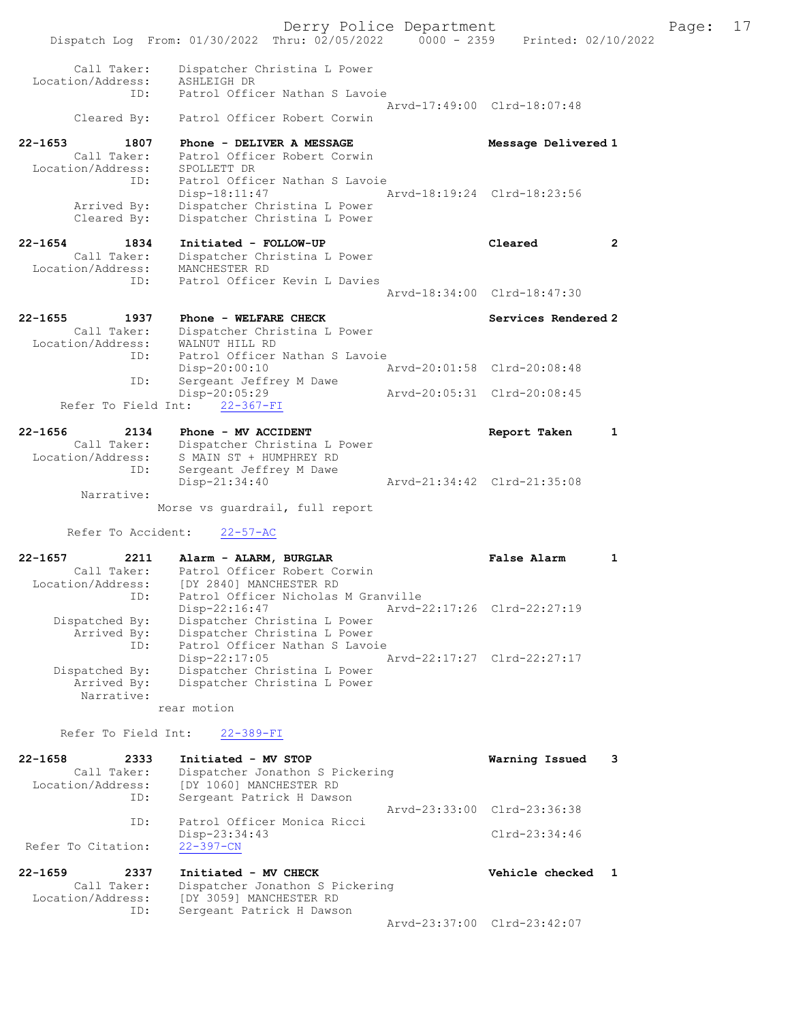Derry Police Department Fage: 17 Dispatch Log From: 01/30/2022 Thru: 02/05/2022 0000 - 2359 Printed: 02/10/2022 Call Taker: Dispatcher Christina L Power Location/Address: ASHLEIGH DR ID: Patrol Officer Nathan S Lavoie Arvd-17:49:00 Clrd-18:07:48 Cleared By: Patrol Officer Robert Corwin 22-1653 1807 Phone - DELIVER A MESSAGE Message Delivered 1 Call Taker: Patrol Officer Robert Corwin Location/Address: SPOLLETT DR ID: Patrol Officer Nathan S Lavoie Disp-18:11:47 Arvd-18:19:24 Clrd-18:23:56 Arrived By: Dispatcher Christina L Power Cleared By: Dispatcher Christina L Power 22-1654 1834 Initiated - FOLLOW-UP Cleared 2 Call Taker: Dispatcher Christina L Power Location/Address: MANCHESTER RD ID: Patrol Officer Kevin L Davies Arvd-18:34:00 Clrd-18:47:30 22-1655 1937 Phone - WELFARE CHECK Services Rendered 2 Call Taker: Dispatcher Christina L Power Location/Address: WALNUT HILL RD ID: Patrol Officer Nathan S Lavoie Disp-20:00:10 Arvd-20:01:58 Clrd-20:08:48 ID: Sergeant Jeffrey M Dawe Disp-20:05:29 Arvd-20:05:31 Clrd-20:08:45 Refer To Field Int: 22-367-FI 22-1656 2134 Phone - MV ACCIDENT CONSUMERED Report Taken 1 Call Taker: Dispatcher Christina L Power Location/Address: S MAIN ST + HUMPHREY RD ID: Sergeant Jeffrey M Dawe Disp-21:34:40 Arvd-21:34:42 Clrd-21:35:08 Narrative: Morse vs guardrail, full report Refer To Accident: 22-57-AC 22-1657 2211 Alarm - ALARM, BURGLAR False Alarm 1 Call Taker: Patrol Officer Robert Corwin Location/Address: [DY 2840] MANCHESTER RD ID: Patrol Officer Nicholas M Granville Disp-22:16:47 Arvd-22:17:26 Clrd-22:27:19 Dispatched By: Dispatcher Christina L Power Arrived By: Dispatcher Christina L Power ID: Patrol Officer Nathan S Lavoie Disp-22:17:05 Arvd-22:17:27 Clrd-22:27:17 Dispatched By: Dispatcher Christina L Power Arrived By: Dispatcher Christina L Power Narrative: rear motion Refer To Field Int: 22-389-FI 22-1658 2333 Initiated - MV STOP Warning Issued 3 Call Taker: Dispatcher Jonathon S Pickering Location/Address: [DY 1060] MANCHESTER RD ID: Sergeant Patrick H Dawson Arvd-23:33:00 Clrd-23:36:38 ID: Patrol Officer Monica Ricci Disp-23:34:43 Clrd-23:34:46<br>22-397-CN Refer To Citation: 22-1659 2337 Initiated - MV CHECK Vehicle checked 1 Call Taker: Dispatcher Jonathon S Pickering Location/Address: [DY 3059] MANCHESTER RD ID: Sergeant Patrick H Dawson Arvd-23:37:00 Clrd-23:42:07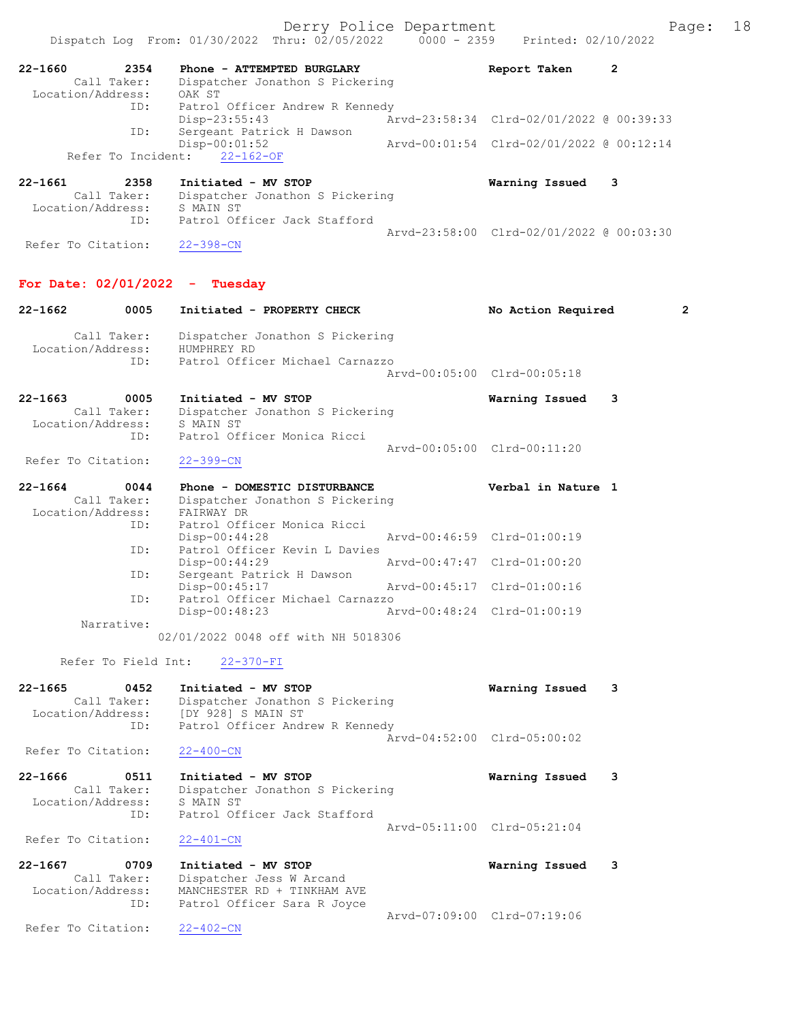|                                  |      | Dispatch Log From: 01/30/2022 Thru: 02/05/2022                | $0000 - 2359$ | Printed: 02/10/2022                      |              |              |
|----------------------------------|------|---------------------------------------------------------------|---------------|------------------------------------------|--------------|--------------|
| 22-1660<br>Call Taker:           | 2354 | Phone - ATTEMPTED BURGLARY<br>Dispatcher Jonathon S Pickering |               | Report Taken                             | $\mathbf{2}$ |              |
| Location/Address:                | ID:  | OAK ST<br>Patrol Officer Andrew R Kennedy                     |               |                                          |              |              |
|                                  |      | $Disp-23:55:43$                                               |               | Arvd-23:58:34 Clrd-02/01/2022 @ 00:39:33 |              |              |
|                                  | ID:  | Sergeant Patrick H Dawson<br>$Disp-00:01:52$                  |               | Arvd-00:01:54 Clrd-02/01/2022 @ 00:12:14 |              |              |
| Refer To Incident:               |      | $22 - 162 - OF$                                               |               |                                          |              |              |
| $22 - 1661$                      | 2358 | Initiated - MV STOP                                           |               | Warning Issued                           | 3            |              |
| Call Taker:                      |      | Dispatcher Jonathon S Pickering                               |               |                                          |              |              |
| Location/Address:                | ID:  | S MAIN ST<br>Patrol Officer Jack Stafford                     |               |                                          |              |              |
|                                  |      |                                                               |               | Arvd-23:58:00 Clrd-02/01/2022 @ 00:03:30 |              |              |
| Refer To Citation:               |      | $22 - 398 - CN$                                               |               |                                          |              |              |
| For Date: $02/01/2022 -$ Tuesday |      |                                                               |               |                                          |              |              |
| $22 - 1662$                      | 0005 | Initiated - PROPERTY CHECK                                    |               | No Action Required                       |              | $\mathbf{2}$ |
| Call Taker:<br>Location/Address: |      | Dispatcher Jonathon S Pickering<br>HUMPHREY RD                |               |                                          |              |              |
|                                  | ID:  | Patrol Officer Michael Carnazzo                               |               | Arvd-00:05:00 Clrd-00:05:18              |              |              |
| $22 - 1663$                      | 0005 | Initiated - MV STOP                                           |               | Warning Issued                           | 3            |              |
| Call Taker:<br>Location/Address: |      | Dispatcher Jonathon S Pickering<br>S MAIN ST                  |               |                                          |              |              |
|                                  | ID:  | Patrol Officer Monica Ricci                                   |               |                                          |              |              |
| Refer To Citation:               |      | $22 - 399 - CN$                                               |               | Arvd-00:05:00 Clrd-00:11:20              |              |              |
| $22 - 1664$                      | 0044 | Phone - DOMESTIC DISTURBANCE                                  |               | Verbal in Nature 1                       |              |              |
| Call Taker:<br>Location/Address: |      | Dispatcher Jonathon S Pickering<br>FAIRWAY DR                 |               |                                          |              |              |
|                                  | ID:  | Patrol Officer Monica Ricci                                   |               |                                          |              |              |
|                                  | ID:  | $Disp-00:44:28$<br>Patrol Officer Kevin L Davies              |               | Arvd-00:46:59 Clrd-01:00:19              |              |              |
|                                  |      | Disp-00:44:29                                                 |               | Arvd-00:47:47 Clrd-01:00:20              |              |              |
|                                  | ID:  | Sergeant Patrick H Dawson<br>Disp-00:45:17                    |               | Arvd-00:45:17 Clrd-01:00:16              |              |              |
|                                  | ID:  | Patrol Officer Michael Carnazzo                               |               |                                          |              |              |
| Narrative:                       |      | Disp-00:48:23                                                 | Arvd-00:48:24 | Clrd-01:00:19                            |              |              |
|                                  |      | 02/01/2022 0048 off with NH 5018306                           |               |                                          |              |              |
| Refer To Field Int:              |      | $22 - 370 - FI$                                               |               |                                          |              |              |
| $22 - 1665$                      | 0452 | Initiated - MV STOP                                           |               | Warning Issued                           | 3            |              |
| Call Taker:<br>Location/Address: |      | Dispatcher Jonathon S Pickering<br>[DY 928] S MAIN ST         |               |                                          |              |              |
|                                  | ID:  | Patrol Officer Andrew R Kennedy                               |               |                                          |              |              |
| Refer To Citation:               |      | $22 - 400 - CN$                                               |               | Arvd-04:52:00 Clrd-05:00:02              |              |              |
|                                  |      |                                                               |               |                                          |              |              |
| $22 - 1666$<br>Call Taker:       | 0511 | Initiated - MV STOP<br>Dispatcher Jonathon S Pickering        |               | Warning Issued                           | 3            |              |
| Location/Address:                | ID:  | S MAIN ST<br>Patrol Officer Jack Stafford                     |               |                                          |              |              |
|                                  |      |                                                               |               | Arvd-05:11:00 Clrd-05:21:04              |              |              |
| Refer To Citation:               |      | $22 - 401 - CN$                                               |               |                                          |              |              |
| $22 - 1667$                      | 0709 | Initiated - MV STOP                                           |               | Warning Issued                           | 3            |              |
| Call Taker:<br>Location/Address: |      | Dispatcher Jess W Arcand<br>MANCHESTER RD + TINKHAM AVE       |               |                                          |              |              |
|                                  | ID:  | Patrol Officer Sara R Joyce                                   |               |                                          |              |              |
| Refer To Citation:               |      | $22 - 402 - CN$                                               |               | Arvd-07:09:00 Clrd-07:19:06              |              |              |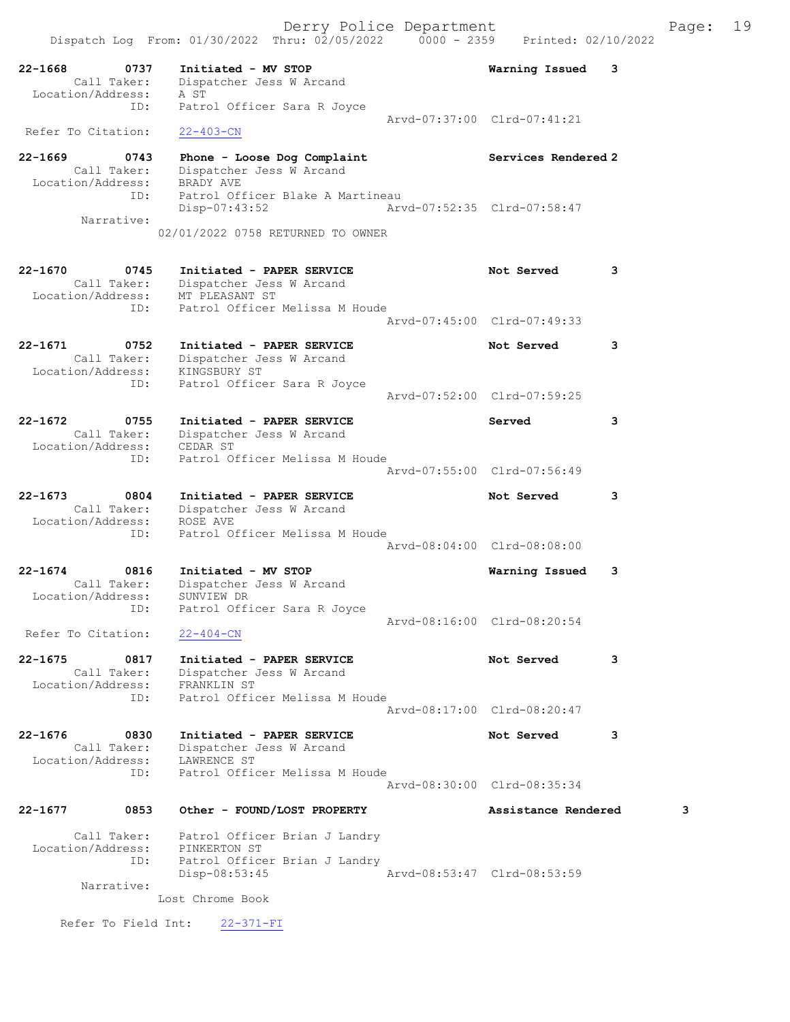| $22 - 1668$<br>0737<br>Call Taker:<br>Location/Address:        | Initiated - MV STOP<br>Dispatcher Jess W Arcand<br>A ST                                                | Warning Issued<br>3         |
|----------------------------------------------------------------|--------------------------------------------------------------------------------------------------------|-----------------------------|
| ID:<br>Refer To Citation:                                      | Patrol Officer Sara R Joyce<br>$22 - 403 - CN$                                                         | Aryd-07:37:00 Clrd-07:41:21 |
| $22 - 1669$<br>0743<br>Call Taker:<br>Location/Address:        | Phone - Loose Dog Complaint<br>Dispatcher Jess W Arcand<br>BRADY AVE                                   | Services Rendered 2         |
| ID:<br>Narrative:                                              | Patrol Officer Blake A Martineau<br>Disp-07:43:52<br>02/01/2022 0758 RETURNED TO OWNER                 | Aryd-07:52:35 Clrd-07:58:47 |
| $22 - 1670$<br>0745<br>Call Taker:<br>Location/Address:        | Initiated - PAPER SERVICE<br>Dispatcher Jess W Arcand<br>MT PLEASANT ST                                | Not Served<br>3             |
| ID:                                                            | Patrol Officer Melissa M Houde                                                                         | Arvd-07:45:00 Clrd-07:49:33 |
| 22-1671<br>0752<br>Call Taker:<br>Location/Address:            | Initiated - PAPER SERVICE<br>Dispatcher Jess W Arcand<br>KINGSBURY ST                                  | Not Served<br>3             |
| ID:                                                            | Patrol Officer Sara R Joyce                                                                            | Aryd-07:52:00 Clrd-07:59:25 |
| $22 - 1672$<br>0755<br>Call Taker:<br>Location/Address:        | Initiated - PAPER SERVICE<br>Dispatcher Jess W Arcand<br>CEDAR ST                                      | 3<br>Served                 |
| ID:                                                            | Patrol Officer Melissa M Houde                                                                         | Arvd-07:55:00 Clrd-07:56:49 |
| $22 - 1673$<br>0804<br>Call Taker:<br>Location/Address:        | Initiated - PAPER SERVICE<br>Dispatcher Jess W Arcand<br>ROSE AVE                                      | Not Served<br>3             |
| ID:                                                            | Patrol Officer Melissa M Houde                                                                         | Arvd-08:04:00 Clrd-08:08:00 |
| $22 - 1674$<br>0816<br>Call Taker:<br>Location/Address:<br>ID: | Initiated - MV STOP<br>Dispatcher Jess W Arcand<br>SUNVIEW DR<br>Patrol Officer Sara R Joyce           | Warning Issued<br>3         |
| Refer To Citation:                                             | $22 - 404 - CN$                                                                                        | Aryd-08:16:00 Clrd-08:20:54 |
| $22 - 1675$<br>0817<br>Call Taker:<br>Location/Address:        | Initiated - PAPER SERVICE<br>Dispatcher Jess W Arcand<br>FRANKLIN ST                                   | 3<br>Not Served             |
| ID:                                                            | Patrol Officer Melissa M Houde                                                                         | Aryd-08:17:00 Clrd-08:20:47 |
| $22 - 1676$<br>0830<br>Call Taker:<br>Location/Address:<br>ID: | Initiated - PAPER SERVICE<br>Dispatcher Jess W Arcand<br>LAWRENCE ST<br>Patrol Officer Melissa M Houde | Not Served<br>3             |
|                                                                |                                                                                                        | Arvd-08:30:00 Clrd-08:35:34 |
| $22 - 1677$<br>0853                                            | Other - FOUND/LOST PROPERTY                                                                            | Assistance Rendered<br>3    |
| Call Taker:<br>Location/Address:<br>ID:<br>Narrative:          | Patrol Officer Brian J Landry<br>PINKERTON ST<br>Patrol Officer Brian J Landry<br>Disp-08:53:45        | Arvd-08:53:47 Clrd-08:53:59 |
|                                                                | Lost Chrome Book                                                                                       |                             |

Refer To Field Int: 22-371-FI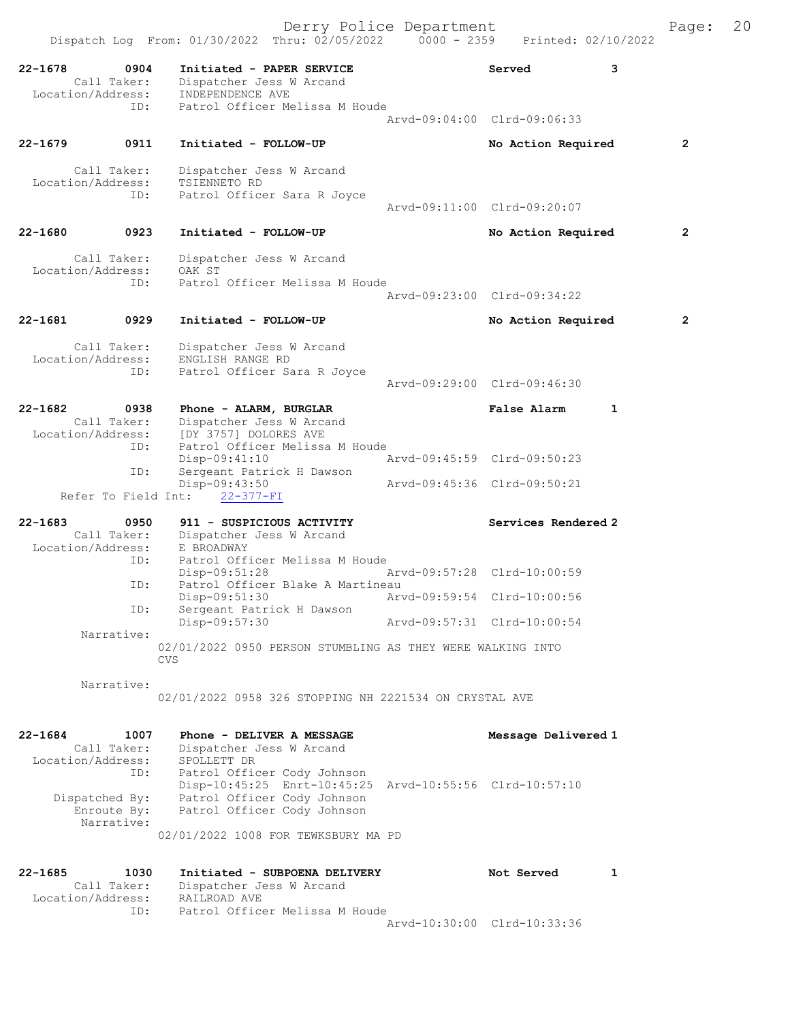|             |                                  | Dispatch Log From: 01/30/2022 Thru: 02/05/2022                                         | $0000 - 2359$               |                     | Printed: 02/10/2022 |                |
|-------------|----------------------------------|----------------------------------------------------------------------------------------|-----------------------------|---------------------|---------------------|----------------|
| $22 - 1678$ | 0904<br>Call Taker:              | Initiated - PAPER SERVICE<br>Dispatcher Jess W Arcand                                  |                             | Served              | 3                   |                |
|             | Location/Address:<br>ID:         | INDEPENDENCE AVE<br>Patrol Officer Melissa M Houde                                     |                             |                     |                     |                |
|             |                                  |                                                                                        | Arvd-09:04:00 Clrd-09:06:33 |                     |                     |                |
| $22 - 1679$ | 0911                             | Initiated - FOLLOW-UP                                                                  |                             | No Action Required  |                     | $\overline{2}$ |
|             | Call Taker:                      | Dispatcher Jess W Arcand                                                               |                             |                     |                     |                |
|             | Location/Address:<br>ID:         | TSIENNETO RD<br>Patrol Officer Sara R Joyce                                            |                             |                     |                     |                |
|             |                                  |                                                                                        | Arvd-09:11:00 Clrd-09:20:07 |                     |                     |                |
| $22 - 1680$ | 0923                             | Initiated - FOLLOW-UP                                                                  |                             | No Action Required  |                     | $\overline{2}$ |
|             | Call Taker:                      | Dispatcher Jess W Arcand                                                               |                             |                     |                     |                |
|             | Location/Address:<br>ID:         | OAK ST<br>Patrol Officer Melissa M Houde                                               |                             |                     |                     |                |
|             |                                  |                                                                                        | Arvd-09:23:00 Clrd-09:34:22 |                     |                     |                |
| 22-1681     | 0929                             | Initiated - FOLLOW-UP                                                                  |                             | No Action Required  |                     | $\mathbf{2}$   |
|             | Call Taker:                      | Dispatcher Jess W Arcand                                                               |                             |                     |                     |                |
|             | Location/Address:                | ENGLISH RANGE RD                                                                       |                             |                     |                     |                |
|             | ID:                              | Patrol Officer Sara R Joyce                                                            | Arvd-09:29:00 Clrd-09:46:30 |                     |                     |                |
|             |                                  |                                                                                        |                             |                     |                     |                |
| $22 - 1682$ | 0938<br>Call Taker:              | Phone - ALARM, BURGLAR<br>Dispatcher Jess W Arcand                                     |                             | <b>False Alarm</b>  | $\mathbf{1}$        |                |
|             | Location/Address:<br>ID:         | [DY 3757] DOLORES AVE<br>Patrol Officer Melissa M Houde                                |                             |                     |                     |                |
|             |                                  | Disp-09:41:10                                                                          | Arvd-09:45:59 Clrd-09:50:23 |                     |                     |                |
|             | ID:                              | Sergeant Patrick H Dawson<br>Disp-09:43:50                                             | Arvd-09:45:36 Clrd-09:50:21 |                     |                     |                |
|             | Refer To Field Int:              | $22 - 377 - FI$                                                                        |                             |                     |                     |                |
| $22 - 1683$ | 0950                             | 911 - SUSPICIOUS ACTIVITY                                                              |                             | Services Rendered 2 |                     |                |
|             | Call Taker:<br>Location/Address: | Dispatcher Jess W Arcand                                                               |                             |                     |                     |                |
|             | ID:                              | E BROADWAY<br>Patrol Officer Melissa M Houde                                           |                             |                     |                     |                |
|             | ID:                              | Disp-09:51:28<br>Patrol Officer Blake A Martineau                                      | Arvd-09:57:28 Clrd-10:00:59 |                     |                     |                |
|             |                                  | $Disp-09:51:30$                                                                        | Arvd-09:59:54 Clrd-10:00:56 |                     |                     |                |
|             | ID:                              | Sergeant Patrick H Dawson<br>Disp-09:57:30                                             | Arvd-09:57:31 Clrd-10:00:54 |                     |                     |                |
|             | Narrative:                       |                                                                                        |                             |                     |                     |                |
|             |                                  | 02/01/2022 0950 PERSON STUMBLING AS THEY WERE WALKING INTO<br><b>CVS</b>               |                             |                     |                     |                |
|             | Narrative:                       |                                                                                        |                             |                     |                     |                |
|             |                                  | 02/01/2022 0958 326 STOPPING NH 2221534 ON CRYSTAL AVE                                 |                             |                     |                     |                |
| $22 - 1684$ | 1007                             | Phone - DELIVER A MESSAGE                                                              |                             | Message Delivered 1 |                     |                |
|             | Call Taker:<br>Location/Address: | Dispatcher Jess W Arcand<br>SPOLLETT DR                                                |                             |                     |                     |                |
|             | ID:                              | Patrol Officer Cody Johnson                                                            |                             |                     |                     |                |
|             | Dispatched By:                   | Disp-10:45:25 Enrt-10:45:25 Arvd-10:55:56 Clrd-10:57:10<br>Patrol Officer Cody Johnson |                             |                     |                     |                |
|             | Enroute By:                      | Patrol Officer Cody Johnson                                                            |                             |                     |                     |                |
|             | Narrative:                       | 02/01/2022 1008 FOR TEWKSBURY MA PD                                                    |                             |                     |                     |                |
|             |                                  |                                                                                        |                             |                     |                     |                |
| $22 - 1685$ | 1030<br>Call Taker:              | Initiated - SUBPOENA DELIVERY<br>Dispatcher Jess W Arcand                              |                             | Not Served          | 1                   |                |
|             | Location/Address:                | RAILROAD AVE                                                                           |                             |                     |                     |                |
|             | ID:                              | Patrol Officer Melissa M Houde                                                         |                             |                     |                     |                |

Arvd-10:30:00 Clrd-10:33:36

Derry Police Department Page: 20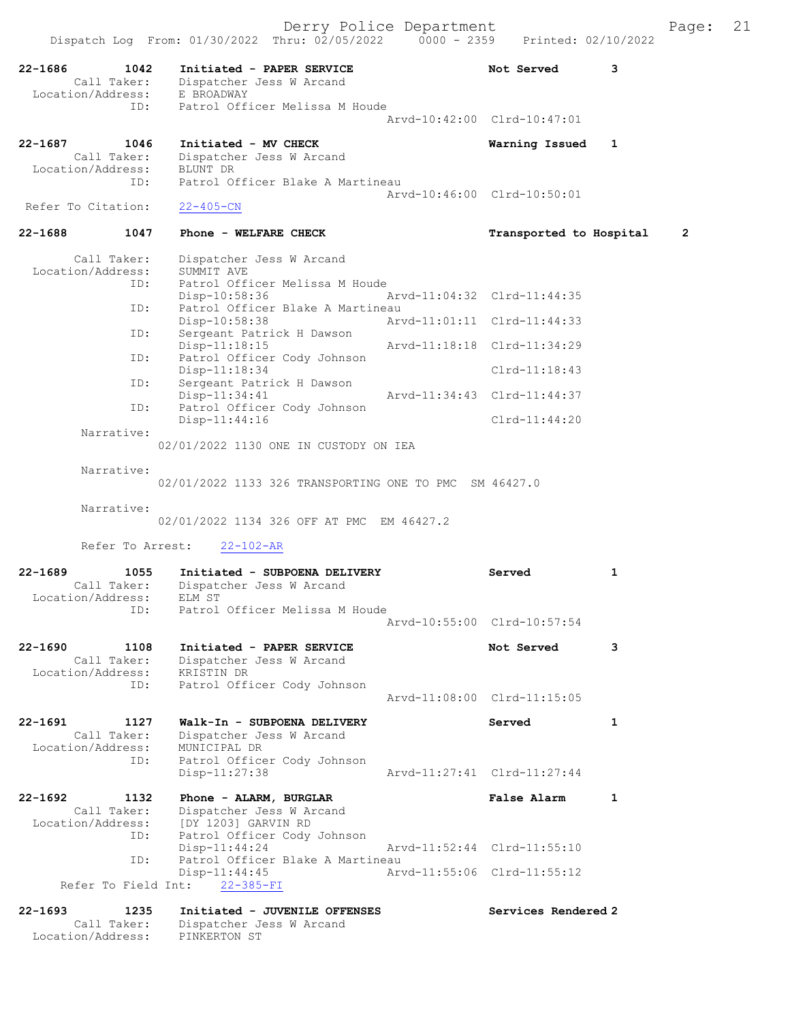|                                  |                                         |                                                                                 | Derry Police Department     |                             |              | Page:          | 21 |
|----------------------------------|-----------------------------------------|---------------------------------------------------------------------------------|-----------------------------|-----------------------------|--------------|----------------|----|
|                                  |                                         | Dispatch Log From: 01/30/2022 Thru: 02/05/2022 0000 - 2359 Printed: 02/10/2022  |                             |                             |              |                |    |
| $22 - 1686$                      | 1042<br>Location/Address:               | Initiated - PAPER SERVICE<br>Call Taker: Dispatcher Jess W Arcand<br>E BROADWAY |                             | Not Served                  | 3            |                |    |
|                                  | ID:                                     | Patrol Officer Melissa M Houde                                                  |                             | Arvd-10:42:00 Clrd-10:47:01 |              |                |    |
| 22-1687                          | 1046<br>Call Taker:                     | Initiated - MV CHECK<br>Dispatcher Jess W Arcand                                |                             | Warning Issued              | 1            |                |    |
| Location/Address:                | ID:                                     | BLUNT DR<br>Patrol Officer Blake A Martineau                                    |                             | Arvd-10:46:00 Clrd-10:50:01 |              |                |    |
| Refer To Citation:               |                                         | $22 - 405 - CN$                                                                 |                             |                             |              |                |    |
| 22-1688                          | 1047                                    | Phone - WELFARE CHECK                                                           |                             | Transported to Hospital     |              | $\overline{2}$ |    |
|                                  | Call Taker:<br>Location/Address:<br>ID: | Dispatcher Jess W Arcand<br>SUMMIT AVE<br>Patrol Officer Melissa M Houde        |                             |                             |              |                |    |
|                                  | ID:                                     | Disp-10:58:36<br>Patrol Officer Blake A Martineau                               |                             | Arvd-11:04:32 Clrd-11:44:35 |              |                |    |
|                                  | ID:                                     | Disp-10:58:38<br>Sergeant Patrick H Dawson                                      |                             | Arvd-11:01:11 Clrd-11:44:33 |              |                |    |
|                                  | ID:                                     | Disp-11:18:15<br>Patrol Officer Cody Johnson                                    | Arvd-11:18:18 Clrd-11:34:29 |                             |              |                |    |
|                                  | ID:                                     | Disp-11:18:34<br>Sergeant Patrick H Dawson                                      |                             | $Clrd-11:18:43$             |              |                |    |
|                                  | ID:                                     | Disp-11:34:41<br>Patrol Officer Cody Johnson                                    |                             | Arvd-11:34:43 Clrd-11:44:37 |              |                |    |
|                                  |                                         | $Disp-11:44:16$                                                                 |                             | $Clrd-11:44:20$             |              |                |    |
|                                  | Narrative:                              | 02/01/2022 1130 ONE IN CUSTODY ON IEA                                           |                             |                             |              |                |    |
|                                  | Narrative:                              | 02/01/2022 1133 326 TRANSPORTING ONE TO PMC SM 46427.0                          |                             |                             |              |                |    |
|                                  | Narrative:                              | 02/01/2022 1134 326 OFF AT PMC EM 46427.2                                       |                             |                             |              |                |    |
|                                  | Refer To Arrest:                        | $22 - 102 - AR$                                                                 |                             |                             |              |                |    |
| $22 - 1689$<br>Location/Address: | 1055<br>Call Taker:                     | Initiated - SUBPOENA DELIVERY<br>Dispatcher Jess W Arcand<br>ELM ST             |                             | Served                      | 1            |                |    |
|                                  | ID:                                     | Patrol Officer Melissa M Houde                                                  |                             | Arvd-10:55:00 Clrd-10:57:54 |              |                |    |
| $22 - 1690$<br>Location/Address: | 1108<br>Call Taker:                     | Initiated - PAPER SERVICE<br>Dispatcher Jess W Arcand<br>KRISTIN DR             |                             | Not Served                  | 3            |                |    |
|                                  | ID:                                     | Patrol Officer Cody Johnson                                                     |                             | Arvd-11:08:00 Clrd-11:15:05 |              |                |    |
| $22 - 1691$                      | 1127<br>Call Taker:                     | Walk-In - SUBPOENA DELIVERY<br>Dispatcher Jess W Arcand                         |                             | Served                      | $\mathbf{1}$ |                |    |
| Location/Address:                | ID:                                     | MUNICIPAL DR<br>Patrol Officer Cody Johnson<br>Disp-11:27:38                    |                             | Arvd-11:27:41 Clrd-11:27:44 |              |                |    |
| $22 - 1692$                      | 1132                                    | Phone - ALARM, BURGLAR                                                          |                             | <b>False Alarm</b>          | $\mathbf{1}$ |                |    |
|                                  | Call Taker:<br>Location/Address:<br>ID: | Dispatcher Jess W Arcand<br>[DY 1203] GARVIN RD<br>Patrol Officer Cody Johnson  |                             |                             |              |                |    |
|                                  | ID:                                     | $Disp-11:44:24$<br>Patrol Officer Blake A Martineau                             |                             | Arvd-11:52:44 Clrd-11:55:10 |              |                |    |
|                                  | Refer To Field Int:                     | $Disp-11:44:45$<br>$22 - 385 - FI$                                              |                             | Arvd-11:55:06 Clrd-11:55:12 |              |                |    |
| 22-1693                          | 1235<br>Call Taker:                     | Initiated - JUVENILE OFFENSES<br>Dispatcher Jess W Arcand                       |                             | Services Rendered 2         |              |                |    |

Location/Address: PINKERTON ST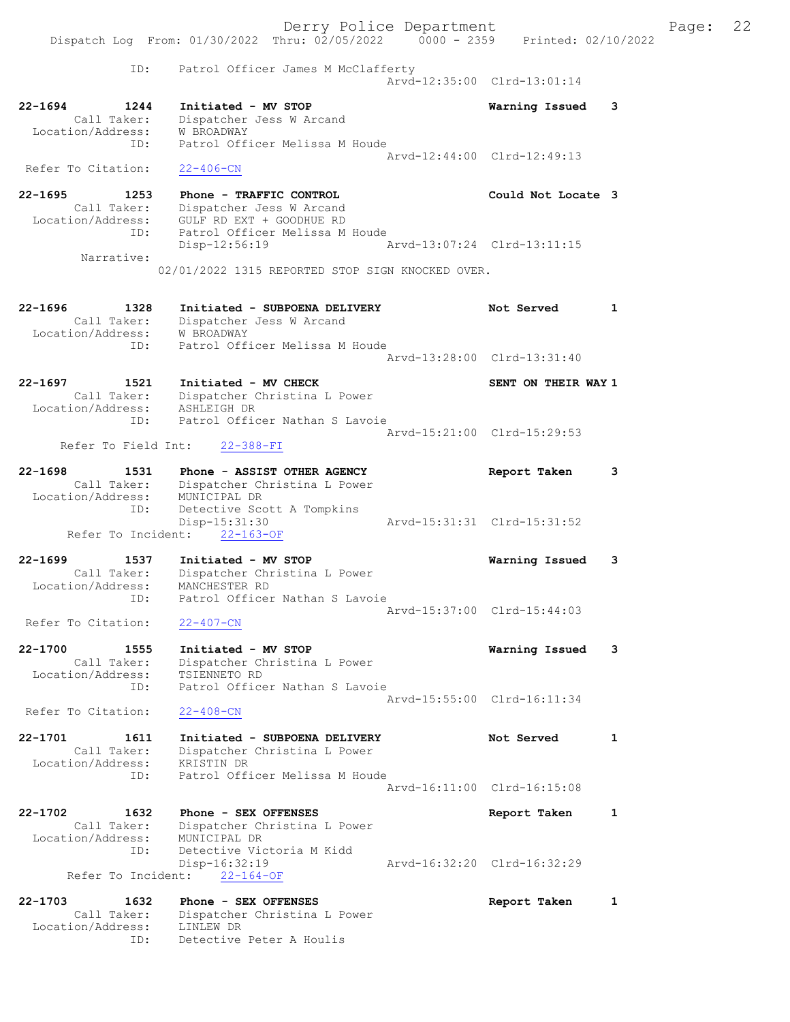Derry Police Department Fage: 22 Dispatch Log From: 01/30/2022 Thru: 02/05/2022 0000 - 2359 Printed: 02/10/2022 ID: Patrol Officer James M McClafferty Arvd-12:35:00 Clrd-13:01:14 22-1694 1244 Initiated - MV STOP Warning Issued 3 Call Taker: Dispatcher Jess W Arcand Location/Address: W BROADWAY ID: Patrol Officer Melissa M Houde Arvd-12:44:00 Clrd-12:49:13 Refer To Citation: 22-406-CN 22-1695 1253 Phone - TRAFFIC CONTROL 120 Could Not Locate 3 Call Taker: Dispatcher Jess W Arcand Location/Address: GULF RD EXT + GOODHUE RD ID: Patrol Officer Melissa M Houde Disp-12:56:19 Arvd-13:07:24 Clrd-13:11:15 Narrative: 02/01/2022 1315 REPORTED STOP SIGN KNOCKED OVER. 22-1696 1328 Initiated - SUBPOENA DELIVERY Not Served 1 Call Taker: Dispatcher Jess W Arcand Location/Address: W BROADWAY ID: Patrol Officer Melissa M Houde Arvd-13:28:00 Clrd-13:31:40 22-1697 1521 Initiated - MV CHECK NATEL SENT ON THEIR WAY 1 Call Taker: Dispatcher Christina L Power Location/Address: ASHLEIGH DR ID: Patrol Officer Nathan S Lavoie Arvd-15:21:00 Clrd-15:29:53 Refer To Field Int: 22-388-FI 22-1698 1531 Phone - ASSIST OTHER AGENCY Report Taken 3 Call Taker: Dispatcher Christina L Power Location/Address: MUNICIPAL DR ID: Detective Scott A Tompkins Disp-15:31:30 Arvd-15:31:31 Clrd-15:31:52 Refer To Incident: 22-163-OF 22-1699 1537 Initiated - MV STOP Warning Issued 3 Call Taker: Dispatcher Christina L Power Location/Address: MANCHESTER RD ID: Patrol Officer Nathan S Lavoie Arvd-15:37:00 Clrd-15:44:03 Refer To Citation: 22-407-CN 22-1700 1555 Initiated - MV STOP Warning Issued 3 Call Taker: Dispatcher Christina L Power Location/Address: TSIENNETO RD ID: Patrol Officer Nathan S Lavoie Arvd-15:55:00 Clrd-16:11:34 Refer To Citation: 22-408-CN 22-1701 1611 Initiated - SUBPOENA DELIVERY Not Served 1 Call Taker: Dispatcher Christina L Power Location/Address: KRISTIN DR ID: Patrol Officer Melissa M Houde Arvd-16:11:00 Clrd-16:15:08 22-1702 1632 Phone - SEX OFFENSES Report Taken 1 Call Taker: Dispatcher Christina L Power Location/Address: MUNICIPAL DR ID: Detective Victoria M Kidd Disp-16:32:19 Arvd-16:32:20 Clrd-16:32:29 Refer To Incident: 22-164-OF 22-1703 1632 Phone - SEX OFFENSES Report Taken 1 Call Taker: Dispatcher Christina L Power Location/Address: LINLEW DR

ID: Detective Peter A Houlis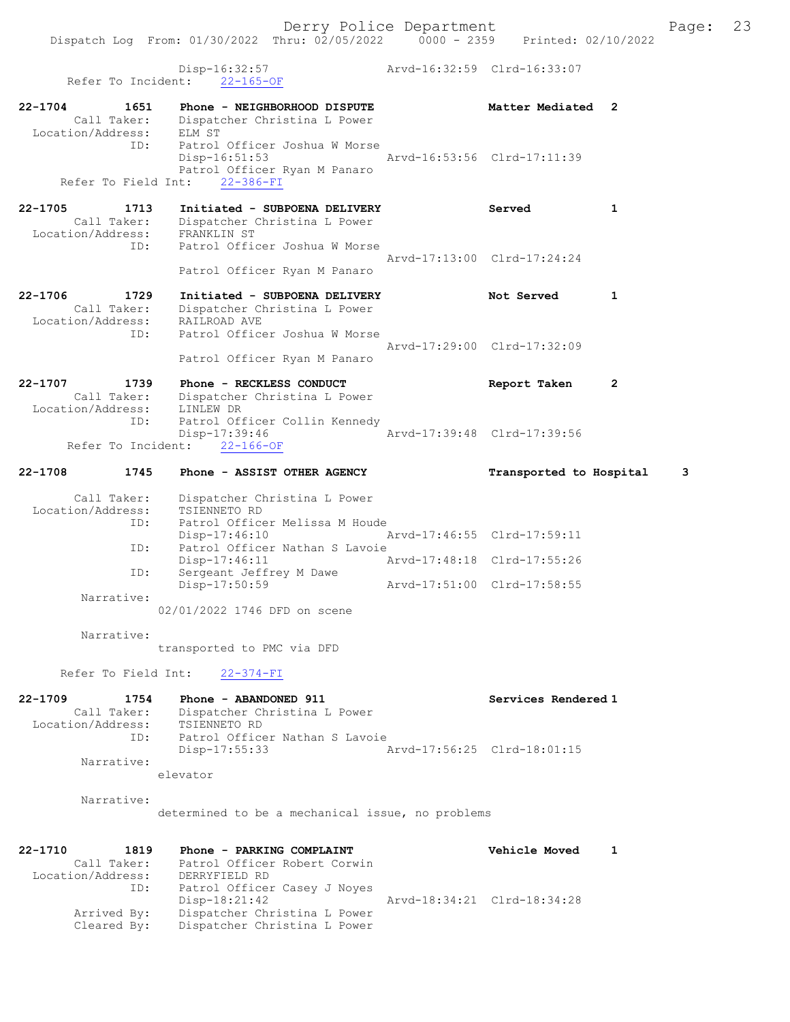Disp-16:32:57 Arvd-16:32:59 Clrd-16:33:07 Refer To Incident: 22-165-OF 22-1704 1651 Phone - NEIGHBORHOOD DISPUTE 1988 Matter Mediated 2 Call Taker: Dispatcher Christina L Power Location/Address: ELM ST ID: Patrol Officer Joshua W Morse Disp-16:51:53 Arvd-16:53:56 Clrd-17:11:39 Patrol Officer Ryan M Panaro Refer To Field Int: 22-386-FI 22-1705 1713 Initiated - SUBPOENA DELIVERY Served 1 Call Taker: Dispatcher Christina L Power Location/Address: FRANKLIN ST<br>ID: Patrol Offic Patrol Officer Joshua W Morse Arvd-17:13:00 Clrd-17:24:24 Patrol Officer Ryan M Panaro 22-1706 1729 Initiated - SUBPOENA DELIVERY Not Served 1 Call Taker: Dispatcher Christina L Power Location/Address: RAILROAD AVE ID: Patrol Officer Joshua W Morse Arvd-17:29:00 Clrd-17:32:09 Patrol Officer Ryan M Panaro 22-1707 1739 Phone - RECKLESS CONDUCT Report Taken 2 Call Taker: Dispatcher Christina L Power Location/Address: LINLEW DR ID: Patrol Officer Collin Kennedy Disp-17:39:46 Arvd-17:39:48 Clrd-17:39:56 Disp-17:39:46<br>Refer To Incident: <u>22-166-OF</u> 22-1708 1745 Phone - ASSIST OTHER AGENCY Transported to Hospital 3 Call Taker: Dispatcher Christina L Power Location/Address: TSIENNETO RD ID: Patrol Officer Melissa M Houde Disp-17:46:10 Arvd-17:46:55 Clrd-17:59:11 ID: Patrol Officer Nathan S Lavoie Disp-17:46:11 Arvd-17:48:18 Clrd-17:55:26 ID: Sergeant Jeffrey M Dawe Disp-17:50:59 Arvd-17:51:00 Clrd-17:58:55 Narrative: 02/01/2022 1746 DFD on scene Narrative: transported to PMC via DFD Refer To Field Int: 22-374-FI 22-1709 1754 Phone - ABANDONED 911 Services Rendered 1 Call Taker: Dispatcher Christina L Power Location/Address: TSIENNETO RD ID: Patrol Officer Nathan S Lavoie Disp-17:55:33 Arvd-17:56:25 Clrd-18:01:15 Narrative: elevator Narrative: determined to be a mechanical issue, no problems 22-1710 1819 Phone - PARKING COMPLAINT Vehicle Moved 1 Call Taker: Patrol Officer Robert Corwin Location/Address: DERRYFIELD RD ID: Patrol Officer Casey J Noyes<br>Disp-18:21:42 Arvd-18:34:21 Clrd-18:34:28 Arrived By: Dispatcher Christina L Power Cleared By: Dispatcher Christina L Power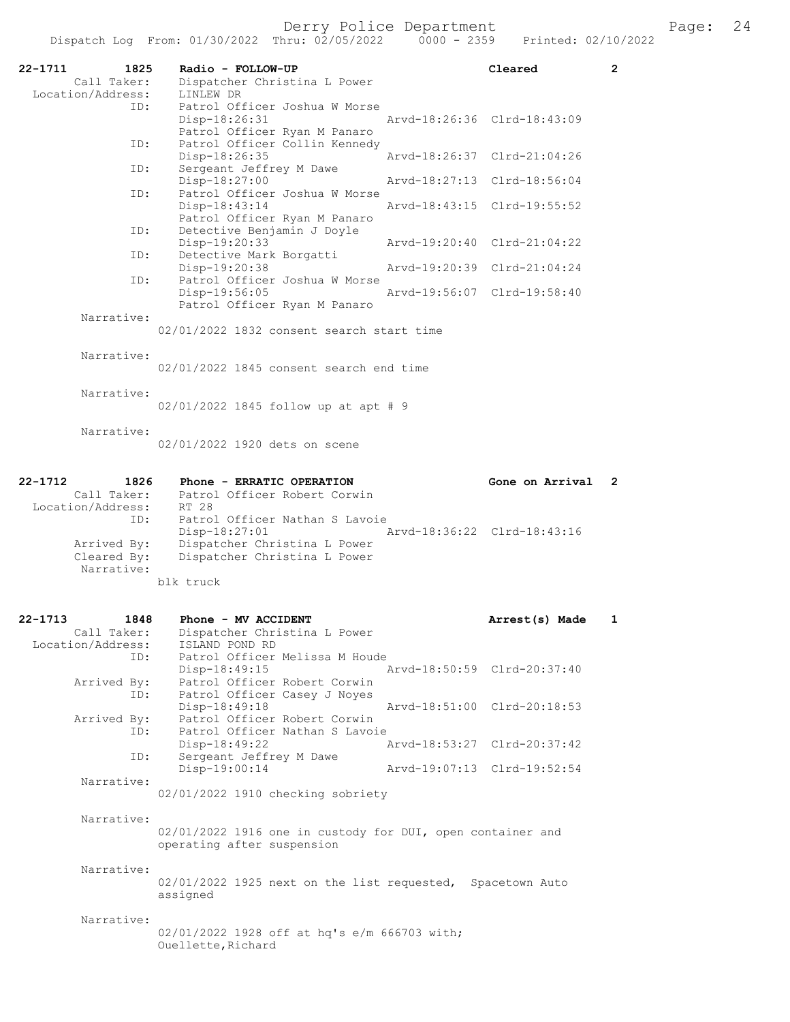| 22-1711<br>Call Taker:<br>Location/Address:     | 1825 | Radio - FOLLOW-UP<br>Dispatcher Christina L Power<br>LINLEW DR                                                                 | Cleared                     | $\overline{2}$ |
|-------------------------------------------------|------|--------------------------------------------------------------------------------------------------------------------------------|-----------------------------|----------------|
|                                                 | ID:  | Patrol Officer Joshua W Morse<br>Disp-18:26:31<br>Patrol Officer Ryan M Panaro                                                 | Arvd-18:26:36 Clrd-18:43:09 |                |
|                                                 | ID:  | Patrol Officer Collin Kennedy<br>Arvd-18:26:37<br>$Disp-18:26:35$                                                              | $Clrd-21:04:26$             |                |
|                                                 | ID:  | Sergeant Jeffrey M Dawe<br>$Disp-18:27:00$<br>Patrol Officer Joshua W Morse                                                    | Arvd-18:27:13 Clrd-18:56:04 |                |
|                                                 | ID:  | Disp-18:43:14<br>Patrol Officer Ryan M Panaro                                                                                  | Arvd-18:43:15 Clrd-19:55:52 |                |
|                                                 | ID:  | Detective Benjamin J Doyle<br>Disp-19:20:33                                                                                    | Arvd-19:20:40 Clrd-21:04:22 |                |
|                                                 | ID:  | Detective Mark Borgatti<br>Disp-19:20:38<br>Arvd-19:20:39                                                                      | $Clrd-21:04:24$             |                |
|                                                 | ID:  | Patrol Officer Joshua W Morse<br>Arvd-19:56:07<br>$Disp-19:56:05$<br>Patrol Officer Ryan M Panaro                              | $Clrd-19:58:40$             |                |
| Narrative:                                      |      | 02/01/2022 1832 consent search start time                                                                                      |                             |                |
| Narrative:                                      |      | $02/01/2022$ 1845 consent search end time                                                                                      |                             |                |
| Narrative:                                      |      | 02/01/2022 1845 follow up at apt # 9                                                                                           |                             |                |
| Narrative:                                      |      | 02/01/2022 1920 dets on scene                                                                                                  |                             |                |
| $22 - 1712$<br>Call Taker:<br>Location/Address: | 1826 | Phone - ERRATIC OPERATION<br>Patrol Officer Robert Corwin<br>RT 28                                                             | Gone on Arrival             | 2              |
| Arrived By:<br>Cleared By:<br>Narrative:        | ID:  | Patrol Officer Nathan S Lavoie<br>$Disp-18:27:01$<br>Dispatcher Christina L Power<br>Dispatcher Christina L Power<br>blk truck | Arvd-18:36:22 Clrd-18:43:16 |                |
| 22-1713<br>Call Taker:<br>Location/Address:     | 1848 | Phone - MV ACCIDENT<br>Dispatcher Christina L Power<br>ISLAND POND RD                                                          | Arrest(s) Made              | 1              |
| Arrived By:                                     | ID:  | Patrol Officer Melissa M Houde<br>Disp-18:49:15<br>Patrol Officer Robert Corwin                                                | Arvd-18:50:59 Clrd-20:37:40 |                |
|                                                 | ID:  | Patrol Officer Casey J Noyes<br>Disp-18:49:18<br>Patrol Officer Robert Corwin                                                  | Arvd-18:51:00 Clrd-20:18:53 |                |
| Arrived By:                                     | ID:  | Patrol Officer Nathan S Lavoie<br>Disp-18:49:22                                                                                | Arvd-18:53:27 Clrd-20:37:42 |                |
|                                                 | ID:  | Sergeant Jeffrey M Dawe<br>Disp-19:00:14                                                                                       | Arvd-19:07:13 Clrd-19:52:54 |                |
| Narrative:                                      |      | 02/01/2022 1910 checking sobriety                                                                                              |                             |                |
| Narrative:                                      |      | 02/01/2022 1916 one in custody for DUI, open container and<br>operating after suspension                                       |                             |                |
| Narrative:                                      |      | 02/01/2022 1925 next on the list requested, Spacetown Auto<br>assigned                                                         |                             |                |
| Narrative:                                      |      | 02/01/2022 1928 off at hq's e/m 666703 with;<br>Ouellette, Richard                                                             |                             |                |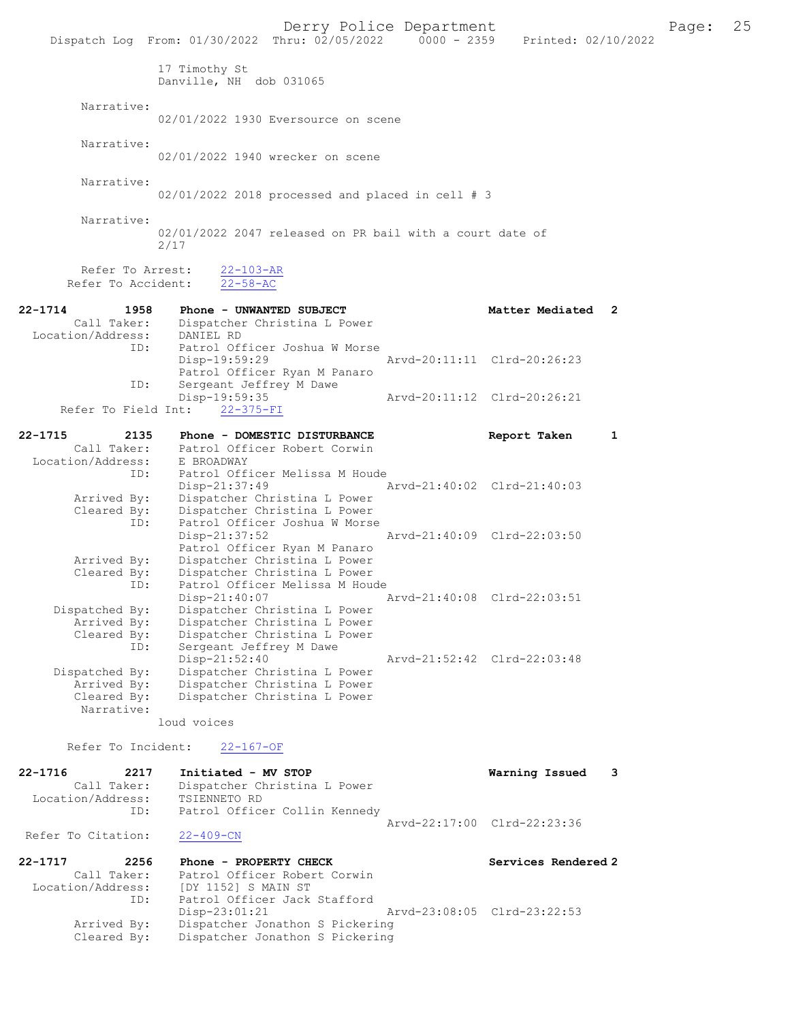|                                                            | Derry Police Department<br>Dispatch Log From: 01/30/2022 Thru: 02/05/2022   0000 - 2359   Printed: 02/10/2022    |                             |   | Page: | 25 |
|------------------------------------------------------------|------------------------------------------------------------------------------------------------------------------|-----------------------------|---|-------|----|
|                                                            | 17 Timothy St<br>Danville, NH dob 031065                                                                         |                             |   |       |    |
| Narrative:                                                 | 02/01/2022 1930 Eversource on scene                                                                              |                             |   |       |    |
| Narrative:                                                 | 02/01/2022 1940 wrecker on scene                                                                                 |                             |   |       |    |
| Narrative:                                                 | $02/01/2022$ 2018 processed and placed in cell # 3                                                               |                             |   |       |    |
| Narrative:                                                 | 02/01/2022 2047 released on PR bail with a court date of<br>2/17                                                 |                             |   |       |    |
| Refer To Arrest:<br>Refer To Accident:                     | $22 - 103 - AR$<br>$22 - 58 - AC$                                                                                |                             |   |       |    |
| 22-1714<br>1958<br>Location/Address: DANIEL RD             | Phone - UNWANTED SUBJECT<br>Call Taker: Dispatcher Christina L Power                                             | Matter Mediated 2           |   |       |    |
| ID:                                                        | Patrol Officer Joshua W Morse<br>Disp-19:59:29<br>Patrol Officer Ryan M Panaro                                   | Arvd-20:11:11 Clrd-20:26:23 |   |       |    |
| ID:<br>Refer To Field Int:                                 | Sergeant Jeffrey M Dawe<br>Disp-19:59:35<br>$22 - 375 - FI$                                                      | Arvd-20:11:12 Clrd-20:26:21 |   |       |    |
| 22-1715<br>2135                                            | Phone - DOMESTIC DISTURBANCE<br>Call Taker: Patrol Officer Robert Corwin                                         | Report Taken                | 1 |       |    |
| Location/Address: E BROADWAY<br>ID:                        | Patrol Officer Melissa M Houde<br>Disp-21:37:49                                                                  | Arvd-21:40:02 Clrd-21:40:03 |   |       |    |
| Arrived By:<br>Cleared By:<br>ID:                          | Dispatcher Christina L Power<br>Dispatcher Christina L Power<br>Patrol Officer Joshua W Morse<br>$Disp-21:37:52$ | Arvd-21:40:09 Clrd-22:03:50 |   |       |    |
| Arrived By:<br>Cleared By:                                 | Patrol Officer Ryan M Panaro<br>Dispatcher Christina L Power<br>Dispatcher Christina L Power                     |                             |   |       |    |
| ID:<br>Dispatched By:                                      | Patrol Officer Melissa M Houde<br>Disp-21:40:07<br>Dispatcher Christina L Power                                  | Arvd-21:40:08 Clrd-22:03:51 |   |       |    |
| Arrived By:<br>Cleared By:<br>ID:                          | Dispatcher Christina L Power<br>Dispatcher Christina L Power<br>Sergeant Jeffrey M Dawe                          |                             |   |       |    |
| Dispatched By:<br>Arrived By:<br>Cleared By:               | Disp-21:52:40<br>Dispatcher Christina L Power<br>Dispatcher Christina L Power<br>Dispatcher Christina L Power    | Arvd-21:52:42 Clrd-22:03:48 |   |       |    |
| Narrative:                                                 | loud voices                                                                                                      |                             |   |       |    |
| Refer To Incident:                                         | $22 - 167 - OF$                                                                                                  |                             |   |       |    |
| 22-1716<br>2217<br>Call Taker:<br>Location/Address:<br>ID: | Initiated - MV STOP<br>Dispatcher Christina L Power<br>TSIENNETO RD<br>Patrol Officer Collin Kennedy             | Warning Issued              | 3 |       |    |
| Refer To Citation:                                         | $22 - 409 - CN$                                                                                                  | Arvd-22:17:00 Clrd-22:23:36 |   |       |    |
| 22-1717<br>2256<br>Call Taker:                             | Phone - PROPERTY CHECK<br>Patrol Officer Robert Corwin                                                           | Services Rendered 2         |   |       |    |
| Location/Address:<br>ID:<br>Arrived By:                    | [DY 1152] S MAIN ST<br>Patrol Officer Jack Stafford<br>$Disp-23:01:21$<br>Dispatcher Jonathon S Pickering        | Arvd-23:08:05 Clrd-23:22:53 |   |       |    |
| Cleared By:                                                | Dispatcher Jonathon S Pickering                                                                                  |                             |   |       |    |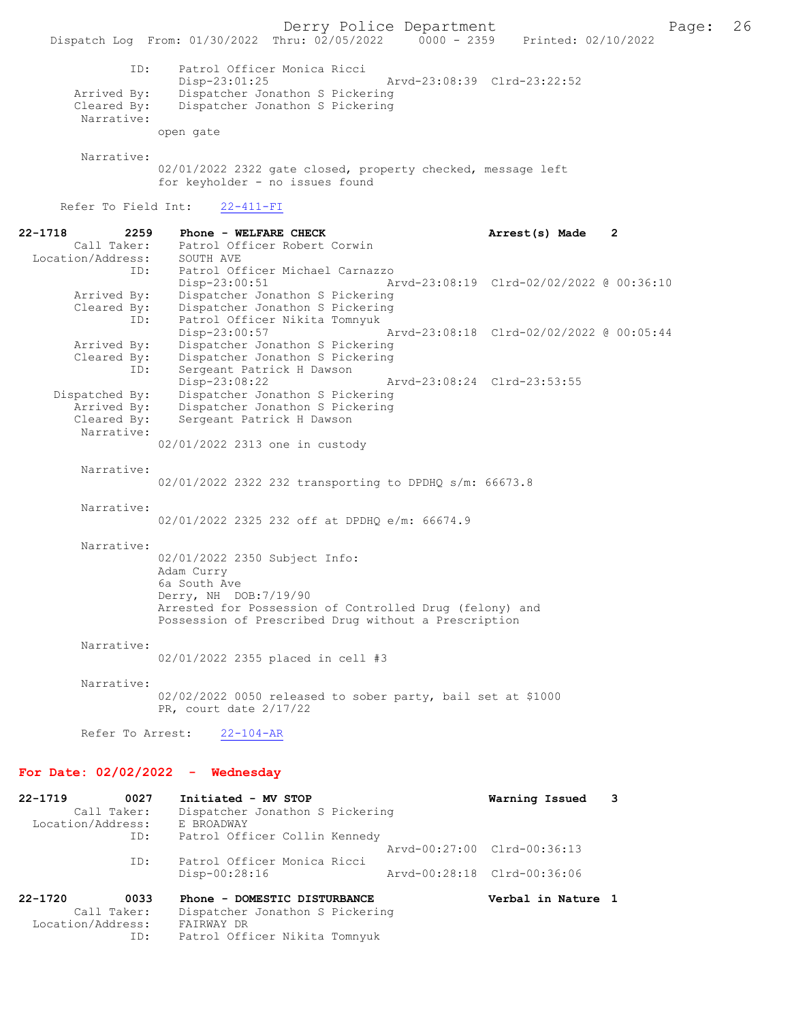Derry Police Department<br>Page: 26 Printed: 02/10/2022 Prince: 02/10/2022 Dispatch Log From: 01/30/2022 Thru: 02/05/2022 ID: Patrol Officer Monica Ricci Disp-23:01:25 Arvd-23:08:39 Clrd-23:22:52<br>Arrived By: Dispatcher Jonathon S Pickering Arrived By: Dispatcher Jonathon S Pickering<br>Cleared By: Dispatcher Jonathon S Pickering Dispatcher Jonathon S Pickering Narrative: open gate Narrative: 02/01/2022 2322 gate closed, property checked, message left for keyholder - no issues found Refer To Field Int: 22-411-FI 22-1718 2259 Phone - WELFARE CHECK 2 Arrest(s) Made 2 Call Taker: Patrol Officer Robert Corwin Location/Address: SOUTH AVE ID: Patrol Officer Michael Carnazzo Disp-23:00:51 Arvd-23:08:19 Clrd-02/02/2022 @ 00:36:10<br>Arrived By: Dispatcher Jonathon S Pickering Dispatcher Jonathon S Pickering Cleared By: Dispatcher Jonathon S Pickering ID: Patrol Officer Nikita Tomnyuk Disp-23:00:57 Arvd-23:08:18 Clrd-02/02/2022 @ 00:05:44 Arrived By: Dispatcher Jonathon S Pickering Cleared By: Dispatcher Jonathon S Pickering ID: Sergeant Patrick H Dawson<br>Disp-23:08:22 Disp-23:08:22 Arvd-23:08:24 Clrd-23:53:55<br>Dispatched By: Dispatcher Jonathon S Pickering spatched By: Dispatcher Jonathon S Pickering<br>Arrived By: Dispatcher Jonathon S Pickering Arrived By: Dispatcher Jonathon S Pickering<br>Cleared By: Sergeant Patrick H Dawson Sergeant Patrick H Dawson Narrative: 02/01/2022 2313 one in custody Narrative: 02/01/2022 2322 232 transporting to DPDHQ s/m: 66673.8 Narrative: 02/01/2022 2325 232 off at DPDHQ e/m: 66674.9 Narrative: 02/01/2022 2350 Subject Info: Adam Curry 6a South Ave Derry, NH DOB:7/19/90 Arrested for Possession of Controlled Drug (felony) and Possession of Prescribed Drug without a Prescription Narrative: 02/01/2022 2355 placed in cell #3 Narrative: 02/02/2022 0050 released to sober party, bail set at \$1000 PR, court date 2/17/22 Refer To Arrest: 22-104-AR For Date: 02/02/2022 - Wednesday 22-1719 0027 Initiated - MV STOP 11 Warning Issued 3<br>Call Taker: Dispatcher Jonathon S Pickering Dispatcher Jonathon S Pickering<br>E BROADWAY Location/Address: ID: Patrol Officer Collin Kennedy Arvd-00:27:00 Clrd-00:36:13 ID: Patrol Officer Monica Ricci Disp-00:28:16 Arvd-00:28:18 Clrd-00:36:06 22-1720 0033 Phone - DOMESTIC DISTURBANCE Verbal in Nature 1 Call Taker: Dispatcher Jonathon S Pickering

Location/Address: FAIRWAY DR<br>ID: Patrol Off:

Patrol Officer Nikita Tomnyuk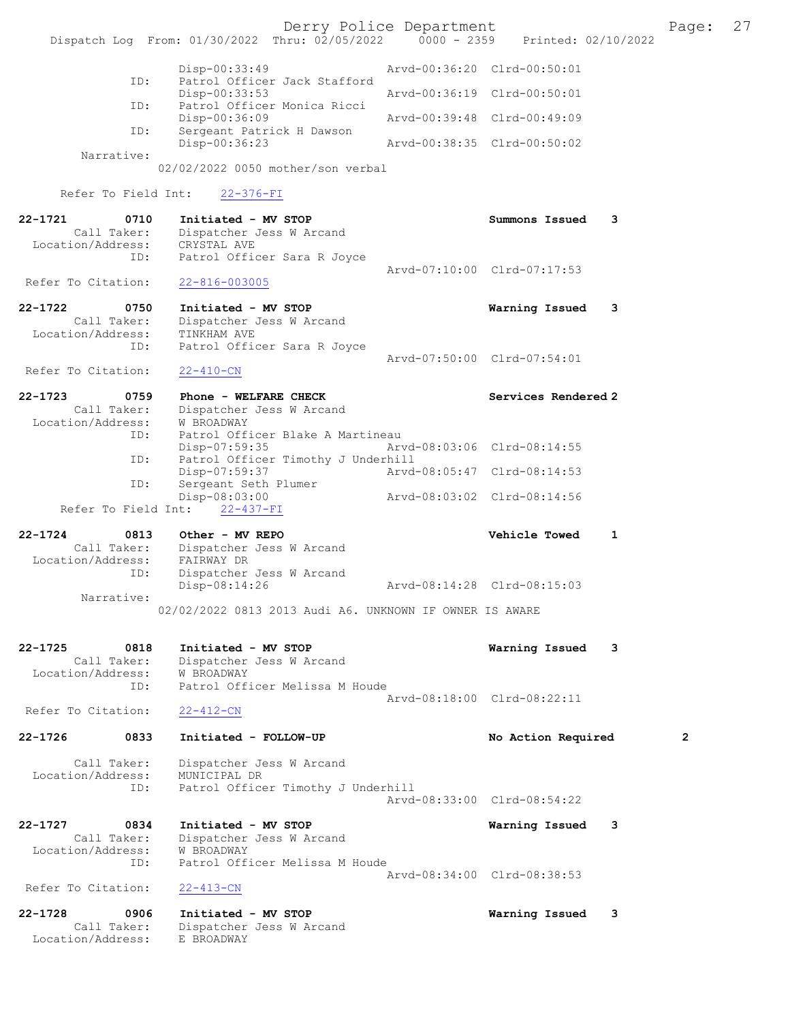Derry Police Department [1991] Page: 27<br>
Phru: 02/05/2022 | 0000 - 2359 | Printed: 02/10/2022 Dispatch Log From: 01/30/2022 Thru: 02/05/2022 Disp-00:33:49 Arvd-00:36:20 Clrd-00:50:01 ID: Patrol Officer Jack Stafford Disp-00:33:53 Arvd-00:36:19 Clrd-00:50:01<br>TD: Patrol Officer Monica Ricci Patrol Officer Monica Ricci<br>Disp-00:36:09 Disp-00:36:09 <br>D: Sergeant Patrick H Dawson <br>D: Sergeant Patrick H Dawson Sergeant Patrick H Dawson Disp-00:36:23 Arvd-00:38:35 Clrd-00:50:02 Narrative: 02/02/2022 0050 mother/son verbal Refer To Field Int: 22-376-FI 22-1721 0710 Initiated - MV STOP Summons Issued 3 Call Taker: Dispatcher Jess W Arcand<br>tion/Address: CRYSTAL AVE Location/Address: ID: Patrol Officer Sara R Joyce Arvd-07:10:00 Clrd-07:17:53<br>22-816-003005 Refer To Citation: 22-1722 0750 Initiated - MV STOP Warning Issued 3 Call Taker: Dispatcher Jess W Arcand Location/Address: TINKHAM AVE ID: Patrol Officer Sara R Joyce Arvd-07:50:00 Clrd-07:54:01 Refer To Citation: 22-410-CN 22-1723 0759 Phone - WELFARE CHECK Services Rendered 2 Call Taker: Dispatcher Jess W Arcand<br>ion/Address: W BROADWAY Location/Address: ID: Patrol Officer Blake A Martineau Disp-07:59:35 Arvd-08:03:06 Clrd-08:14:55<br>TD: Patrol Officer Timothy J Underbill Patrol Officer Timothy J Underhill<br>Disp-07:59:37 Arvd Disp-07:59:37 <br>
D: Sergeant Seth Plumer Arvd-08:05:47 Clrd-08:14:53 Sergeant Seth Plumer<br>Disp-08:03:00 Disp-08:03:00 Arvd-08:03:02 Clrd-08:14:56 Refer To Field Int: 22-437-FI 22-1724 0813 Other - MV REPO Vehicle Towed 1 Call Taker: Dispatcher Jess W Arcand Location/Address: FAIRWAY DR ID: Dispatcher Jess W Arcand Disp-08:14:26 Arvd-08:14:28 Clrd-08:15:03 Narrative: 02/02/2022 0813 2013 Audi A6. UNKNOWN IF OWNER IS AWARE 22-1725 0818 Initiated - MV STOP Warning Issued 3 Call Taker: Dispatcher Jess W Arcand Location/Address: W BROADWAY ID: Patrol Officer Melissa M Houde Arvd-08:18:00 Clrd-08:22:11<br>22-412-CN Refer To Citation: 22-1726 0833 Initiated - FOLLOW-UP No Action Required 2 Call Taker: Dispatcher Jess W Arcand<br>ion/Address: MUNICIPAL DR Location/Address:<br>ID: Patrol Officer Timothy J Underhill Arvd-08:33:00 Clrd-08:54:22 22-1727 0834 Initiated - MV STOP 19834 Call Taker: Dispatcher Jess W Arcand Dispatcher Jess W Arcand Location/Address: W BROADWAY<br>ID: Patrol Off Patrol Officer Melissa M Houde Arvd-08:34:00 Clrd-08:38:53<br>22-413-CN Refer To Citation: 22-1728 0906 Initiated - MV STOP 1988 1989 6 22-1728 0906 101 Marning Issued 3 Dispatcher Jess W Arcand<br>E BROADWAY Location/Address: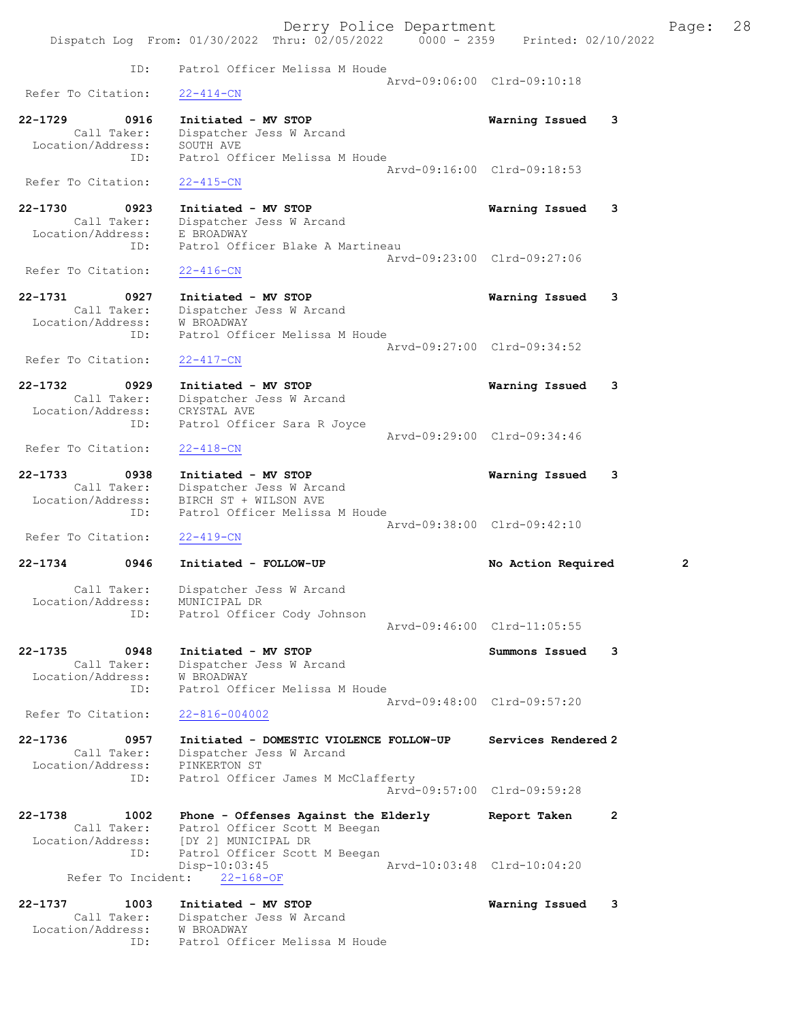Derry Police Department Fage: 28 Dispatch Log From: 01/30/2022 Thru: 02/05/2022 0000 - 2359 Printed: 02/10/2022 ID: Patrol Officer Melissa M Houde Arvd-09:06:00 Clrd-09:10:18<br>22-414-CN Refer To Citation: 22-1729 0916 Initiated - MV STOP Warning Issued 3 Call Taker: Dispatcher Jess W Arcand Location/Address: SOUTH AVE ID: Patrol Officer Melissa M Houde Arvd-09:16:00 Clrd-09:18:53 Refer To Citation: 22-415-CN 22-1730 0923 Initiated - MV STOP Warning Issued 3 Call Taker: Dispatcher Jess W Arcand Location/Address: E BROADWAY<br>ID: Patrol Offi Patrol Officer Blake A Martineau Arvd-09:23:00 Clrd-09:27:06<br>22-416-CN Refer To Citation: 22-1731 0927 Initiated - MV STOP Warning Issued 3 Call Taker: Dispatcher Jess W Arcand Location/Address: W BROADWAY ID: Patrol Officer Melissa M Houde Arvd-09:27:00 Clrd-09:34:52 Refer To Citation: 22-417-CN 22-1732 0929 Initiated - MV STOP Warning Issued 3 Call Taker: Dispatcher Jess W Arcand Location/Address: CRYSTAL AVE ID: Patrol Officer Sara R Joyce Arvd-09:29:00 Clrd-09:34:46<br>22-418-CN Refer To Citation: 22-1733 0938 Initiated - MV STOP Warning Issued 3 Call Taker: Dispatcher Jess W Arcand Location/Address: BIRCH ST + WILSON AVE ID: Patrol Officer Melissa M Houde Arvd-09:38:00 Clrd-09:42:10 Refer To Citation: 22-419-CN 22-1734 0946 Initiated - FOLLOW-UP No Action Required 2 Call Taker: Dispatcher Jess W Arcand Location/Address: MUNICIPAL DR ID: Patrol Officer Cody Johnson Arvd-09:46:00 Clrd-11:05:55 22-1735 0948 Initiated - MV STOP Summons Issued 3 Call Taker: Dispatcher Jess W Arcand Location/Address: W BROADWAY ID: Patrol Officer Melissa M Houde Arvd-09:48:00 Clrd-09:57:20 Refer To Citation: 22-816-004002 22-1736 0957 Initiated - DOMESTIC VIOLENCE FOLLOW-UP Services Rendered 2 Call Taker: Dispatcher Jess W Arcand Location/Address: PINKERTON ST ID: Patrol Officer James M McClafferty Arvd-09:57:00 Clrd-09:59:28 22-1738 1002 Phone - Offenses Against the Elderly Report Taken 2 Call Taker: Patrol Officer Scott M Beegan Location/Address: [DY 2] MUNICIPAL DR ID: Patrol Officer Scott M Beegan<br>Disp-10:03:45 Disp-10:03:45 Arvd-10:03:48 Clrd-10:04:20 Refer To Incident: 22-168-OF 22-1737 1003 Initiated - MV STOP Warning Issued 3 Call Taker: Dispatcher Jess W Arcand Location/Address: W BROADWAY ID: Patrol Officer Melissa M Houde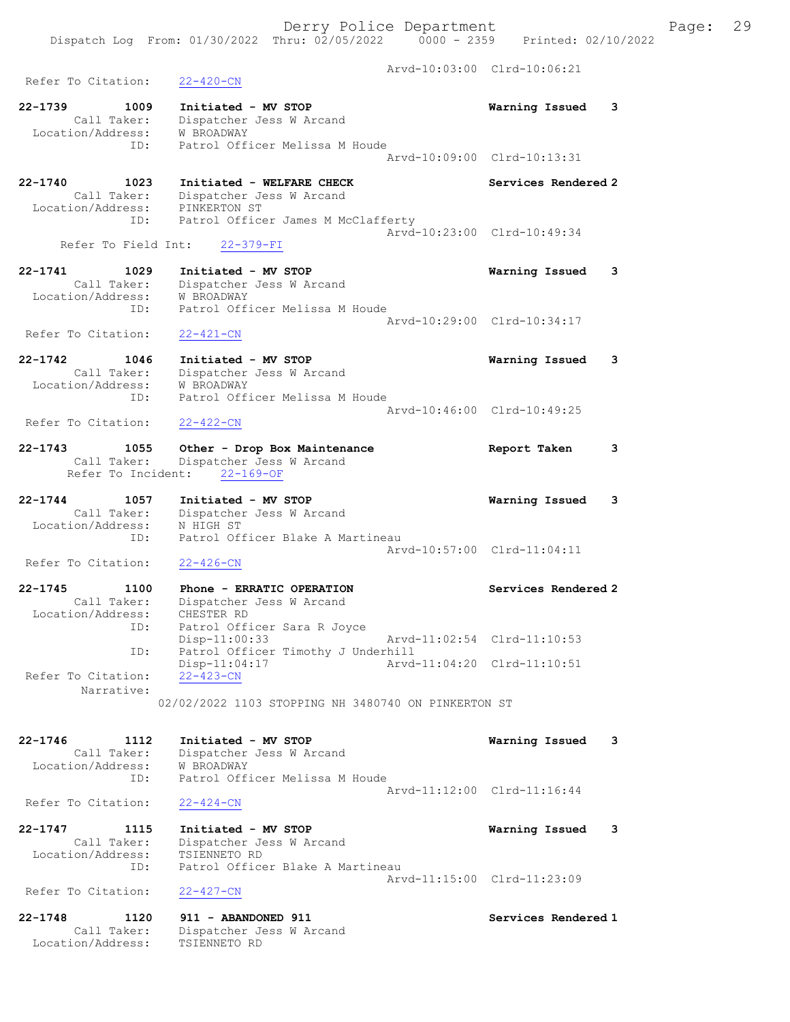Arvd-10:03:00 Clrd-10:06:21 Refer To Citation: 22-420-CN 22-1739 1009 Initiated - MV STOP Warning Issued 3 Call Taker: Dispatcher Jess W Arcand Location/Address: W BROADWAY ID: Patrol Officer Melissa M Houde Arvd-10:09:00 Clrd-10:13:31 22-1740 1023 Initiated - WELFARE CHECK Services Rendered 2 Call Taker: Dispatcher Jess W Arcand Location/Address: PINKERTON ST ID: Patrol Officer James M McClafferty Arvd-10:23:00 Clrd-10:49:34 Refer To Field Int: 22-379-FI 22-1741 1029 Initiated - MV STOP Warning Issued 3 Call Taker: Dispatcher Jess W Arcand Location/Address: W BROADWAY ID: Patrol Officer Melissa M Houde Arvd-10:29:00 Clrd-10:34:17 Refer To Citation: 22-421-CN 22-1742 1046 Initiated - MV STOP Warning Issued 3 Call Taker: Dispatcher Jess W Arcand Location/Address: W BROADWAY ID: Patrol Officer Melissa M Houde Arvd-10:46:00 Clrd-10:49:25<br>22-422-CN Refer To Citation: 22-1743 1055 Other - Drop Box Maintenance Report Taken 3 Call Taker: Dispatcher Jess W Arcand Refer To Incident: 22-169-OF 22-1744 1057 Initiated - MV STOP Warning Issued 3 Call Taker: Dispatcher Jess W Arcand Location/Address: N HIGH ST ID: Patrol Officer Blake A Martineau Arvd-10:57:00 Clrd-11:04:11 Refer To Citation: 22-426-CN 22-1745 1100 Phone - ERRATIC OPERATION Services Rendered 2 Call Taker: Dispatcher Jess W Arcand Location/Address: CHESTER RD ID: Patrol Officer Sara R Joyce DID: Patrol Officer Sara R Joyce<br>Disp-11:00:33 Arvd-11:02:54 Clrd-11:10:53 ID: Patrol Officer Timothy J Underhill Disp-11:04:17 Arvd-11:04:20 Clrd-11:10:51 Refer To Citation: 22-423-CN Narrative: 02/02/2022 1103 STOPPING NH 3480740 ON PINKERTON ST 22-1746 1112 Initiated - MV STOP Warning Issued 3 Call Taker: Dispatcher Jess W Arcand Location/Address: W BROADWAY ID: Patrol Officer Melissa M Houde Arvd-11:12:00 Clrd-11:16:44<br>22-424-CN Refer To Citation: 22-1747 1115 Initiated - MV STOP Warning Issued 3 Call Taker: Dispatcher Jess W Arcand Location/Address: TSIENNETO RD ID: Patrol Officer Blake A Martineau Arvd-11:15:00 Clrd-11:23:09 Refer To Citation: 22-427-CN 22-1748 1120 911 - ABANDONED 911 Services Rendered 1 Call Taker: Dispatcher Jess W Arcand Location/Address: TSIENNETO RD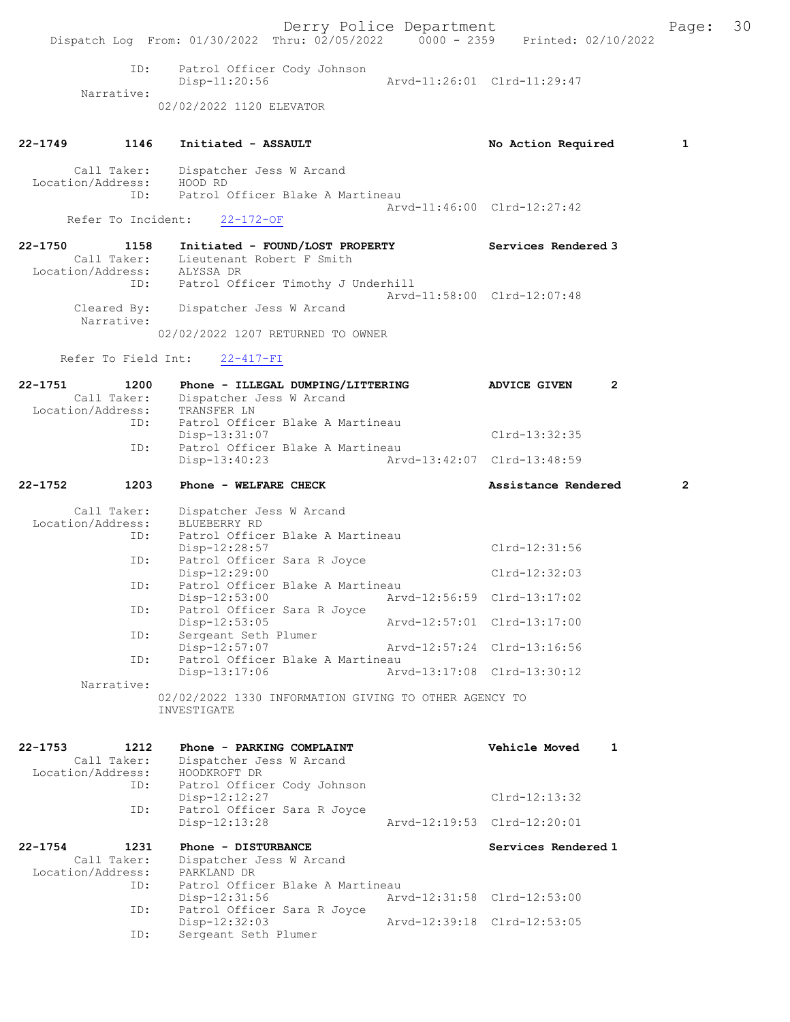Derry Police Department The Page: 30 Dispatch Log From: 01/30/2022 Thru: 02/05/2022 0000 - 2359 Printed: 02/10/2022 ID: Patrol Officer Cody Johnson Disp-11:20:56 Arvd-11:26:01 Clrd-11:29:47 Narrative: 02/02/2022 1120 ELEVATOR 22-1749 1146 Initiated - ASSAULT No Action Required 1 Call Taker: Dispatcher Jess W Arcand<br>.on/Address: HOOD RD Location/Address:<br>ID: Patrol Officer Blake A Martineau Arvd-11:46:00 Clrd-12:27:42 Refer To Incident: 22-172-OF 22-1750 1158 Initiated - FOUND/LOST PROPERTY Services Rendered 3 Call Taker: Lieutenant Robert F Smith Location/Address: ALYSSA DR ID: Patrol Officer Timothy J Underhill Arvd-11:58:00 Clrd-12:07:48 Cleared By: Dispatcher Jess W Arcand Narrative: 02/02/2022 1207 RETURNED TO OWNER Refer To Field Int: 22-417-FI 22-1751 1200 Phone - ILLEGAL DUMPING/LITTERING ADVICE GIVEN 2 Call Taker: Dispatcher Jess W Arcand<br>ion/Address: TRANSFER LN Location/Address:<br>ID: Patrol Officer Blake A Martineau Disp-13:31:07 Clrd-13:32:35<br>TD: Patrol Officer Blake A Martineau Patrol Officer Blake A Martineau<br>Disp-13:40:23 Arvo Disp-13:40:23 Arvd-13:42:07 Clrd-13:48:59 22-1752 1203 Phone - WELFARE CHECK 2 Assistance Rendered 2 Call Taker: Dispatcher Jess W Arcand Location/Address: BLUEBERRY RD ID: Patrol Officer Blake A Martineau Disp-12:28:57 Clrd-12:31:56<br>TD: Patrol Officer Sara R Joyce Patrol Officer Sara R Joyce Disp-12:29:00 Clrd-12:32:03 ID: Patrol Officer Blake A Martineau<br>Disp-12:53:00 Arv Disp-12:53:00 Arvd-12:56:59 Clrd-13:17:02<br>TD: Patrol Officer Sara R Joyce Patrol Officer Sara R Joyce<br>Disp-12:53:05 Disp-12:53:05 <br>Disp-12:53:05 Arvd-12:57:01 Clrd-13:17:00<br>Disperse ant Seth Plumer Disp I2:33:33<br>Sergeant Seth Plumer<br>Disp-12:57:07 Disp-12:57:07 Arvd-12:57:24 Clrd-13:16:56<br>TD: Patrol Officer Blake A Martineau Patrol Officer Blake A Martineau<br>Disp-13:17:06 Arv Disp-13:17:06 Arvd-13:17:08 Clrd-13:30:12 Narrative: 02/02/2022 1330 INFORMATION GIVING TO OTHER AGENCY TO INVESTIGATE 22-1753 1212 Phone - PARKING COMPLAINT Vehicle Moved 1 Call Taker: Dispatcher Jess W Arcand Location/Address: HOODKROFT DR ID: Patrol Officer Cody Johnson Disp-12:12:27 Clrd-12:13:32<br>The Patrol Officer Sara R Joyce rol Officer Sara R Joyce<br>Disp-12:13:28 Disp-12:13:28 Arvd-12:19:53 Clrd-12:20:01 22-1754 1231 Phone - DISTURBANCE Services Rendered 1 Call Taker: Dispatcher Jess W Arcand<br>tion/Address: PARKLAND DR Location/Address:<br>ID: Patrol Officer Blake A Martineau<br>Disp-12:31:56 Arw Disp-12:31:56 Arvd-12:31:58 Clrd-12:53:00<br>ID: Patrol Officer Sara R Joyce Patrol Officer Sara R Joyce Disp-12:32:03 Arvd-12:39:18 Clrd-12:53:05<br>ID: Sergeant Seth Plumer Sergeant Seth Plumer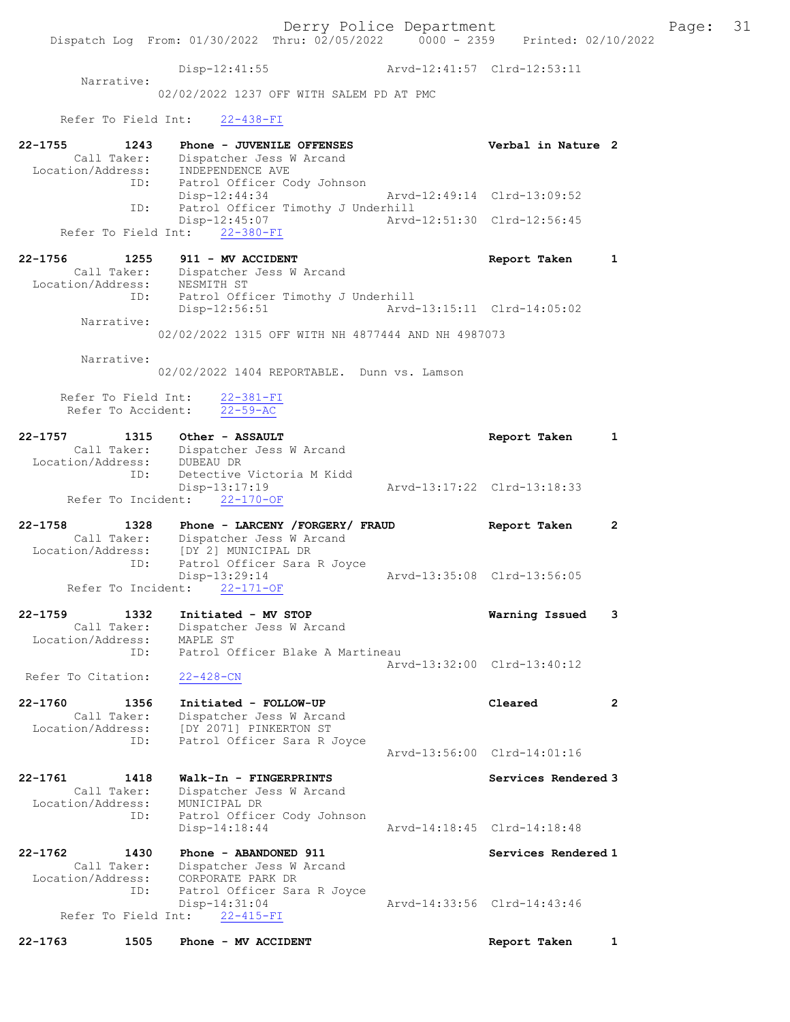Dispatch Log From: 01/30/2022 Thru: 02/05/2022 0000 - 2359 Printed: 02/10/2022 Disp-12:41:55 Arvd-12:41:57 Clrd-12:53:11 Narrative: 02/02/2022 1237 OFF WITH SALEM PD AT PMC Refer To Field Int: 22-438-FI 22-1755 1243 Phone - JUVENILE OFFENSES Verbal in Nature 2 Call Taker: Dispatcher Jess W Arcand Location/Address: INDEPENDENCE AVE ID: Patrol Officer Cody Johnson Disp-12:44:34 Arvd-12:49:14 Clrd-13:09:52 ID: Patrol Officer Timothy J Underhill<br>Disp-12:45:07 Mrvd-12:51:30 Clrd-12:56:45  $Disp-12:45:07$ Refer To Field Int: 22-380-FI 22-1756 1255 911 - MV ACCIDENT Report Taken 1 Call Taker: Dispatcher Jess W Arcand Location/Address: NESMITH ST ID: Patrol Officer Timothy J Underhill Disp-12:56:51 Arvd-13:15:11 Clrd-14:05:02 Narrative: 02/02/2022 1315 OFF WITH NH 4877444 AND NH 4987073 Narrative: 02/02/2022 1404 REPORTABLE. Dunn vs. Lamson Refer To Field Int: 22-381-FI Refer To Accident: 22-59-AC 22-1757 1315 Other - ASSAULT Report Taken 1 Call Taker: Dispatcher Jess W Arcand Location/Address: DUBEAU DR ID: Detective Victoria M Kidd Disp-13:17:19 Arvd-13:17:22 Clrd-13:18:33 Refer To Incident: 22-170-OF 22-1758 1328 Phone - LARCENY /FORGERY/ FRAUD Report Taken 2 Call Taker: Dispatcher Jess W Arcand Location/Address: [DY 2] MUNICIPAL DR ID: Patrol Officer Sara R Joyce Disp-13:29:14 Arvd-13:35:08 Clrd-13:56:05 Refer To Incident: 22-171-OF 22-1759 1332 Initiated - MV STOP Warning Issued 3 Call Taker: Dispatcher Jess W Arcand Location/Address: MAPLE ST ID: Patrol Officer Blake A Martineau Arvd-13:32:00 Clrd-13:40:12 Refer To Citation: 22-428-CN 22-1760 1356 Initiated - FOLLOW-UP Cleared 2 Call Taker: Dispatcher Jess W Arcand Location/Address: [DY 2071] PINKERTON ST ID: Patrol Officer Sara R Joyce Arvd-13:56:00 Clrd-14:01:16 22-1761 1418 Walk-In - FINGERPRINTS Services Rendered 3 Call Taker: Dispatcher Jess W Arcand Location/Address: MUNICIPAL DR ID: Patrol Officer Cody Johnson Disp-14:18:44 Arvd-14:18:45 Clrd-14:18:48 22-1762 1430 Phone - ABANDONED 911 Services Rendered 1 Call Taker: Dispatcher Jess W Arcand<br>CORPORATE PARK DR Location/Address: ID: Patrol Officer Sara R Joyce<br>Disp-14:31:04 Disp-14:31:04 Arvd-14:33:56 Clrd-14:43:46 Refer To Field Int: 22-415-FI

22-1763 1505 Phone - MV ACCIDENT Report Taken 1

Derry Police Department Fage: 31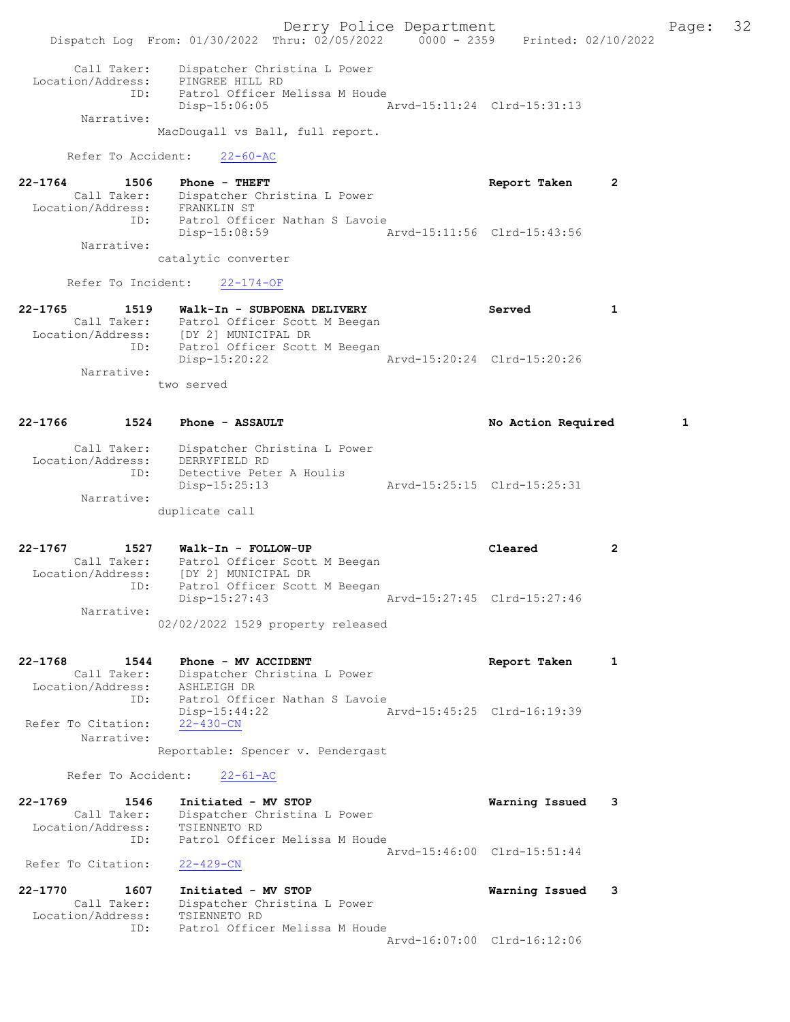Derry Police Department Fage: 32 Dispatch Log From: 01/30/2022 Thru: 02/05/2022 0000 - 2359 Printed: 02/10/2022 Call Taker: Dispatcher Christina L Power Location/Address: PINGREE HILL RD ID: Patrol Officer Melissa M Houde Disp-15:06:05 Arvd-15:11:24 Clrd-15:31:13 Narrative: MacDougall vs Ball, full report. Refer To Accident: 22-60-AC 22-1764 1506 Phone - THEFT 2 Call Taker: Dispatcher Christina L Power Location/Address: FRANKLIN ST ID: Patrol Officer Nathan S Lavoie Disp-15:08:59 Arvd-15:11:56 Clrd-15:43:56 Narrative: catalytic converter Refer To Incident: 22-174-OF 22-1765 1519 Walk-In - SUBPOENA DELIVERY Served 1 Call Taker: Patrol Officer Scott M Beegan Location/Address: [DY 2] MUNICIPAL DR ID: Patrol Officer Scott M Beegan Disp-15:20:22 Arvd-15:20:24 Clrd-15:20:26 Narrative: two served 22-1766 1524 Phone - ASSAULT No Mondo No Action Required 1 Call Taker: Dispatcher Christina L Power Location/Address: DERRYFIELD RD ID: Detective Peter A Houlis Disp-15:25:13 Arvd-15:25:15 Clrd-15:25:31 Narrative: duplicate call 22-1767 1527 Walk-In - FOLLOW-UP Cleared 2 Call Taker: Patrol Officer Scott M Beegan Location/Address: [DY 2] MUNICIPAL DR ID: Patrol Officer Scott M Beegan Disp-15:27:43 Arvd-15:27:45 Clrd-15:27:46 Narrative: 02/02/2022 1529 property released 22-1768 1544 Phone - MV ACCIDENT Report Taken 1 Call Taker: Dispatcher Christina L Power Location/Address: ASHLEIGH DR ID: Patrol Officer Nathan S Lavoie Disp-15:44:22 Arvd-15:45:25 Clrd-16:19:39 Refer To Citation: 22-430-CN Narrative: Reportable: Spencer v. Pendergast Refer To Accident: 22-61-AC 22-1769 1546 Initiated - MV STOP Warning Issued 3 Call Taker: Dispatcher Christina L Power Location/Address: TSIENNETO RD ID: Patrol Officer Melissa M Houde Arvd-15:46:00 Clrd-15:51:44 Refer To Citation: 22-429-CN 22-1770 1607 Initiated - MV STOP Warning Issued 3 Call Taker: Dispatcher Christina L Power Location/Address: TSIENNETO RD ID: Patrol Officer Melissa M Houde Arvd-16:07:00 Clrd-16:12:06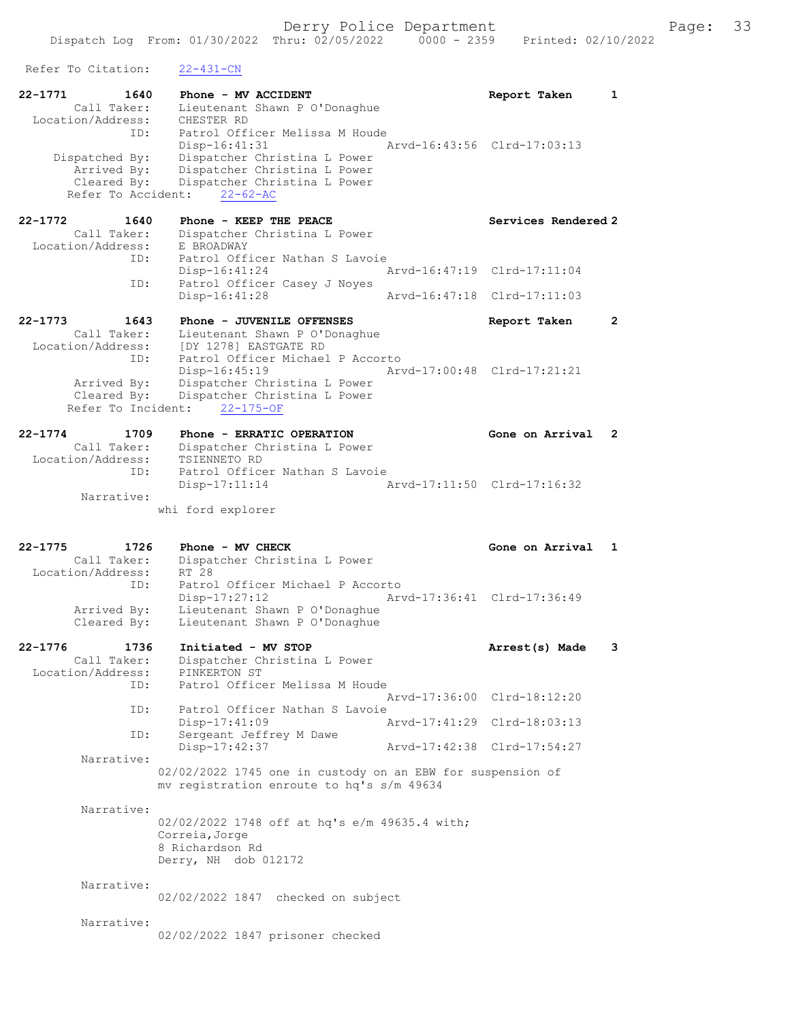| Refer To Citation:                                                        | 22-431-CN                                                                                                                                                         |                             |                |
|---------------------------------------------------------------------------|-------------------------------------------------------------------------------------------------------------------------------------------------------------------|-----------------------------|----------------|
| 22-1771<br>1640<br>Call Taker:<br>Location/Address:                       | Phone - MV ACCIDENT<br>Lieutenant Shawn P O'Donaghue<br>CHESTER RD                                                                                                | Report Taken                | 1              |
| ID:<br>Dispatched By:<br>Arrived By:<br>Cleared By:<br>Refer To Accident: | Patrol Officer Melissa M Houde<br>Disp-16:41:31<br>Dispatcher Christina L Power<br>Dispatcher Christina L Power<br>Dispatcher Christina L Power<br>$22 - 62 - AC$ | Aryd-16:43:56 Clrd-17:03:13 |                |
| 22-1772<br>1640                                                           | Phone - KEEP THE PEACE                                                                                                                                            | Services Rendered 2         |                |
| Call Taker:<br>Location/Address:                                          | Dispatcher Christina L Power<br>E BROADWAY                                                                                                                        |                             |                |
| ID:                                                                       | Patrol Officer Nathan S Lavoie<br>$Disp-16:41:24$                                                                                                                 | Arvd-16:47:19 Clrd-17:11:04 |                |
| ID:                                                                       | Patrol Officer Casey J Noyes<br>Disp-16:41:28                                                                                                                     | Arvd-16:47:18 Clrd-17:11:03 |                |
| $22 - 1773$<br>1643<br>Call Taker:<br>Location/Address:                   | Phone - JUVENILE OFFENSES<br>Lieutenant Shawn P O'Donaghue<br>[DY 1278] EASTGATE RD                                                                               | Report Taken                | $\overline{2}$ |
| ID:<br>Arrived By:<br>Cleared By:<br>Refer To Incident:                   | Patrol Officer Michael P Accorto<br>Disp-16:45:19<br>Dispatcher Christina L Power<br>Dispatcher Christina L Power<br>$22 - 175 - OF$                              | Arvd-17:00:48 Clrd-17:21:21 |                |
| $22 - 1774$<br>1709                                                       | Phone - ERRATIC OPERATION                                                                                                                                         | Gone on Arrival             | 2              |
| Call Taker:<br>Location/Address:                                          | Dispatcher Christina L Power<br>TSIENNETO RD                                                                                                                      |                             |                |
| ID:                                                                       | Patrol Officer Nathan S Lavoie<br>$Disp-17:11:14$                                                                                                                 | Arvd-17:11:50 Clrd-17:16:32 |                |
| Narrative:                                                                | whi ford explorer                                                                                                                                                 |                             |                |
|                                                                           |                                                                                                                                                                   |                             |                |
|                                                                           |                                                                                                                                                                   |                             |                |
| $22 - 1775$<br>1726<br>Call Taker:<br>Location/Address:                   | Phone - MV CHECK<br>Dispatcher Christina L Power<br>RT 28                                                                                                         | Gone on Arrival             | 1              |
| ID:<br>Arrived By:                                                        | Patrol Officer Michael P Accorto<br>Disp-17:27:12<br>Lieutenant Shawn P O'Donaghue                                                                                | Arvd-17:36:41 Clrd-17:36:49 |                |
| Cleared By:                                                               | Lieutenant Shawn P O'Donaghue                                                                                                                                     |                             |                |
| $22 - 1776$<br>1736<br>Call Taker:<br>Location/Address:                   | Initiated - MV STOP<br>Dispatcher Christina L Power<br>PINKERTON ST                                                                                               | Arrest(s) Made              | 3              |
| ID:                                                                       | Patrol Officer Melissa M Houde                                                                                                                                    | Arvd-17:36:00 Clrd-18:12:20 |                |
| ID:                                                                       | Patrol Officer Nathan S Lavoie<br>Disp-17:41:09                                                                                                                   | Arvd-17:41:29 Clrd-18:03:13 |                |
| ID:                                                                       | Sergeant Jeffrey M Dawe<br>Disp-17:42:37                                                                                                                          | Arvd-17:42:38 Clrd-17:54:27 |                |
| Narrative:                                                                |                                                                                                                                                                   |                             |                |
|                                                                           | 02/02/2022 1745 one in custody on an EBW for suspension of<br>mv registration enroute to hq's s/m 49634                                                           |                             |                |
| Narrative:                                                                | 02/02/2022 1748 off at hq's e/m 49635.4 with;<br>Correia, Jorge<br>8 Richardson Rd<br>Derry, NH dob 012172                                                        |                             |                |
| Narrative:                                                                | 02/02/2022 1847 checked on subject                                                                                                                                |                             |                |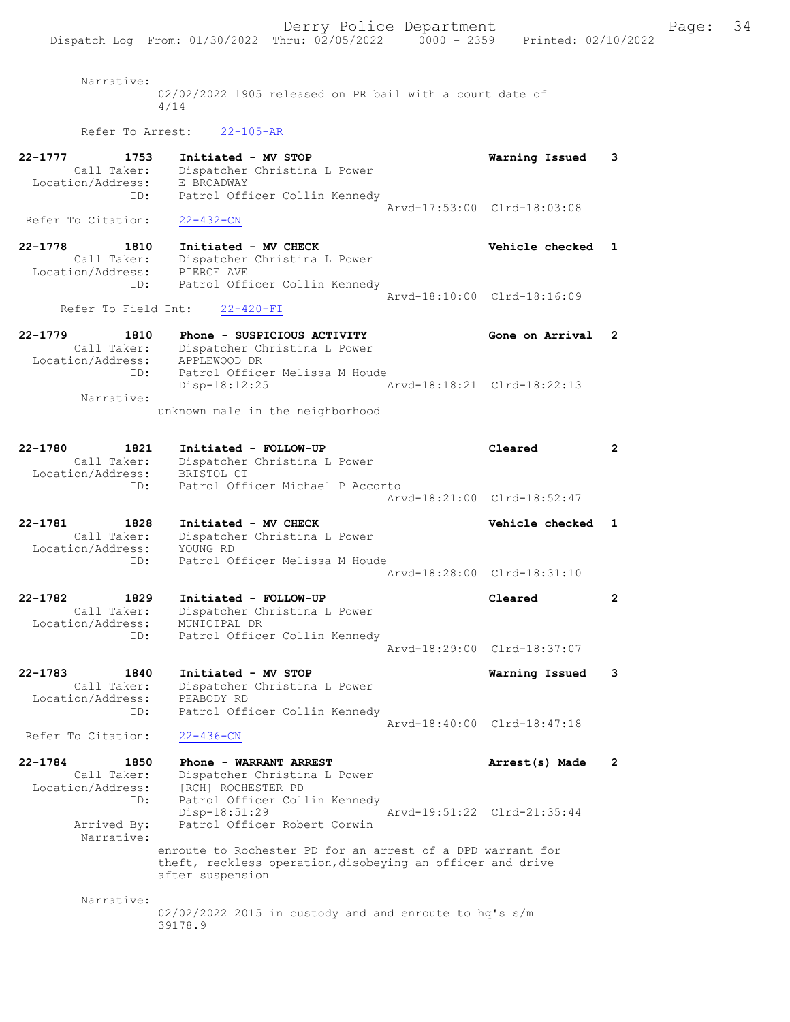Narrative:

02/02/2022 1905 released on PR bail with a court date of 4/14

# Refer To Arrest: 22-105-AR

| 22-1777<br>1753<br>Call Taker:<br>Location/Address:<br>ID:     | Initiated - MV STOP<br>Dispatcher Christina L Power<br>E BROADWAY<br>Patrol Officer Collin Kennedy                                           | Warning Issued<br>3                                            |
|----------------------------------------------------------------|----------------------------------------------------------------------------------------------------------------------------------------------|----------------------------------------------------------------|
| Refer To Citation:                                             | $22 - 432 - CN$                                                                                                                              | Arvd-17:53:00 Clrd-18:03:08                                    |
| 22-1778<br>1810<br>Call Taker:<br>Location/Address:<br>ID:     | Initiated - MV CHECK<br>Dispatcher Christina L Power<br>PIERCE AVE<br>Patrol Officer Collin Kennedy                                          | Vehicle checked<br>$\mathbf{1}$<br>Arvd-18:10:00 Clrd-18:16:09 |
| Refer To Field Int:                                            | $22 - 420 - FI$                                                                                                                              |                                                                |
| $22 - 1779$<br>1810<br>Call Taker:                             | Phone - SUSPICIOUS ACTIVITY<br>Dispatcher Christina L Power                                                                                  | Gone on Arrival<br>2                                           |
| Location/Address:<br>ID:                                       | APPLEWOOD DR<br>Patrol Officer Melissa M Houde<br>$Disp-18:12:25$                                                                            | Arvd-18:18:21 Clrd-18:22:13                                    |
| Narrative:                                                     | unknown male in the neighborhood                                                                                                             |                                                                |
| 22-1780<br>1821<br>Call Taker:<br>Location/Address:            | Initiated - FOLLOW-UP<br>Dispatcher Christina L Power<br>BRISTOL CT                                                                          | $\mathbf{2}$<br>Cleared                                        |
| ID:                                                            | Patrol Officer Michael P Accorto                                                                                                             | Arvd-18:21:00 Clrd-18:52:47                                    |
| 22-1781<br>1828<br>Call Taker:<br>Location/Address:            | Initiated - MV CHECK<br>Dispatcher Christina L Power<br>YOUNG RD                                                                             | Vehicle checked<br>1                                           |
| ID:                                                            | Patrol Officer Melissa M Houde                                                                                                               | Arvd-18:28:00 Clrd-18:31:10                                    |
| 22-1782<br>1829<br>Call Taker:<br>Location/Address:<br>ID:     | Initiated - FOLLOW-UP<br>Dispatcher Christina L Power<br>MUNICIPAL DR<br>Patrol Officer Collin Kennedy                                       | Cleared<br>$\mathbf{2}$                                        |
|                                                                |                                                                                                                                              | Arvd-18:29:00 Clrd-18:37:07                                    |
| $22 - 1783$<br>1840<br>Call Taker:<br>Location/Address:<br>ID: | Initiated - MV STOP<br>Dispatcher Christina L Power<br>PEABODY RD<br>Patrol Officer Collin Kennedy                                           | 3<br>Warning Issued                                            |
| Refer To Citation:                                             | $22 - 436 - CN$                                                                                                                              | Arvd-18:40:00 Clrd-18:47:18                                    |
| $22 - 1784$<br>1850<br>Call Taker:<br>Location/Address:<br>ID: | Phone - WARRANT ARREST<br>Dispatcher Christina L Power<br>[RCH] ROCHESTER PD<br>Patrol Officer Collin Kennedy                                | Arrest(s) Made<br>$\mathbf{2}$                                 |
| Arrived By:<br>Narrative:                                      | Disp-18:51:29<br>Patrol Officer Robert Corwin                                                                                                | Arvd-19:51:22 Clrd-21:35:44                                    |
|                                                                | enroute to Rochester PD for an arrest of a DPD warrant for<br>theft, reckless operation, disobeying an officer and drive<br>after suspension |                                                                |
| Narrative:                                                     | 02/02/2022 2015 in custody and and enroute to hq's s/m<br>39178.9                                                                            |                                                                |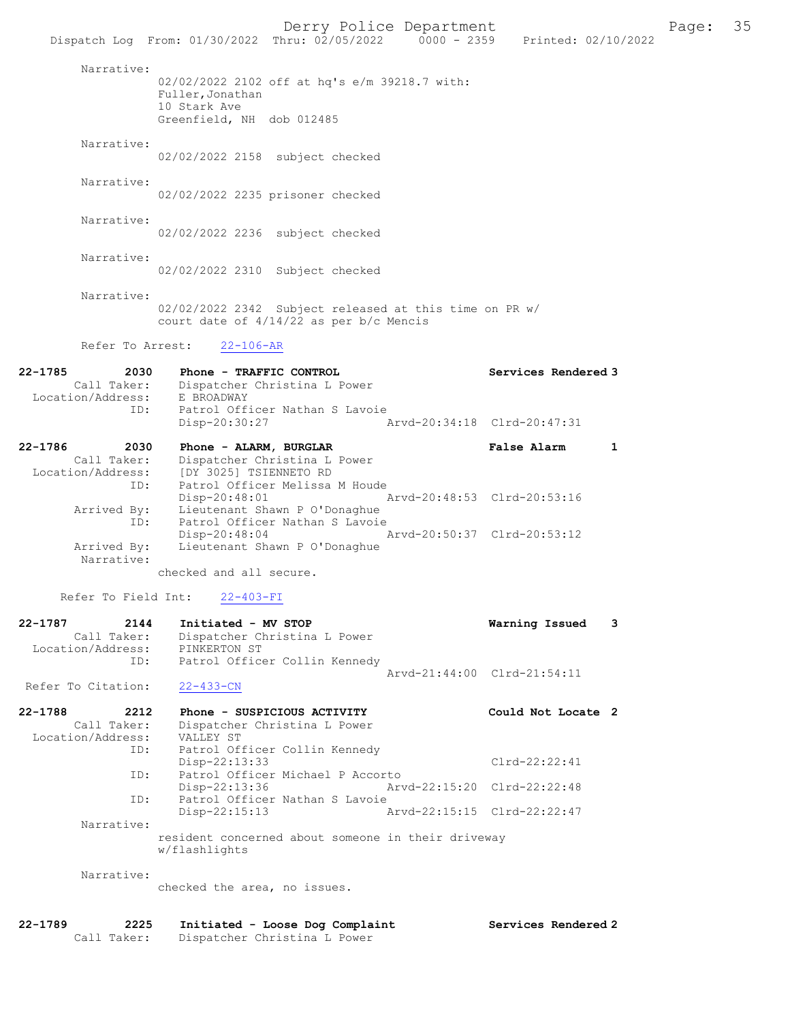|                                  | Dispatch Log From: 01/30/2022 Thru: 02/05/2022 0000 - 2359          | Printed: 02/10/2022         |
|----------------------------------|---------------------------------------------------------------------|-----------------------------|
| Narrative:                       |                                                                     |                             |
|                                  | 02/02/2022 2102 off at hq's e/m 39218.7 with:<br>Fuller, Jonathan   |                             |
|                                  | 10 Stark Ave                                                        |                             |
|                                  | Greenfield, NH dob 012485                                           |                             |
| Narrative:                       |                                                                     |                             |
|                                  | 02/02/2022 2158 subject checked                                     |                             |
| Narrative:                       |                                                                     |                             |
|                                  | 02/02/2022 2235 prisoner checked                                    |                             |
| Narrative:                       | 02/02/2022 2236 subject checked                                     |                             |
|                                  |                                                                     |                             |
| Narrative:                       | 02/02/2022 2310 Subject checked                                     |                             |
|                                  |                                                                     |                             |
| Narrative:                       | 02/02/2022 2342 Subject released at this time on PR w/              |                             |
|                                  | court date of 4/14/22 as per b/c Mencis                             |                             |
| Refer To Arrest:                 | $22 - 106 - AR$                                                     |                             |
|                                  |                                                                     |                             |
| 22-1785<br>2030<br>Call Taker:   | Phone - TRAFFIC CONTROL<br>Dispatcher Christina L Power             | Services Rendered 3         |
| Location/Address:                | E BROADWAY                                                          |                             |
| ID:                              | Patrol Officer Nathan S Lavoie<br>Disp-20:30:27                     | Arvd-20:34:18 Clrd-20:47:31 |
|                                  |                                                                     |                             |
| 22-1786<br>2030<br>Call Taker:   | Phone - ALARM, BURGLAR<br>Dispatcher Christina L Power              | <b>False Alarm</b><br>1     |
|                                  | Location/Address: [DY 3025] TSIENNETO RD                            |                             |
| ID:                              | Patrol Officer Melissa M Houde<br>$Disp-20:48:01$                   | Arvd-20:48:53 Clrd-20:53:16 |
| Arrived By:<br>ID:               | Lieutenant Shawn P O'Donaghue<br>Patrol Officer Nathan S Lavoie     |                             |
|                                  | $Disp-20:48:04$                                                     | Arvd-20:50:37 Clrd-20:53:12 |
| Arrived By:<br>Narrative:        | Lieutenant Shawn P O'Donaghue                                       |                             |
|                                  | checked and all secure.                                             |                             |
| Refer To Field Int:              | $22 - 403 - FI$                                                     |                             |
| 22-1787<br>2144                  | Initiated - MV STOP                                                 | Warning Issued<br>3         |
| Call Taker:                      | Dispatcher Christina L Power                                        |                             |
| Location/Address:<br>ID:         | PINKERTON ST<br>Patrol Officer Collin Kennedy                       |                             |
|                                  |                                                                     | Arvd-21:44:00 Clrd-21:54:11 |
| Refer To Citation:               | $22 - 433 - CN$                                                     |                             |
| 22-1788<br>2212                  | Phone - SUSPICIOUS ACTIVITY                                         | Could Not Locate 2          |
| Call Taker:<br>Location/Address: | Dispatcher Christina L Power<br>VALLEY ST                           |                             |
| ID:                              | Patrol Officer Collin Kennedy                                       |                             |
| ID:                              | $Disp-22:13:33$<br>Patrol Officer Michael P Accorto                 | $Clrd-22:22:41$             |
| ID:                              | Disp-22:13:36<br>Patrol Officer Nathan S Lavoie                     | Arvd-22:15:20 Clrd-22:22:48 |
|                                  | Disp-22:15:13                                                       | Arvd-22:15:15 Clrd-22:22:47 |
| Narrative:                       |                                                                     |                             |
|                                  | resident concerned about someone in their driveway<br>w/flashlights |                             |
| Narrative:                       |                                                                     |                             |
|                                  | checked the area, no issues.                                        |                             |
|                                  |                                                                     |                             |
| 22-1789<br>2225                  | Initiated - Loose Dog Complaint                                     | Services Rendered 2         |
| Call Taker:                      | Dispatcher Christina L Power                                        |                             |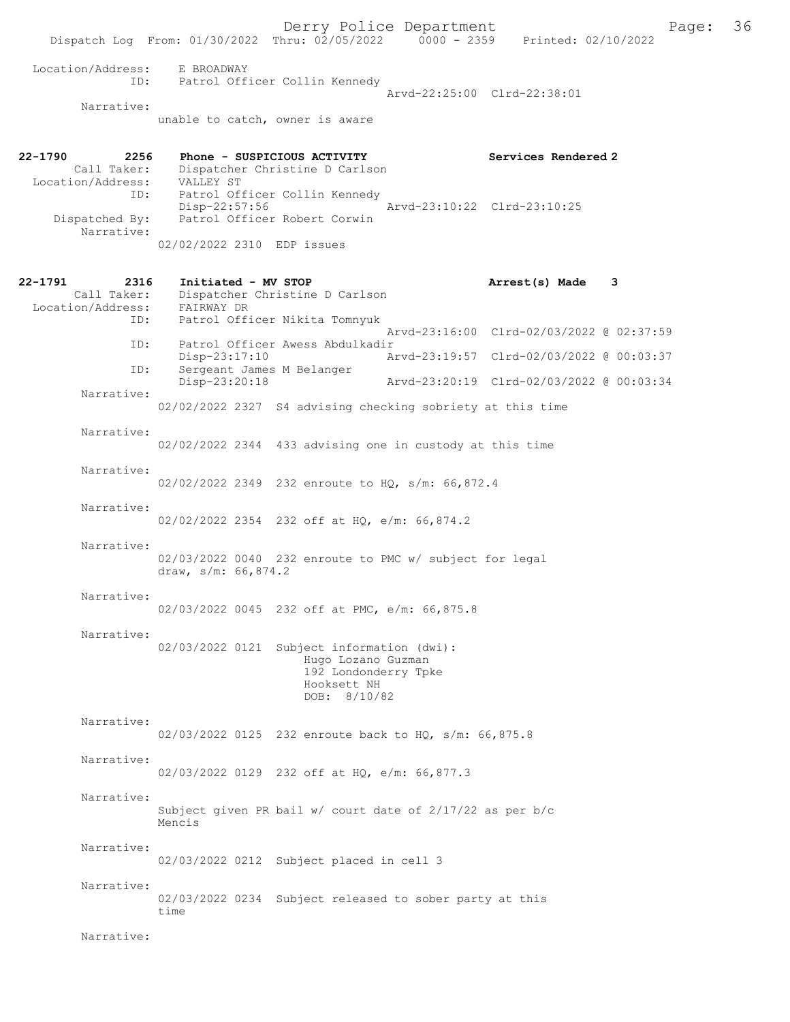Derry Police Department<br>
Page: 36 Printed: 02/10/2022<br>
Printed: 02/10/2022 Dispatch Log From: 01/30/2022 Thru: 02/05/2022 Location/Address: E BROADWAY ID: Patrol Officer Collin Kennedy Arvd-22:25:00 Clrd-22:38:01 Narrative: unable to catch, owner is aware 22-1790 2256 Phone - SUSPICIOUS ACTIVITY Services Rendered 2<br>Call Taker: Dispatcher Christine D Carlson Dispatcher Christine D Carlson CALL TAKET: Dispatche:<br>Location/Address: VALLEY ST<br>ID: Patrol Of: Patrol Officer Collin Kennedy<br>Disp-22:57:56 Disp-22:57:56 <br>Dispatched By: Patrol Officer Robert Corwin Patrol Officer Robert Corwin Narrative: 02/02/2022 2310 EDP issues 22-1791 2316 Initiated - MV STOP 22-1791 Arrest(s) Made 3 Call Taker: Dispatcher Christine D Carlson<br>ion/Address: FAIRWAY DR Location/Address:<br>ID: Patrol Officer Nikita Tomnyuk Arvd-23:16:00 Clrd-02/03/2022 @ 02:37:59 ID: Patrol Officer Awess Abdulkadir Disp-23:17:10 Arvd-23:19:57 Clrd-02/03/2022 @ 00:03:37<br>TD: Sergeant James M Belanger Sergeant James M Belanger<br>Disp-23:20:18 Disp-23:20:18 Arvd-23:20:19 Clrd-02/03/2022 @ 00:03:34 Narrative: 02/02/2022 2327 S4 advising checking sobriety at this time Narrative: 02/02/2022 2344 433 advising one in custody at this time Narrative: 02/02/2022 2349 232 enroute to HQ, s/m: 66,872.4 Narrative: 02/02/2022 2354 232 off at HQ, e/m: 66,874.2 Narrative: 02/03/2022 0040 232 enroute to PMC w/ subject for legal draw, s/m: 66,874.2 Narrative: 02/03/2022 0045 232 off at PMC, e/m: 66,875.8 Narrative: 02/03/2022 0121 Subject information (dwi): Hugo Lozano Guzman 192 Londonderry Tpke Hooksett NH DOB: 8/10/82 Narrative: 02/03/2022 0125 232 enroute back to HQ, s/m: 66,875.8 Narrative: 02/03/2022 0129 232 off at HQ, e/m: 66,877.3 Narrative: Subject given PR bail w/ court date of 2/17/22 as per b/c Mencis Narrative: 02/03/2022 0212 Subject placed in cell 3 Narrative: 02/03/2022 0234 Subject released to sober party at this time

Narrative: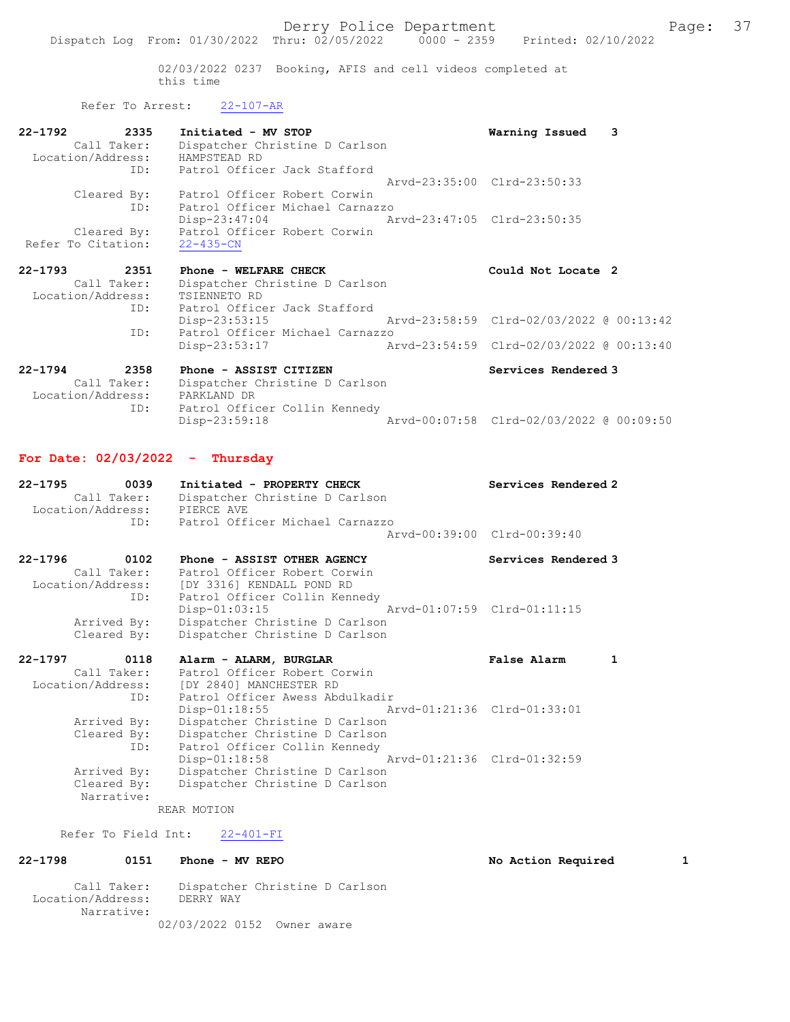02/03/2022 0237 Booking, AFIS and cell videos completed at this time

### Refer To Arrest: 22-107-AR

| 22-1792<br>Call Taker:<br>Location/Address:     | 2335<br>ID: | Initiated - MV STOP<br>Dispatcher Christine D Carlson<br>HAMPSTEAD RD<br>Patrol Officer Jack Stafford              | Warning Issued 3<br>Arvd-23:35:00 Clrd-23:50:33 |  |
|-------------------------------------------------|-------------|--------------------------------------------------------------------------------------------------------------------|-------------------------------------------------|--|
| Cleared By:<br>Cleared By:                      | ID:         | Patrol Officer Robert Corwin<br>Patrol Officer Michael Carnazzo<br>$Disp-23:47:04$<br>Patrol Officer Robert Corwin | Aryd-23:47:05 Clrd-23:50:35                     |  |
| Refer To Citation:                              |             | $22 - 435 - CN$                                                                                                    |                                                 |  |
| $22 - 1793$<br>Call Taker:<br>Location/Address: | 2351        | Phone - WELFARE CHECK<br>Dispatcher Christine D Carlson<br>TSIENNETO RD                                            | Could Not Locate 2                              |  |

| ID: | Patrol Officer Jack Stafford    |                                          |  |
|-----|---------------------------------|------------------------------------------|--|
|     | Disp-23:53:15                   | Arvd-23:58:59 Clrd-02/03/2022 @ 00:13:42 |  |
| TD: | Patrol Officer Michael Carnazzo |                                          |  |
|     | Disp-23:53:17                   | Arvd-23:54:59 Clrd-02/03/2022 @ 00:13:40 |  |

#### 22-1794 2358 Phone - ASSIST CITIZEN Services Rendered 3 Call Taker: Dispatcher Christine D Carlson Location/Address: PARKLAND DR ID: Patrol Officer Collin Kennedy Disp-23:59:18 Arvd-00:07:58 Clrd-02/03/2022 @ 00:09:50

### For Date: 02/03/2022 - Thursday

| Initiated - PROPERTY CHECK      | Services Rendered 2         |
|---------------------------------|-----------------------------|
| Dispatcher Christine D Carlson  |                             |
| PIERCE AVE                      |                             |
| Patrol Officer Michael Carnazzo |                             |
|                                 | Aryd-00:39:00 Clrd-00:39:40 |
|                                 |                             |

| 22-1796           | 0102        | Phone - ASSIST OTHER AGENCY    | Services Rendered 3         |
|-------------------|-------------|--------------------------------|-----------------------------|
|                   | Call Taker: | Patrol Officer Robert Corwin   |                             |
| Location/Address: |             | [DY 3316] KENDALL POND RD      |                             |
|                   | ID:         | Patrol Officer Collin Kennedy  |                             |
|                   |             | Disp-01:03:15                  | Arvd-01:07:59 Clrd-01:11:15 |
|                   | Arrived By: | Dispatcher Christine D Carlson |                             |
|                   | Cleared By: | Dispatcher Christine D Carlson |                             |

| $22 - 1797$<br>0118 | Alarm - ALARM, BURGLAR          | False Alarm                 |  |
|---------------------|---------------------------------|-----------------------------|--|
| Call Taker:         | Patrol Officer Robert Corwin    |                             |  |
| Location/Address:   | [DY 2840] MANCHESTER RD         |                             |  |
| ID:                 | Patrol Officer Awess Abdulkadir |                             |  |
|                     | $Disp-01:18:55$                 | Arvd-01:21:36 Clrd-01:33:01 |  |
| Arrived By:         | Dispatcher Christine D Carlson  |                             |  |
| Cleared By:         | Dispatcher Christine D Carlson  |                             |  |
| ID:                 | Patrol Officer Collin Kennedy   |                             |  |
|                     | $Disp-01:18:58$                 | Arvd-01:21:36 Clrd-01:32:59 |  |
| Arrived By:         | Dispatcher Christine D Carlson  |                             |  |
| Cleared By:         | Dispatcher Christine D Carlson  |                             |  |
| Narrative:          |                                 |                             |  |

REAR MOTION

#### Refer To Field Int: 22-401-FI

## 22-1798 0151 Phone - MV REPO No Action Required 1

 Call Taker: Dispatcher Christine D Carlson Location/Address: DERRY WAY Narrative: 02/03/2022 0152 Owner aware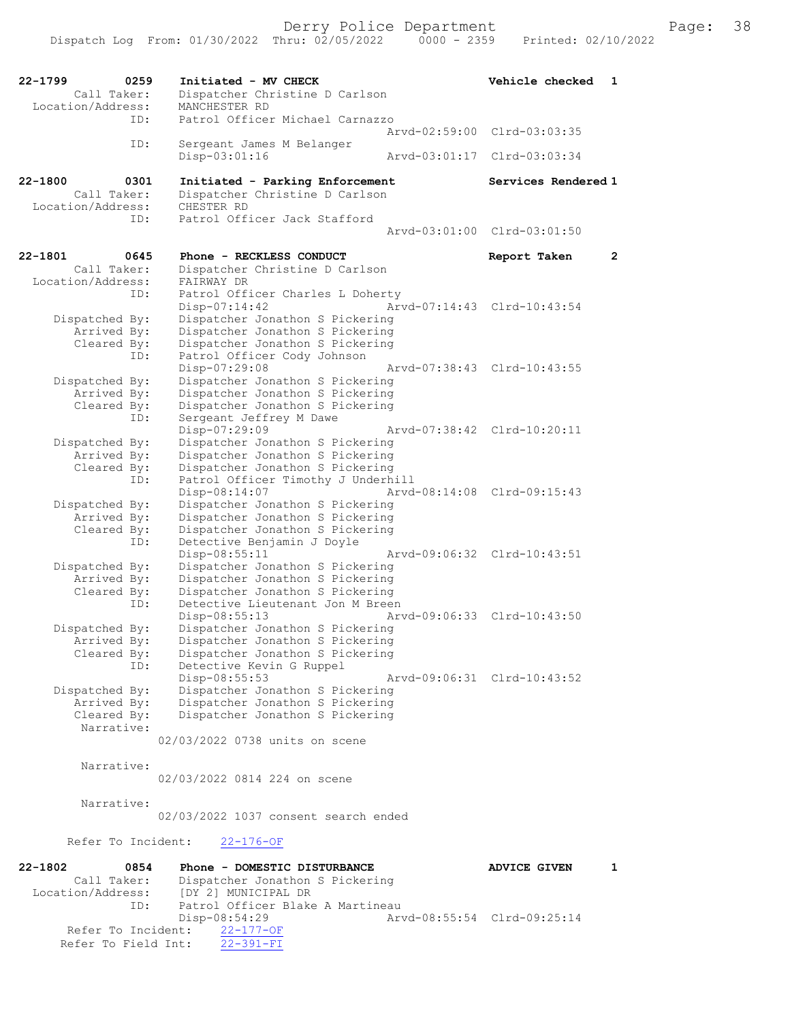22-1799 0259 Initiated - MV CHECK Vehicle checked 1<br>Call Taker: Dispatcher Christine D Carlson Call Taker: Dispatcher Christine D Carlson<br>Location/Address: MANCHESTER RD ess: MANCHESTER RD<br>ID: Patrol Officer Patrol Officer Michael Carnazzo Arvd-02:59:00 Clrd-03:03:35<br>TD: Sergeant James M Belanger Sergeant James M Belanger<br>Disp-03:01:16 Arvd-03:01:17 Clrd-03:03:34 22-1800 0301 Initiated - Parking Enforcement Services Rendered 1 Call Taker: Dispatcher Christine D Carlson<br>ion/Address: CHESTER RD Location/Address:<br>ID: Patrol Officer Jack Stafford Arvd-03:01:00 Clrd-03:01:50 22-1801 0645 Phone - RECKLESS CONDUCT Report Taken 2 Call Taker: Dispatcher Christine D Carlson<br>ion/Address: FAIRWAY DR Location/Address: ID: Patrol Officer Charles L Doherty<br>Disp-07:14:42 Ar Disp-07:14:42 Arvd-07:14:43 Clrd-10:43:54<br>Dispatched By: Dispatcher Jonathon S Pickering Dispatcher Jonathon S Pickering Arrived By: Dispatcher Jonathon S Pickering Cleared By: Dispatcher Jonathon S Pickering ID: Patrol Officer Cody Johnson<br>Disp-07:29:08 Disp-07:29:08 Arvd-07:38:43 Clrd-10:43:55<br>Dispatched By: Dispatcher Jonathon S Pickering patched By: Dispatcher Jonathon S Pickering<br>Arrived By: Dispatcher Jonathon S Pickering Arrived By: Dispatcher Jonathon S Pickering<br>Cleared By: Dispatcher Jonathon S Pickering Dispatcher Jonathon S Pickering ID: Sergeant Jeffrey M Dawe<br>Disp-07:29:09 Disp-07:29:09 Arvd-07:38:42 Clrd-10:20:11<br>Dispatched By: Dispatcher Jonathon S Pickering Dispatcher Jonathon S Pickering Arrived By: Dispatcher Jonathon S Pickering<br>Cleared By: Dispatcher Jonathon S Pickering Dispatcher Jonathon S Pickering ID: Patrol Officer Timothy J Underhill Disp-08:14:07 Arvd-08:14:08 Clrd-09:15:43<br>Dispatched By: Dispatcher Jonathon S Pickering patched By: Dispatcher Jonathon S Pickering<br>Arrived By: Dispatcher Jonathon S Pickering Arrived By: Dispatcher Jonathon S Pickering<br>Cleared By: Dispatcher Jonathon S Pickering Dispatcher Jonathon S Pickering ID: Detective Benjamin J Doyle Disp-08:55:11 Arvd-09:06:32 Clrd-10:43:51<br>Dispatched By: Dispatcher Jonathon S Pickering patched By: Dispatcher Jonathon S Pickering<br>Arrived By: Dispatcher Jonathon S Pickering Dispatcher Jonathon S Pickering Cleared By: Dispatcher Jonathon S Pickering ID: Detective Lieutenant Jon M Breen<br>Disp-08:55:13 Ar Disp-08:55:13 Arvd-09:06:33 Clrd-10:43:50 Dispatched By: Dispatcher Jonathon S Pickering<br>Arrived By: Dispatcher Jonathon S Pickering Arrived By: Dispatcher Jonathon S Pickering<br>Cleared By: Dispatcher Jonathon S Pickering Dispatcher Jonathon S Pickering ID: Detective Kevin G Ruppel<br>Disp-08:55:53 Disp-08:55:53 Arvd-09:06:31 Clrd-10:43:52 Dispatched By: Dispatcher Jonathon S Pickering<br>Arrived By: Dispatcher Jonathon S Pickering Arrived By: Dispatcher Jonathon S Pickering<br>Cleared By: Dispatcher Jonathon S Pickering Dispatcher Jonathon S Pickering Narrative: 02/03/2022 0738 units on scene Narrative: 02/03/2022 0814 224 on scene Narrative: 02/03/2022 1037 consent search ended Refer To Incident: 22-176-OF 22-1802 0854 Phone - DOMESTIC DISTURBANCE ADVICE GIVEN 1<br>Call Taker: Dispatcher Jonathon S Pickering Call Taker: Dispatcher Jonathon S Pickering<br>Location/Address: [DY 2] MUNICIPAL DR [DY 2] MUNICIPAL DR ID: Patrol Officer Blake A Martineau<br>Disp-08:54:29 Ar -08:54:29 Arvd-08:55:54 Clrd-09:25:14<br>22-177-OF Refer To Incident: Refer To Field Int: 22-391-FI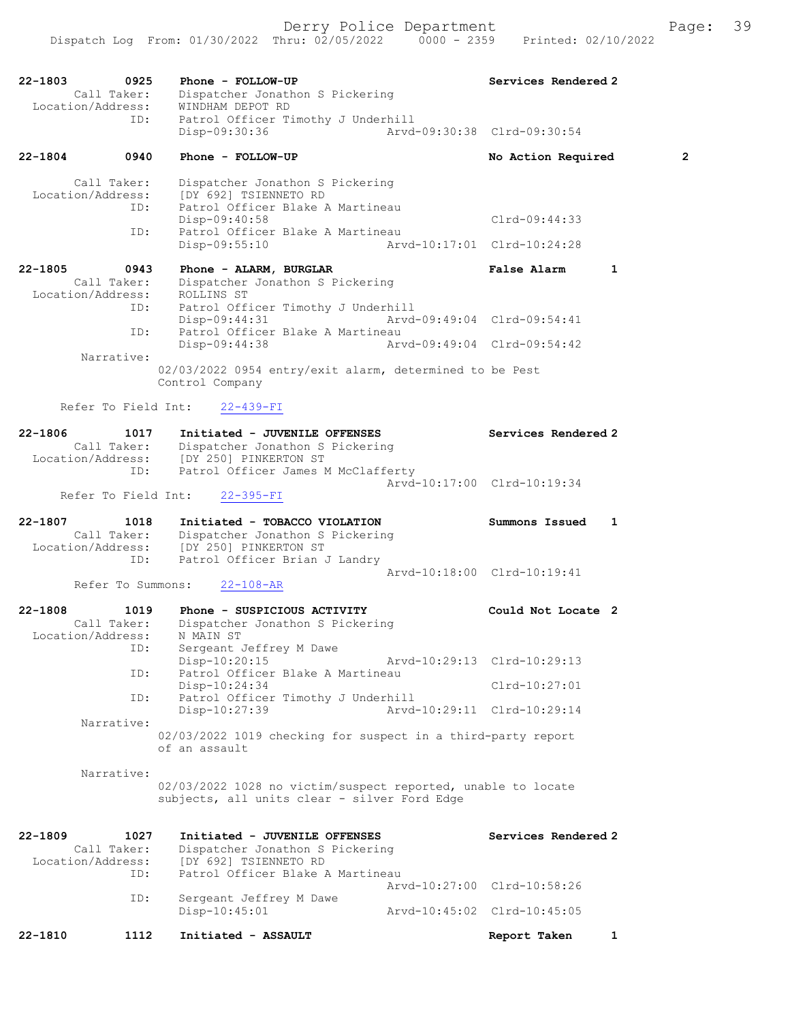| $22 - 1803$<br>0925                                               | Phone - FOLLOW-UP                                                                                                                                                  | Services Rendered 2                               |                |
|-------------------------------------------------------------------|--------------------------------------------------------------------------------------------------------------------------------------------------------------------|---------------------------------------------------|----------------|
| Call Taker:<br>Location/Address:                                  | Dispatcher Jonathon S Pickering<br>WINDHAM DEPOT RD                                                                                                                |                                                   |                |
| ID:                                                               | Patrol Officer Timothy J Underhill<br>Disp-09:30:36                                                                                                                | Arvd-09:30:38 Clrd-09:30:54                       |                |
| $22 - 1804$<br>0940                                               | Phone - FOLLOW-UP                                                                                                                                                  | No Action Required                                | $\overline{2}$ |
| Call Taker:<br>Location/Address:<br>ID:                           | Dispatcher Jonathon S Pickering<br>[DY 692] TSIENNETO RD<br>Patrol Officer Blake A Martineau                                                                       |                                                   |                |
| ID:                                                               | Disp-09:40:58<br>Patrol Officer Blake A Martineau                                                                                                                  | $Clrd-09:44:33$                                   |                |
|                                                                   | Disp-09:55:10                                                                                                                                                      | Arvd-10:17:01 Clrd-10:24:28                       |                |
| 22-1805<br>0943<br>Call Taker:<br>Location/Address:<br>ID:<br>ID: | Phone - ALARM, BURGLAR<br>Dispatcher Jonathon S Pickering<br>ROLLINS ST<br>Patrol Officer Timothy J Underhill<br>Disp-09:44:31<br>Patrol Officer Blake A Martineau | <b>False Alarm</b><br>Arvd-09:49:04 Clrd-09:54:41 | 1              |
| Narrative:                                                        | $Disp-09:44:38$                                                                                                                                                    | Arvd-09:49:04 Clrd-09:54:42                       |                |
|                                                                   | 02/03/2022 0954 entry/exit alarm, determined to be Pest<br>Control Company                                                                                         |                                                   |                |
|                                                                   | Refer To Field Int: 22-439-FI                                                                                                                                      |                                                   |                |
| $22 - 1806$<br>1017                                               | Initiated - JUVENILE OFFENSES                                                                                                                                      | Services Rendered 2                               |                |
| ID:                                                               | Call Taker: Dispatcher Jonathon S Pickering<br>Location/Address: [DY 250] PINKERTON ST<br>Patrol Officer James M McClafferty                                       |                                                   |                |
| Refer To Field Int:                                               | $22 - 395 - FI$                                                                                                                                                    | Arvd-10:17:00 Clrd-10:19:34                       |                |
| 22-1807<br>1018<br>Call Taker:                                    | Initiated - TOBACCO VIOLATION<br>Dispatcher Jonathon S Pickering<br>Location/Address: [DY 250] PINKERTON ST                                                        | Summons Issued                                    | 1              |
| ID:<br>Refer To Summons:                                          | Patrol Officer Brian J Landry<br>$22 - 108 - AR$                                                                                                                   | Arvd-10:18:00 Clrd-10:19:41                       |                |
| 22-1808<br>1019<br>Call Taker:<br>Location/Address: N MAIN ST     | Phone - SUSPICIOUS ACTIVITY<br>Dispatcher Jonathon S Pickering                                                                                                     | Could Not Locate 2                                |                |
| ID:                                                               | Sergeant Jeffrey M Dawe<br>Disp-10:20:15                                                                                                                           | Arvd-10:29:13 Clrd-10:29:13                       |                |
| ID:                                                               | Patrol Officer Blake A Martineau<br>Disp-10:24:34                                                                                                                  | $Clrd-10:27:01$                                   |                |
| ID:                                                               | Patrol Officer Timothy J Underhill<br>Disp-10:27:39                                                                                                                | Arvd-10:29:11 Clrd-10:29:14                       |                |
| Narrative:                                                        | 02/03/2022 1019 checking for suspect in a third-party report<br>of an assault                                                                                      |                                                   |                |
| Narrative:                                                        | 02/03/2022 1028 no victim/suspect reported, unable to locate<br>subjects, all units clear - silver Ford Edge                                                       |                                                   |                |
| $22 - 1809$<br>1027                                               | Initiated - JUVENILE OFFENSES                                                                                                                                      | Services Rendered 2                               |                |
| Call Taker:<br>Location/Address:                                  | Dispatcher Jonathon S Pickering<br>[DY 692] TSIENNETO RD                                                                                                           |                                                   |                |
| ID:<br>ID:                                                        | Patrol Officer Blake A Martineau<br>Sergeant Jeffrey M Dawe                                                                                                        | Arvd-10:27:00 Clrd-10:58:26                       |                |
|                                                                   | Disp-10:45:01                                                                                                                                                      | Arvd-10:45:02 Clrd-10:45:05                       |                |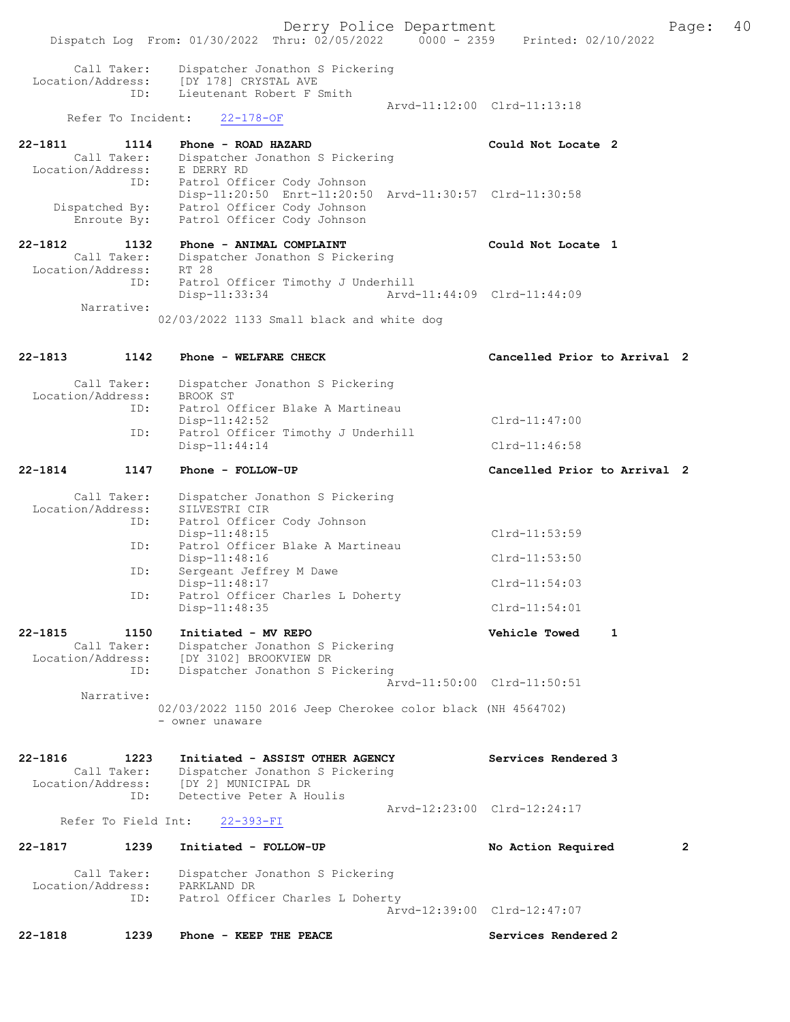Derry Police Department Fage: 40 Dispatch Log From: 01/30/2022 Thru: 02/05/2022 0000 - 2359 Printed: 02/10/2022 Call Taker: Dispatcher Jonathon S Pickering Location/Address: [DY 178] CRYSTAL AVE ID: Lieutenant Robert F Smith Arvd-11:12:00 Clrd-11:13:18<br>22-178-OF Refer To Incident: 22-1811 1114 Phone - ROAD HAZARD Could Not Locate 2 Call Taker: Dispatcher Jonathon S Pickering Location/Address: E DERRY RD ID: Patrol Officer Cody Johnson Disp-11:20:50 Enrt-11:20:50 Arvd-11:30:57 Clrd-11:30:58 Dispatched By: Patrol Officer Cody Johnson Enroute By: Patrol Officer Cody Johnson 22-1812 1132 Phone - ANIMAL COMPLAINT Could Not Locate 1 Call Taker: Dispatcher Jonathon S Pickering Location/Address: RT 28 ID: Patrol Officer Timothy J Underhill<br>Disp-11:33:34 Arvd- Disp-11:33:34 Arvd-11:44:09 Clrd-11:44:09 Narrative: 02/03/2022 1133 Small black and white dog 22-1813 1142 Phone - WELFARE CHECK CHECH Cancelled Prior to Arrival 2 Call Taker: Dispatcher Jonathon S Pickering<br>ion/Address: BROOK ST Location/Address: ID: Patrol Officer Blake A Martineau Disp-11:42:52 Clrd-11:47:00<br>ID: Patrol Officer Timothy J Underhill Clrd-11:47:00 Patrol Officer Timothy J Underhill<br>Disp-11:44:14 Clrd-11:46:58 22-1814 1147 Phone - FOLLOW-UP Cancelled Prior to Arrival 2 Call Taker: Dispatcher Jonathon S Pickering<br>ion/Address: SILVESTRI CIR Location/Address: ID: Patrol Officer Cody Johnson Disp-11:48:15 Clrd-11:53:59 ID: Patrol Officer Blake A Martineau Disp-11:48:16 Clrd-11:53:50 ID: Sergeant Jeffrey M Dawe Disp-11:48:17 Clrd-11:54:03 ID: Patrol Officer Charles L Doherty Disp-11:48:35 Clrd-11:54:01 22-1815 1150 Initiated - MV REPO Vehicle Towed 1 Call Taker: Dispatcher Jonathon S Pickering Location/Address: [DY 3102] BROOKVIEW DR ID: Dispatcher Jonathon S Pickering Arvd-11:50:00 Clrd-11:50:51 Narrative: 02/03/2022 1150 2016 Jeep Cherokee color black (NH 4564702) - owner unaware 22-1816 1223 Initiated - ASSIST OTHER AGENCY Services Rendered 3 Call Taker: Dispatcher Jonathon S Pickering<br>Location/Address: [DY 2] MUNICIPAL DR Location/Address: [DY 2] MUNICIPAL DR ID: Detective Peter A Houlis Arvd-12:23:00 Clrd-12:24:17 Refer To Field Int: 22-393-FI 22-1817 1239 Initiated - FOLLOW-UP No Action Required 2 Call Taker: Dispatcher Jonathon S Pickering<br>ion/Address: PARKLAND DR Location/Address: ID: Patrol Officer Charles L Doherty Arvd-12:39:00 Clrd-12:47:07

22-1818 1239 Phone - KEEP THE PEACE Services Rendered 2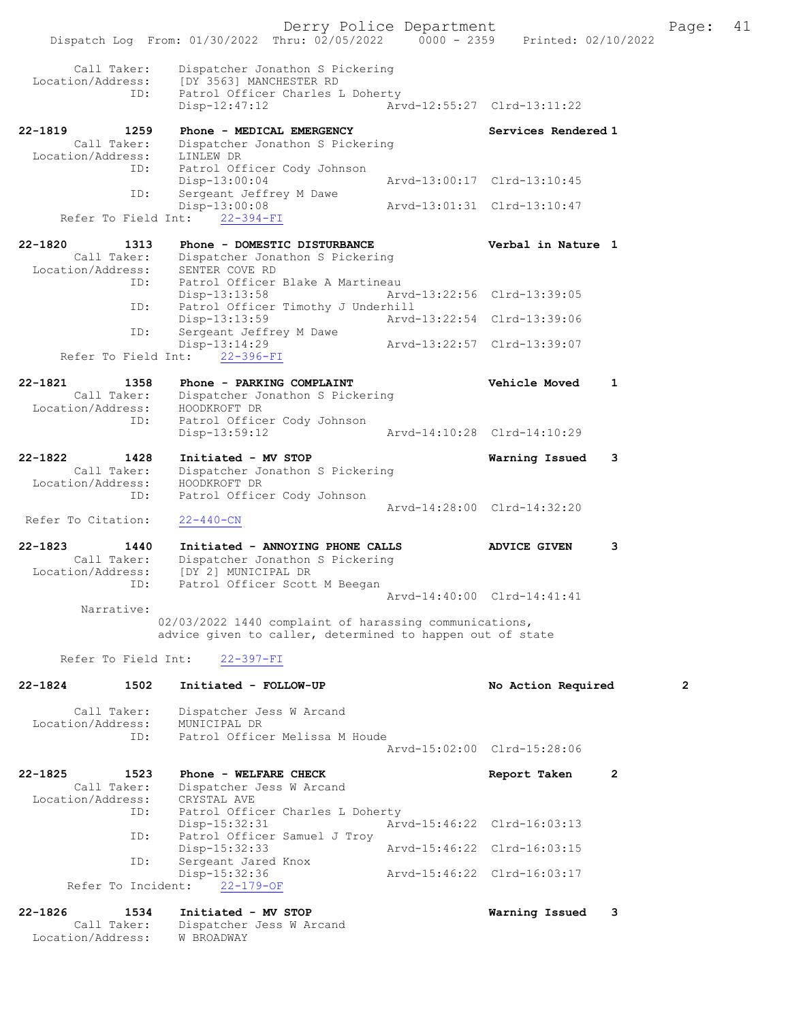|                                                         | Dispatch Log From: 01/30/2022 Thru: 02/05/2022 0000 - 2359 Printed: 02/10/2022                                    | Derry Police Department |                             |   | Page:          | 41 |
|---------------------------------------------------------|-------------------------------------------------------------------------------------------------------------------|-------------------------|-----------------------------|---|----------------|----|
| Call Taker:<br>Location/Address:<br>ID:                 | Dispatcher Jonathon S Pickering<br>[DY 3563] MANCHESTER RD<br>Patrol Officer Charles L Doherty<br>$Disp-12:47:12$ |                         | Arvd-12:55:27 Clrd-13:11:22 |   |                |    |
| 22-1819<br>1259                                         | Phone - MEDICAL EMERGENCY                                                                                         |                         | Services Rendered 1         |   |                |    |
| Call Taker:<br>Location/Address:                        | Dispatcher Jonathon S Pickering<br>LINLEW DR                                                                      |                         |                             |   |                |    |
| ID:                                                     | Patrol Officer Cody Johnson                                                                                       |                         |                             |   |                |    |
| ID:                                                     | $Disp-13:00:04$<br>Sergeant Jeffrey M Dawe                                                                        |                         | Arvd-13:00:17 Clrd-13:10:45 |   |                |    |
| Refer To Field Int:                                     | Disp-13:00:08<br>$22 - 394 - FI$                                                                                  |                         | Arvd-13:01:31 Clrd-13:10:47 |   |                |    |
| $22 - 1820$<br>1313<br>Call Taker:<br>Location/Address: | Phone - DOMESTIC DISTURBANCE<br>Dispatcher Jonathon S Pickering<br>SENTER COVE RD                                 |                         | Verbal in Nature 1          |   |                |    |
| ID:                                                     | Patrol Officer Blake A Martineau<br>$Disp-13:13:58$                                                               |                         | Arvd-13:22:56 Clrd-13:39:05 |   |                |    |
| ID:                                                     | Patrol Officer Timothy J Underhill                                                                                |                         |                             |   |                |    |
| ID:                                                     | Disp-13:13:59<br>Sergeant Jeffrey M Dawe                                                                          |                         | Arvd-13:22:54 Clrd-13:39:06 |   |                |    |
| Refer To Field Int:                                     | Disp-13:14:29<br>22-396-FI                                                                                        |                         | Arvd-13:22:57 Clrd-13:39:07 |   |                |    |
| $22 - 1821$<br>1358                                     | Phone - PARKING COMPLAINT                                                                                         |                         | <b>Vehicle Moved</b>        | 1 |                |    |
| Call Taker:<br>Location/Address:                        | Dispatcher Jonathon S Pickering<br>HOODKROFT DR                                                                   |                         |                             |   |                |    |
| ID:                                                     | Patrol Officer Cody Johnson<br>$Disp-13:59:12$                                                                    |                         | Arvd-14:10:28 Clrd-14:10:29 |   |                |    |
| $22 - 1822$<br>1428                                     | Initiated - MV STOP                                                                                               |                         | Warning Issued              | 3 |                |    |
| Call Taker:<br>Location/Address:                        | Dispatcher Jonathon S Pickering<br>HOODKROFT DR                                                                   |                         |                             |   |                |    |
| ID:                                                     | Patrol Officer Cody Johnson                                                                                       |                         |                             |   |                |    |
| Refer To Citation:                                      | $22 - 440 - CN$                                                                                                   |                         | Arvd-14:28:00 Clrd-14:32:20 |   |                |    |
| $22 - 1823$<br>1440<br>Call Taker:                      | Initiated - ANNOYING PHONE CALLS<br>Dispatcher Jonathon S Pickering                                               |                         | <b>ADVICE GIVEN</b>         | 3 |                |    |
| Location/Address:                                       | [DY 2] MUNICIPAL DR                                                                                               |                         |                             |   |                |    |
| ID:                                                     | Patrol Officer Scott M Beegan                                                                                     |                         | Arvd-14:40:00 Clrd-14:41:41 |   |                |    |
| Narrative:                                              | 02/03/2022 1440 complaint of harassing communications,                                                            |                         |                             |   |                |    |
|                                                         | advice given to caller, determined to happen out of state                                                         |                         |                             |   |                |    |
| Refer To Field Int:                                     | $22 - 397 - FI$                                                                                                   |                         |                             |   |                |    |
| $22 - 1824$<br>1502                                     | Initiated - FOLLOW-UP                                                                                             |                         | No Action Required          |   | $\overline{2}$ |    |
| Call Taker:<br>Location/Address:                        | Dispatcher Jess W Arcand<br>MUNICIPAL DR                                                                          |                         |                             |   |                |    |
| ID:                                                     | Patrol Officer Melissa M Houde                                                                                    |                         |                             |   |                |    |
|                                                         |                                                                                                                   |                         | Aryd-15:02:00 Clrd-15:28:06 |   |                |    |
| $22 - 1825$<br>1523<br>Call Taker:                      | Phone - WELFARE CHECK<br>Dispatcher Jess W Arcand                                                                 |                         | Report Taken                | 2 |                |    |
| Location/Address:<br>ID:                                | CRYSTAL AVE<br>Patrol Officer Charles L Doherty                                                                   |                         |                             |   |                |    |
| ID:                                                     | $Disp-15:32:31$<br>Patrol Officer Samuel J Troy                                                                   |                         | Arvd-15:46:22 Clrd-16:03:13 |   |                |    |
| ID:                                                     | Disp-15:32:33<br>Sergeant Jared Knox                                                                              |                         | Arvd-15:46:22 Clrd-16:03:15 |   |                |    |
|                                                         | Disp-15:32:36                                                                                                     |                         | Arvd-15:46:22 Clrd-16:03:17 |   |                |    |
| Refer To Incident:                                      | $22 - 179 - OF$                                                                                                   |                         |                             |   |                |    |
| $22 - 1826$<br>1534<br>Call Taker:                      | Initiated - MV STOP<br>Dispatcher Jess W Arcand                                                                   |                         | Warning Issued              | 3 |                |    |

Location/Address: W BROADWAY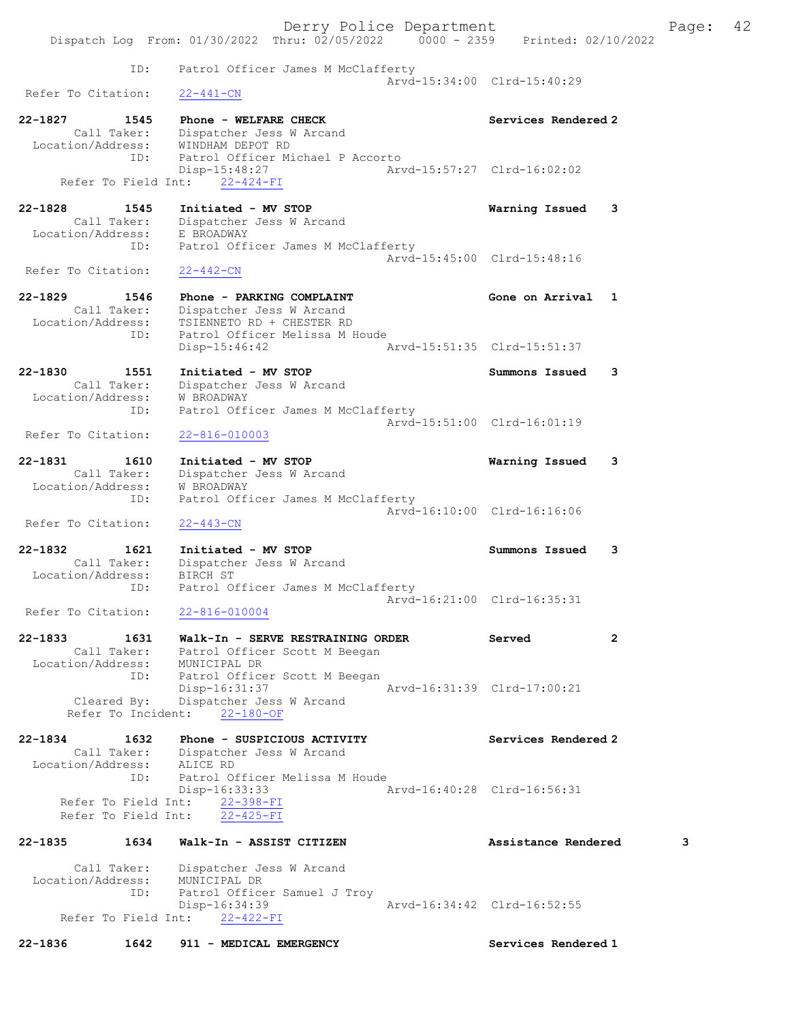Derry Police Department Fage: 42 Dispatch Log From: 01/30/2022 Thru: 02/05/2022 0000 - 2359 Printed: 02/10/2022 ID: Patrol Officer James M McClafferty Arvd-15:34:00 Clrd-15:40:29<br>22-441-CN Refer To Citation: 22-1827 1545 Phone - WELFARE CHECK Network Services Rendered 2 Call Taker: Dispatcher Jess W Arcand Location/Address: WINDHAM DEPOT RD ID: Patrol Officer Michael P Accorto Disp-15:48:27 Arvd-15:57:27 Clrd-16:02:02 Refer To Field Int: 22-424-FI 22-1828 1545 Initiated - MV STOP Warning Issued 3 Call Taker: Dispatcher Jess W Arcand Location/Address: E BROADWAY ID: Patrol Officer James M McClafferty Arvd-15:45:00 Clrd-15:48:16<br>22-442-CN Refer To Citation: 22-1829 1546 Phone - PARKING COMPLAINT<br>Call Taker: Dispatcher Jess W Arcand<br>According Company Phone Company Phone Company Phone Company Phone Company Phone Company Phone Company Phone Company Phone Company Phone Company Ph Call Taker: Dispatcher Jess W Arcand Location/Address: TSIENNETO RD + CHESTER RD ID: Patrol Officer Melissa M Houde Disp-15:46:42 Arvd-15:51:35 Clrd-15:51:37 22-1830 1551 Initiated - MV STOP Summons Issued 3 Call Taker: Dispatcher Jess W Arcand Location/Address: W BROADWAY ID: Patrol Officer James M McClafferty Arvd-15:51:00 Clrd-16:01:19<br>22-816-010003 Refer To Citation: 22-1831 1610 Initiated - MV STOP Warning Issued 3 Call Taker: Dispatcher Jess W Arcand Location/Address: W BROADWAY ID: Patrol Officer James M McClafferty Arvd-16:10:00 Clrd-16:16:06 Refer To Citation: 22-443-CN 22-1832 1621 Initiated - MV STOP Summons Issued 3 Call Taker: Dispatcher Jess W Arcand Location/Address: BIRCH ST ID: Patrol Officer James M McClafferty Arvd-16:21:00 Clrd-16:35:31<br>22-816-010004 Refer To Citation: 22-1833 1631 Walk-In - SERVE RESTRAINING ORDER Served 2 Call Taker: Patrol Officer Scott M Beegan Location/Address: MUNICIPAL DR ID: Patrol Officer Scott M Beegan Disp-16:31:37 Arvd-16:31:39 Clrd-17:00:21 Cleared By: Dispatcher Jess W Arcand Refer To Incident: 22-180-OF 22-1834 1632 Phone - SUSPICIOUS ACTIVITY Services Rendered 2 Call Taker: Dispatcher Jess W Arcand Location/Address: ALICE RD ID: Patrol Officer Melissa M Houde Disp-16:33:33 Arvd-16:40:28 Clrd-16:56:31 Refer To Field Int: 22-398-FI Refer To Field Int: 22-425-FI 22-1835 1634 Walk-In - ASSIST CITIZEN 2018 Assistance Rendered 3 Call Taker: Dispatcher Jess W Arcand Location/Address: MUNICIPAL DR ID: Patrol Officer Samuel J Troy Disp-16:34:39 Arvd-16:34:42 Clrd-16:52:55 Refer To Field Int: 22-422-FI 22-1836 1642 911 - MEDICAL EMERGENCY Services Rendered 1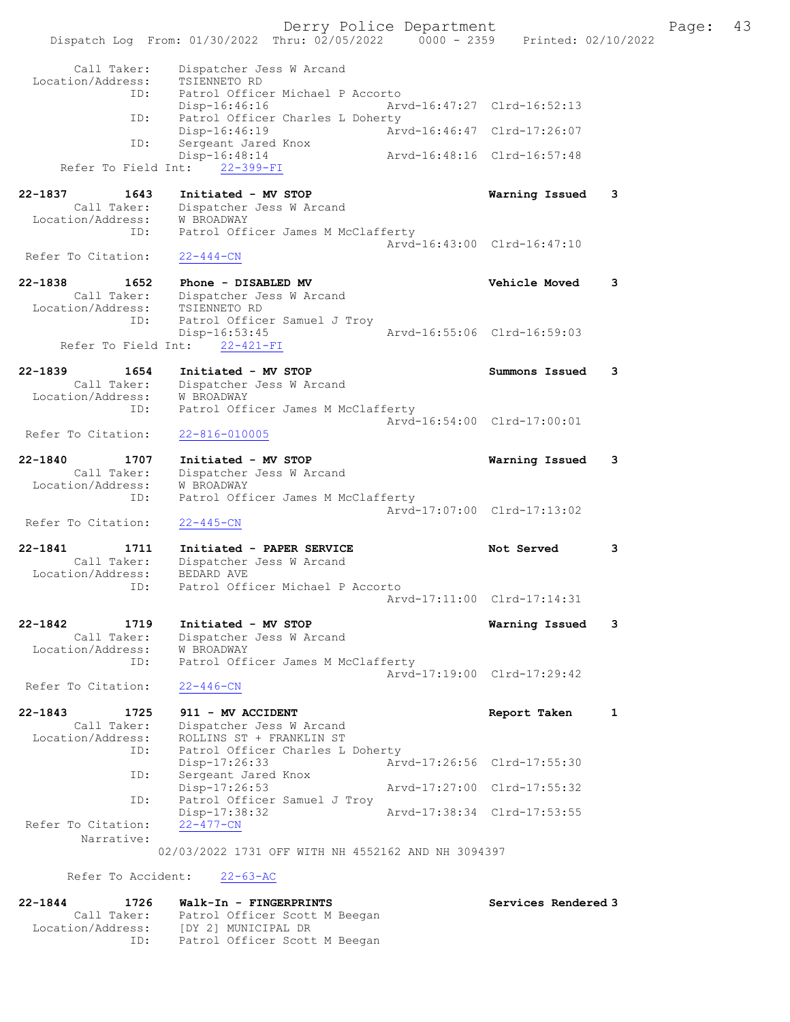Derry Police Department Fage: 43 Dispatch Log From: 01/30/2022 Thru: 02/05/2022 0000 - 2359 Printed: 02/10/2022 Call Taker: Dispatcher Jess W Arcand Location/Address: TSIENNETO RD ID: Patrol Officer Michael P Accorto Disp-16:46:16 Arvd-16:47:27 Clrd-16:52:13 ID: Patrol Officer Charles L Doherty Disp-16:46:19 Arvd-16:46:47 Clrd-17:26:07 ID: Sergeant Jared Knox Disp-16:48:14 Arvd-16:48:16 Clrd-16:57:48 Refer To Field Int: 22-399-FI 22-1837 1643 Initiated - MV STOP Warning Issued 3 Call Taker: Dispatcher Jess W Arcand Location/Address: W BROADWAY ID: Patrol Officer James M McClafferty Arvd-16:43:00 Clrd-16:47:10<br>22-444-CN Refer To Citation: 22-1838 1652 Phone - DISABLED MV Vehicle Moved 3 Call Taker: Dispatcher Jess W Arcand Location/Address: TSIENNETO RD ID: Patrol Officer Samuel J Troy Disp-16:53:45 Arvd-16:55:06 Clrd-16:59:03 Refer To Field Int: 22-421-FI 22-1839 1654 Initiated - MV STOP Summons Issued 3 Call Taker: Dispatcher Jess W Arcand Location/Address: W BROADWAY ID: Patrol Officer James M McClafferty Arvd-16:54:00 Clrd-17:00:01 Refer To Citation: 22-816-010005 22-1840 1707 Initiated - MV STOP Warning Issued 3 Call Taker: Dispatcher Jess W Arcand Location/Address: W BROADWAY ID: Patrol Officer James M McClafferty Arvd-17:07:00 Clrd-17:13:02 Refer To Citation: 22-445-CN 22-1841 1711 Initiated - PAPER SERVICE 18 Not Served 3 Call Taker: Dispatcher Jess W Arcand Location/Address: BEDARD AVE ID: Patrol Officer Michael P Accorto Arvd-17:11:00 Clrd-17:14:31 22-1842 1719 Initiated - MV STOP Warning Issued 3 Call Taker: Dispatcher Jess W Arcand Location/Address: W BROADWAY ID: Patrol Officer James M McClafferty Arvd-17:19:00 Clrd-17:29:42 Refer To Citation: 22-446-CN 22-1843 1725 911 - MV ACCIDENT **Report Taken** 1 Call Taker: Dispatcher Jess W Arcand Location/Address: ROLLINS ST + FRANKLIN ST ID: Patrol Officer Charles L Doherty Disp-17:26:33 Arvd-17:26:56 Clrd-17:55:30 ID: Sergeant Jared Knox Disp-17:26:53 Arvd-17:27:00 Clrd-17:55:32 ID: Patrol Officer Samuel J Troy Disp-17:38:32 Arvd-17:38:34 Clrd-17:53:55<br>22-477-CN Refer To Citation: Narrative: 02/03/2022 1731 OFF WITH NH 4552162 AND NH 3094397 Refer To Accident: 22-63-AC 22-1844 1726 Walk-In - FINGERPRINTS Services Rendered 3 Call Taker: Patrol Officer Scott M Beegan Location/Address: [DY 2] MUNICIPAL DR ID: Patrol Officer Scott M Beegan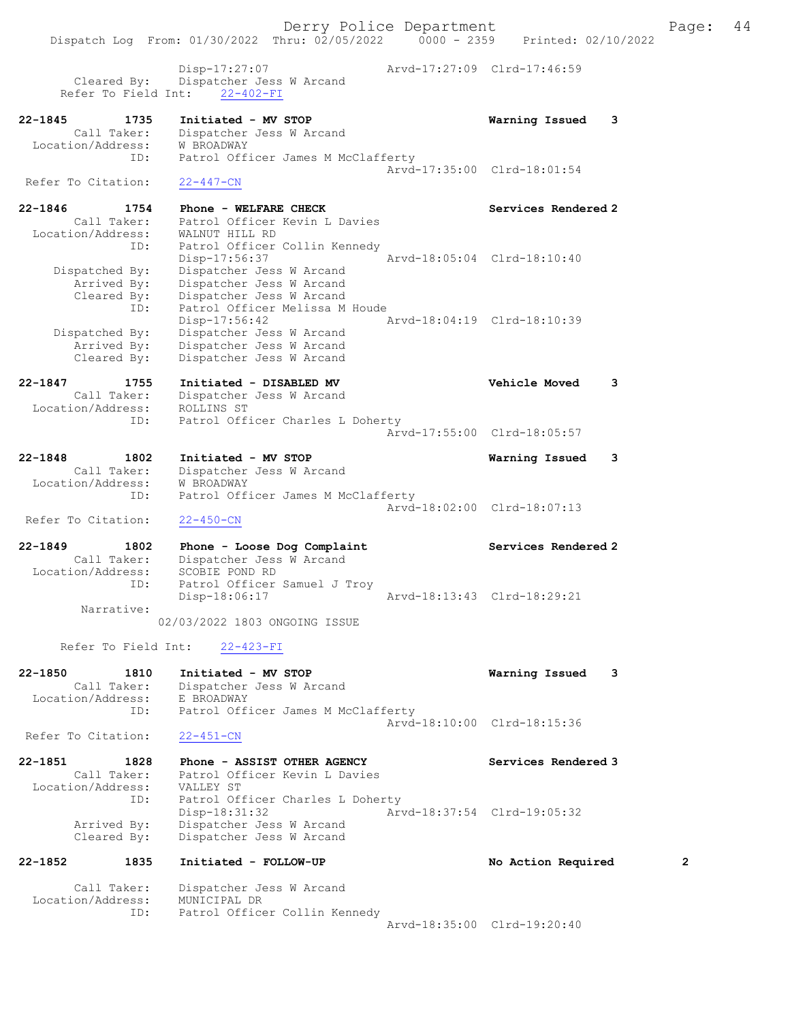Derry Police Department Fage: 44 Dispatch Log From: 01/30/2022 Thru: 02/05/2022 0000 - 2359 Printed: 02/10/2022 Disp-17:27:07 Arvd-17:27:09 Clrd-17:46:59 Cleared By: Dispatcher Jess W Arcand Refer To Field Int: 22-402-FI 22-1845 1735 Initiated - MV STOP Warning Issued 3 Call Taker: Dispatcher Jess W Arcand Location/Address: W BROADWAY ID: Patrol Officer James M McClafferty Arvd-17:35:00 Clrd-18:01:54 Refer To Citation: 22-447-CN 22-1846 1754 Phone - WELFARE CHECK Services Rendered 2 Call Taker: Patrol Officer Kevin L Davies Location/Address: WALNUT HILL RD ID: Patrol Officer Collin Kennedy Disp-17:56:37 Arvd-18:05:04 Clrd-18:10:40 Dispatched By: Dispatcher Jess W Arcand Arrived By: Dispatcher Jess W Arcand Cleared By: Dispatcher Jess W Arcand ID: Patrol Officer Melissa M Houde Disp-17:56:42 Arvd-18:04:19 Clrd-18:10:39 Dispatched By: Dispatcher Jess W Arcand Arrived By: Dispatcher Jess W Arcand Cleared By: Dispatcher Jess W Arcand 22-1847 1755 Initiated - DISABLED MV Vehicle Moved 3 Call Taker: Dispatcher Jess W Arcand Location/Address: ROLLINS ST ID: Patrol Officer Charles L Doherty Arvd-17:55:00 Clrd-18:05:57 22-1848 1802 Initiated - MV STOP Warning Issued 3 Call Taker: Dispatcher Jess W Arcand Location/Address: W BROADWAY ID: Patrol Officer James M McClafferty Arvd-18:02:00 Clrd-18:07:13 Refer To Citation: 22-450-CN 22-1849 1802 Phone - Loose Dog Complaint Nervices Rendered 2 Call Taker: Dispatcher Jess W Arcand Location/Address: SCOBIE POND RD ID: Patrol Officer Samuel J Troy Disp-18:06:17 Arvd-18:13:43 Clrd-18:29:21 Narrative: 02/03/2022 1803 ONGOING ISSUE Refer To Field Int: 22-423-FI 22-1850 1810 Initiated - MV STOP Warning Issued 3 Call Taker: Dispatcher Jess W Arcand Location/Address: E BROADWAY ID: Patrol Officer James M McClafferty Arvd-18:10:00 Clrd-18:15:36<br>22-451-CN Refer To Citation: 22-1851 1828 Phone - ASSIST OTHER AGENCY Services Rendered 3 Call Taker: Patrol Officer Kevin L Davies Location/Address: VALLEY ST ID: Patrol Officer Charles L Doherty Disp-18:31:32 Arvd-18:37:54 Clrd-19:05:32 Arrived By: Dispatcher Jess W Arcand Cleared By: Dispatcher Jess W Arcand 22-1852 1835 Initiated - FOLLOW-UP No Action Required 2 Call Taker: Dispatcher Jess W Arcand Location/Address: MUNICIPAL DR

ID: Patrol Officer Collin Kennedy

Arvd-18:35:00 Clrd-19:20:40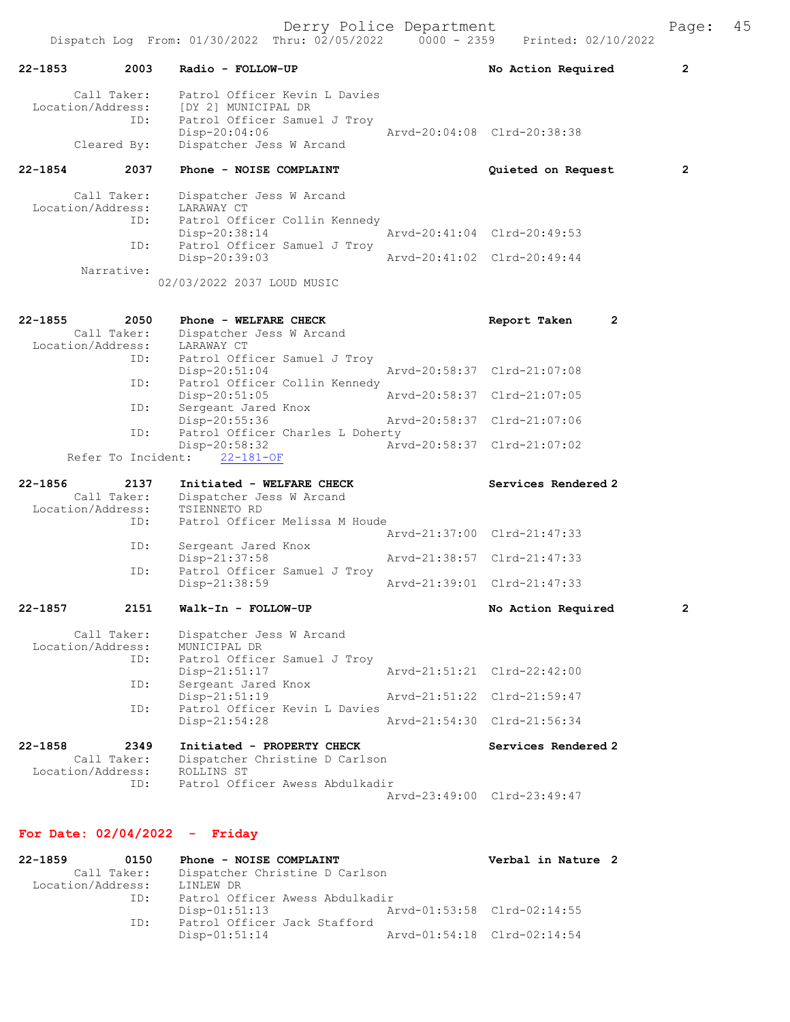|                                                 |      | Dispatch Log From: 01/30/2022 Thru: 02/05/2022                                                                                    | $0000 - 2359$ | Printed: 02/10/2022            |              |
|-------------------------------------------------|------|-----------------------------------------------------------------------------------------------------------------------------------|---------------|--------------------------------|--------------|
| $22 - 1853$                                     | 2003 | Radio - FOLLOW-UP                                                                                                                 |               | No Action Required             | 2            |
| Call Taker:<br>Location/Address:<br>Cleared By: | ID:  | Patrol Officer Kevin L Davies<br>[DY 2] MUNICIPAL DR<br>Patrol Officer Samuel J Troy<br>Disp-20:04:06<br>Dispatcher Jess W Arcand |               | Arvd-20:04:08 Clrd-20:38:38    |              |
| $22 - 1854$                                     | 2037 | Phone - NOISE COMPLAINT                                                                                                           |               | Quieted on Request             | 2            |
|                                                 |      |                                                                                                                                   |               |                                |              |
| Call Taker:<br>Location/Address:                |      | Dispatcher Jess W Arcand<br>LARAWAY CT                                                                                            |               |                                |              |
|                                                 | ID:  | Patrol Officer Collin Kennedy<br>Disp-20:38:14                                                                                    |               | Arvd-20:41:04 Clrd-20:49:53    |              |
|                                                 | ID:  | Patrol Officer Samuel J Troy                                                                                                      |               |                                |              |
| Narrative:                                      |      | Disp-20:39:03                                                                                                                     |               | Arvd-20:41:02 Clrd-20:49:44    |              |
|                                                 |      | 02/03/2022 2037 LOUD MUSIC                                                                                                        |               |                                |              |
| $22 - 1855$                                     | 2050 | Phone - WELFARE CHECK                                                                                                             |               | $\overline{2}$<br>Report Taken |              |
| Call Taker:<br>Location/Address:                |      | Dispatcher Jess W Arcand<br>LARAWAY CT                                                                                            |               |                                |              |
|                                                 | ID:  | Patrol Officer Samuel J Troy                                                                                                      |               |                                |              |
|                                                 | ID:  | $Disp-20:51:04$<br>Patrol Officer Collin Kennedy                                                                                  |               | Arvd-20:58:37 Clrd-21:07:08    |              |
|                                                 | ID:  | Disp-20:51:05<br>Sergeant Jared Knox                                                                                              | Arvd-20:58:37 | $Clrd-21:07:05$                |              |
|                                                 |      | Disp-20:55:36                                                                                                                     |               | Arvd-20:58:37 Clrd-21:07:06    |              |
|                                                 | ID:  | Patrol Officer Charles L Doherty<br>$Disp-20:58:32$                                                                               |               | Arvd-20:58:37 Clrd-21:07:02    |              |
| Refer To Incident:                              |      | $22 - 181 - OF$                                                                                                                   |               |                                |              |
| $22 - 1856$                                     | 2137 | Initiated - WELFARE CHECK                                                                                                         |               | Services Rendered 2            |              |
| Call Taker:<br>Location/Address:                |      | Dispatcher Jess W Arcand<br>TSIENNETO RD                                                                                          |               |                                |              |
|                                                 | ID:  | Patrol Officer Melissa M Houde                                                                                                    |               | Arvd-21:37:00 Clrd-21:47:33    |              |
|                                                 | ID:  | Sergeant Jared Knox<br>$Disp-21:37:58$                                                                                            |               | Arvd-21:38:57 Clrd-21:47:33    |              |
|                                                 | ID:  | Patrol Officer Samuel J Troy                                                                                                      |               |                                |              |
|                                                 |      | Disp-21:38:59                                                                                                                     |               | Arvd-21:39:01 Clrd-21:47:33    |              |
| $22 - 1857$                                     | 2151 | Walk-In - FOLLOW-UP                                                                                                               |               | No Action Required             | $\mathbf{2}$ |
| Call Taker:<br>Location/Address:                |      | Dispatcher Jess W Arcand<br>MUNICIPAL DR                                                                                          |               |                                |              |
|                                                 | ID:  | Patrol Officer Samuel J Troy                                                                                                      |               |                                |              |
|                                                 | ID:  | Disp-21:51:17<br>Sergeant Jared Knox                                                                                              |               | Aryd-21:51:21 Clrd-22:42:00    |              |
|                                                 | ID:  | $Disp-21:51:19$<br>Patrol Officer Kevin L Davies                                                                                  |               | Arvd-21:51:22 Clrd-21:59:47    |              |
|                                                 |      | Disp-21:54:28                                                                                                                     |               | Arvd-21:54:30 Clrd-21:56:34    |              |
| $22 - 1858$<br>Call Taker:<br>Location/Address: | 2349 | Initiated - PROPERTY CHECK<br>Dispatcher Christine D Carlson<br>ROLLINS ST                                                        |               | Services Rendered 2            |              |
|                                                 | ID:  | Patrol Officer Awess Abdulkadir                                                                                                   |               | Arvd-23:49:00 Clrd-23:49:47    |              |

# For Date: 02/04/2022 - Friday

| 22-1859<br>0150   | Phone - NOISE COMPLAINT         | Verbal in Nature 2 |                             |  |
|-------------------|---------------------------------|--------------------|-----------------------------|--|
| Call Taker:       | Dispatcher Christine D Carlson  |                    |                             |  |
| Location/Address: | LINLEW DR                       |                    |                             |  |
| ID:               | Patrol Officer Awess Abdulkadir |                    |                             |  |
|                   | Disp-01:51:13                   |                    | Arvd-01:53:58 Clrd-02:14:55 |  |
| ID:               | Patrol Officer Jack Stafford    |                    |                             |  |
|                   | $Disp-01:51:14$                 |                    | Arvd-01:54:18 Clrd-02:14:54 |  |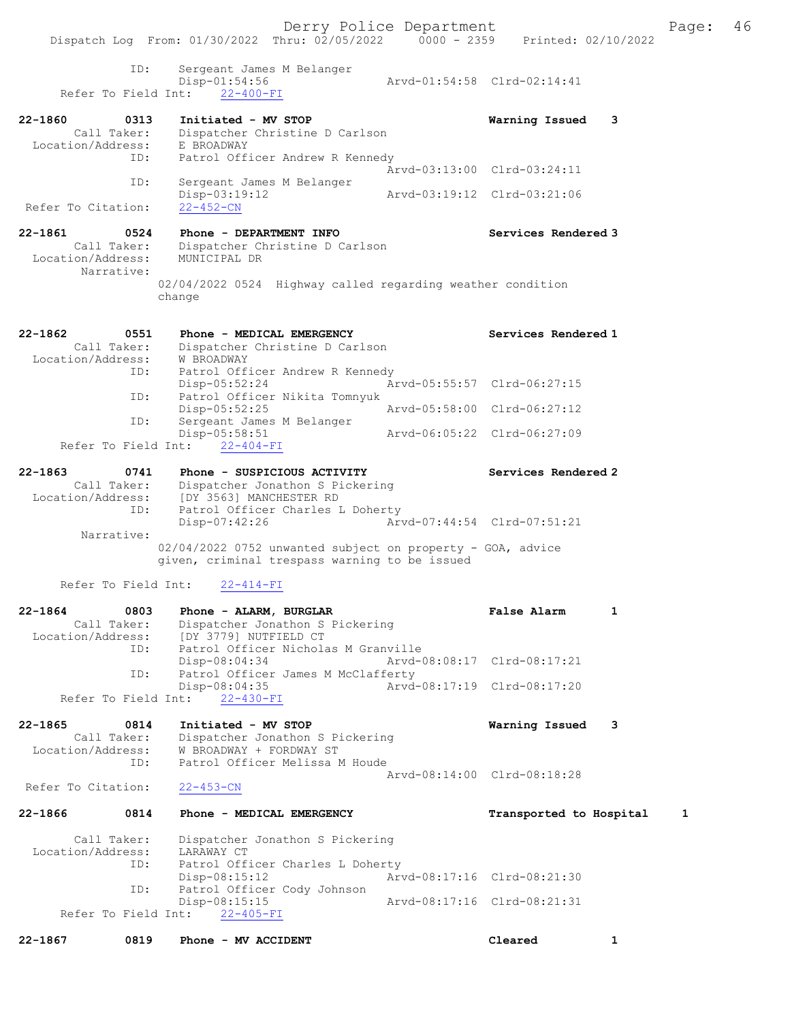|                                  | Dispatch Log From: 01/30/2022 Thru: 02/05/2022                 | $0000 - 2359$ | Printed: 02/10/2022         |              |
|----------------------------------|----------------------------------------------------------------|---------------|-----------------------------|--------------|
| ID:                              | Sergeant James M Belanger                                      |               |                             |              |
| Refer To Field Int:              | $Disp-01:54:56$<br>$22 - 400 - FI$                             |               | Arvd-01:54:58 Clrd-02:14:41 |              |
|                                  |                                                                |               |                             |              |
| 22-1860<br>0313<br>Call Taker:   | Initiated - MV STOP<br>Dispatcher Christine D Carlson          |               | Warning Issued              | 3            |
| Location/Address:                | E BROADWAY                                                     |               |                             |              |
| ID:                              | Patrol Officer Andrew R Kennedy                                |               | Arvd-03:13:00 Clrd-03:24:11 |              |
| ID:                              | Sergeant James M Belanger                                      |               |                             |              |
| Refer To Citation:               | Disp-03:19:12<br>$22 - 452 - CN$                               |               | Aryd-03:19:12 Clrd-03:21:06 |              |
|                                  |                                                                |               |                             |              |
| 0524<br>22-1861<br>Call Taker:   | Phone - DEPARTMENT INFO<br>Dispatcher Christine D Carlson      |               | Services Rendered 3         |              |
| Location/Address:                | MUNICIPAL DR                                                   |               |                             |              |
| Narrative:                       | 02/04/2022 0524 Highway called regarding weather condition     |               |                             |              |
|                                  | change                                                         |               |                             |              |
|                                  |                                                                |               |                             |              |
| 22-1862<br>0551<br>Call Taker:   | Phone - MEDICAL EMERGENCY<br>Dispatcher Christine D Carlson    |               | Services Rendered 1         |              |
| Location/Address:                | W BROADWAY                                                     |               |                             |              |
| ID:                              | Patrol Officer Andrew R Kennedy<br>$Disp-05:52:24$             |               | Arvd-05:55:57 Clrd-06:27:15 |              |
| ID:                              | Patrol Officer Nikita Tomnyuk<br>$Disp-05:52:25$               |               | Arvd-05:58:00 Clrd-06:27:12 |              |
| ID:                              | Sergeant James M Belanger                                      |               |                             |              |
| Refer To Field Int:              | $Disp-05:58:51$<br>$22 - 404 - FI$                             |               | Arvd-06:05:22 Clrd-06:27:09 |              |
|                                  |                                                                |               |                             |              |
| 22-1863<br>0741<br>Call Taker:   | Phone - SUSPICIOUS ACTIVITY<br>Dispatcher Jonathon S Pickering |               | Services Rendered 2         |              |
| Location/Address:                | [DY 3563] MANCHESTER RD                                        |               |                             |              |
| ID:                              | Patrol Officer Charles L Doherty<br>Disp-07:42:26              |               | Arvd-07:44:54 Clrd-07:51:21 |              |
| Narrative:                       | 02/04/2022 0752 unwanted subject on property - GOA, advice     |               |                             |              |
|                                  | given, criminal trespass warning to be issued                  |               |                             |              |
| Refer To Field Int:              | $22 - 414 - FI$                                                |               |                             |              |
| 22-1864<br>0803                  | Phone - ALARM, BURGLAR                                         |               | <b>False Alarm</b>          | 1            |
| Call Taker:<br>Location/Address: | Dispatcher Jonathon S Pickering<br>[DY 3779] NUTFIELD CT       |               |                             |              |
| ID:                              | Patrol Officer Nicholas M Granville                            |               |                             |              |
| ID:                              | Disp-08:04:34<br>Patrol Officer James M McClafferty            |               | Arvd-08:08:17 Clrd-08:17:21 |              |
| Refer To Field Int:              | Disp-08:04:35<br>$22 - 430 - FI$                               |               | Arvd-08:17:19 Clrd-08:17:20 |              |
|                                  |                                                                |               |                             |              |
| 22-1865<br>0814<br>Call Taker:   | Initiated - MV STOP<br>Dispatcher Jonathon S Pickering         |               | Warning Issued              | 3            |
| Location/Address:                | W BROADWAY + FORDWAY ST                                        |               |                             |              |
| ID:                              | Patrol Officer Melissa M Houde                                 |               | Arvd-08:14:00 Clrd-08:18:28 |              |
| Refer To Citation:               | $22 - 453 - CN$                                                |               |                             |              |
| 22-1866<br>0814                  | Phone - MEDICAL EMERGENCY                                      |               | Transported to Hospital     | 1            |
| Call Taker:                      | Dispatcher Jonathon S Pickering                                |               |                             |              |
| Location/Address:<br>ID:         | LARAWAY CT<br>Patrol Officer Charles L Doherty                 |               |                             |              |
|                                  | $Disp-08:15:12$                                                |               | Arvd-08:17:16 Clrd-08:21:30 |              |
| ID:                              | Patrol Officer Cody Johnson<br>Disp-08:15:15                   |               | Arvd-08:17:16 Clrd-08:21:31 |              |
| Refer To Field Int:              | $22 - 405 - FI$                                                |               |                             |              |
| 0819<br>22-1867                  | Phone - MV ACCIDENT                                            |               | Cleared                     | $\mathbf{1}$ |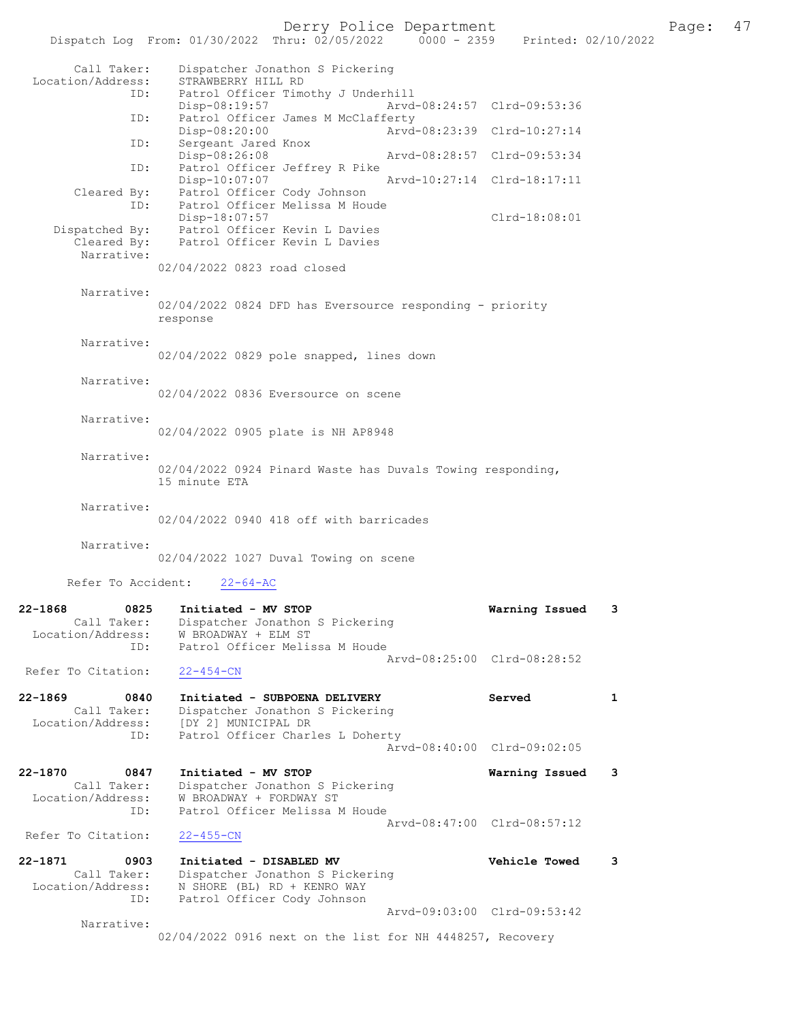Derry Police Department Fage: 47

|                                                            | Dispatch Log From: 01/30/2022 Thru: 02/05/2022<br>$0000 - 2359$                                                             | Printed: 02/10/2022         |              |
|------------------------------------------------------------|-----------------------------------------------------------------------------------------------------------------------------|-----------------------------|--------------|
| Call Taker:<br>Location/Address:                           | Dispatcher Jonathon S Pickering<br>STRAWBERRY HILL RD                                                                       |                             |              |
| ID:                                                        | Patrol Officer Timothy J Underhill<br>$Disp-08:19:57$                                                                       | Arvd-08:24:57 Clrd-09:53:36 |              |
| ID:                                                        | Patrol Officer James M McClafferty<br>Disp-08:20:00                                                                         | Arvd-08:23:39 Clrd-10:27:14 |              |
| ID:                                                        | Sergeant Jared Knox<br>Disp-08:26:08                                                                                        | Arvd-08:28:57 Clrd-09:53:34 |              |
| ID:                                                        | Patrol Officer Jeffrey R Pike<br>Disp-10:07:07                                                                              | Aryd-10:27:14 Clrd-18:17:11 |              |
| Cleared By:<br>ID:                                         | Patrol Officer Cody Johnson<br>Patrol Officer Melissa M Houde<br>Disp-18:07:57                                              | Clrd-18:08:01               |              |
| Dispatched By:<br>Cleared By:<br>Narrative:                | Patrol Officer Kevin L Davies<br>Patrol Officer Kevin L Davies                                                              |                             |              |
|                                                            | 02/04/2022 0823 road closed                                                                                                 |                             |              |
| Narrative:                                                 | 02/04/2022 0824 DFD has Eversource responding - priority<br>response                                                        |                             |              |
| Narrative:                                                 | 02/04/2022 0829 pole snapped, lines down                                                                                    |                             |              |
| Narrative:                                                 | 02/04/2022 0836 Eversource on scene                                                                                         |                             |              |
| Narrative:                                                 | 02/04/2022 0905 plate is NH AP8948                                                                                          |                             |              |
| Narrative:                                                 | 02/04/2022 0924 Pinard Waste has Duvals Towing responding,<br>15 minute ETA                                                 |                             |              |
| Narrative:                                                 | 02/04/2022 0940 418 off with barricades                                                                                     |                             |              |
| Narrative:                                                 | 02/04/2022 1027 Duval Towing on scene                                                                                       |                             |              |
| Refer To Accident:                                         | $22 - 64 - AC$                                                                                                              |                             |              |
| 22-1868<br>0825<br>Call Taker:<br>Location/Address:<br>ID: | Initiated - MV STOP<br>Dispatcher Jonathon S Pickering<br>W BROADWAY + ELM ST<br>Patrol Officer Melissa M Houde             | Warning Issued              | 3            |
| Refer To Citation:                                         | $22 - 454 - CN$                                                                                                             | Arvd-08:25:00 Clrd-08:28:52 |              |
| 22-1869<br>0840<br>Call Taker:<br>Location/Address:        | Initiated - SUBPOENA DELIVERY<br>Dispatcher Jonathon S Pickering<br>[DY 2] MUNICIPAL DR<br>Patrol Officer Charles L Doherty | Served                      | $\mathbf{1}$ |
| ID:                                                        |                                                                                                                             | Arvd-08:40:00 Clrd-09:02:05 |              |
| 22-1870<br>0847<br>Call Taker:<br>Location/Address:        | Initiated - MV STOP<br>Dispatcher Jonathon S Pickering<br>W BROADWAY + FORDWAY ST                                           | Warning Issued              | 3            |
| ID:<br>Refer To Citation:                                  | Patrol Officer Melissa M Houde<br>$22 - 455 - CN$                                                                           | Arvd-08:47:00 Clrd-08:57:12 |              |
| 22-1871<br>0903                                            | Initiated - DISABLED MV                                                                                                     | <b>Vehicle Towed</b>        | 3            |
| Call Taker:<br>Location/Address:<br>ID:                    | Dispatcher Jonathon S Pickering<br>N SHORE (BL) RD + KENRO WAY<br>Patrol Officer Cody Johnson                               |                             |              |
| Narrative:                                                 |                                                                                                                             | Arvd-09:03:00 Clrd-09:53:42 |              |
|                                                            | 02/04/2022 0916 next on the list for NH 4448257, Recovery                                                                   |                             |              |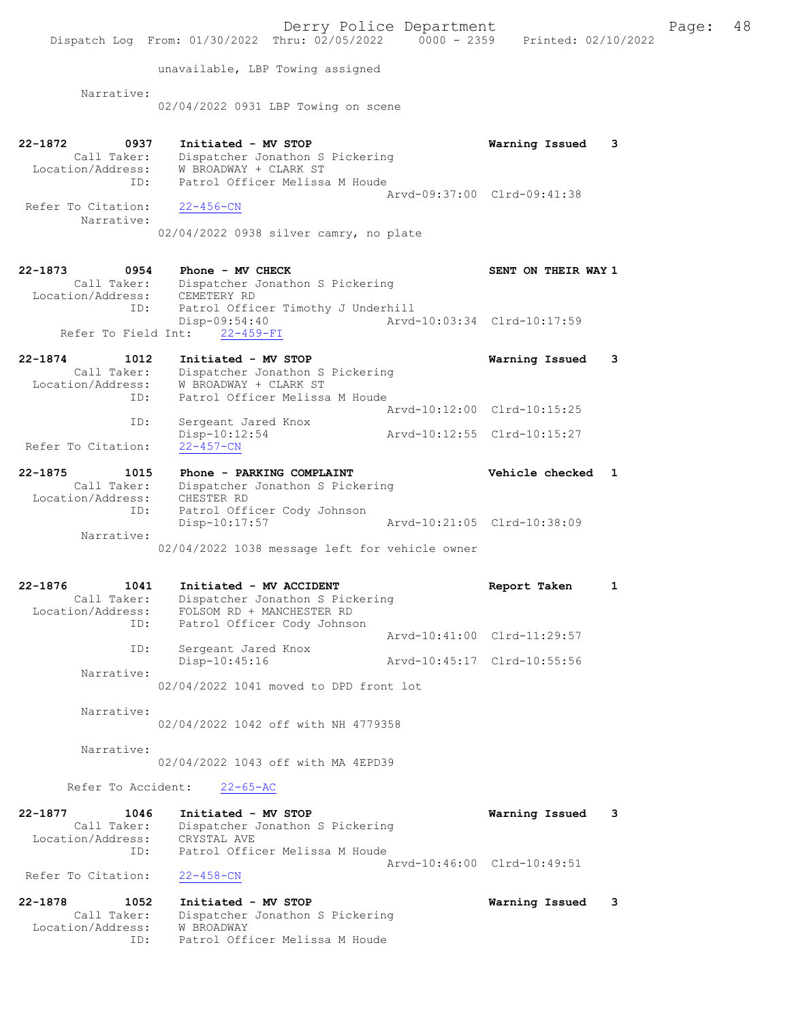Dispatch Log From: 01/30/2022 Thru: 02/05/2022 0000 - 2359 Printed: 02/10/2022 unavailable, LBP Towing assigned Narrative: 02/04/2022 0931 LBP Towing on scene 22-1872 0937 Initiated - MV STOP Warning Issued 3 Call Taker: Dispatcher Jonathon S Pickering Location/Address: W BROADWAY + CLARK ST ID: Patrol Officer Melissa M Houde Arvd-09:37:00 Clrd-09:41:38 Refer To Citation: 22-456-CN Narrative: 02/04/2022 0938 silver camry, no plate 22-1873 0954 Phone - MV CHECK SENT ON THEIR WAY 1 Call Taker: Dispatcher Jonathon S Pickering Location/Address: CEMETERY RD ID: Patrol Officer Timothy J Underhill<br>Disp-09:54:40 Arvd-Arvd-10:03:34 Clrd-10:17:59 Refer To Field Int: 22-459-FI 22-1874 1012 Initiated - MV STOP Warning Issued 3 Call Taker: Dispatcher Jonathon S Pickering Location/Address: W BROADWAY + CLARK ST ID: Patrol Officer Melissa M Houde Arvd-10:12:00 Clrd-10:15:25<br>ID: Sergeant Jared Knox Sergeant Jared Knox<br>Disp-10:12:54 Disp-10:12:54 Arvd-10:12:55 Clrd-10:15:27 Refer To Citation: 22-1875 1015 Phone - PARKING COMPLAINT Vehicle checked 1 Call Taker: Dispatcher Jonathon S Pickering Location/Address: CHESTER RD ID: Patrol Officer Cody Johnson Disp-10:17:57 Arvd-10:21:05 Clrd-10:38:09 Narrative: 02/04/2022 1038 message left for vehicle owner 22-1876 1041 Initiated - MV ACCIDENT 1 22-1876 Report Taken 1 Call Taker: Dispatcher Jonathon S Pickering Location/Address: FOLSOM RD + MANCHESTER RD ID: Patrol Officer Cody Johnson Arvd-10:41:00 Clrd-11:29:57 ID: Sergeant Jared Knox Disp-10:45:16 Arvd-10:45:17 Clrd-10:55:56 Narrative: 02/04/2022 1041 moved to DPD front lot Narrative: 02/04/2022 1042 off with NH 4779358 Narrative: 02/04/2022 1043 off with MA 4EPD39 Refer To Accident: 22-65-AC 22-1877 1046 Initiated - MV STOP Warning Issued 3 Call Taker: Dispatcher Jonathon S Pickering Location/Address: CRYSTAL AVE ID: Patrol Officer Melissa M Houde Arvd-10:46:00 Clrd-10:49:51 Refer To Citation: 22-458-CN 22-1878 1052 Initiated - MV STOP Warning Issued 3 Call Taker: Dispatcher Jonathon S Pickering Location/Address: W BROADWAY

ID: Patrol Officer Melissa M Houde

Derry Police Department Fage: 48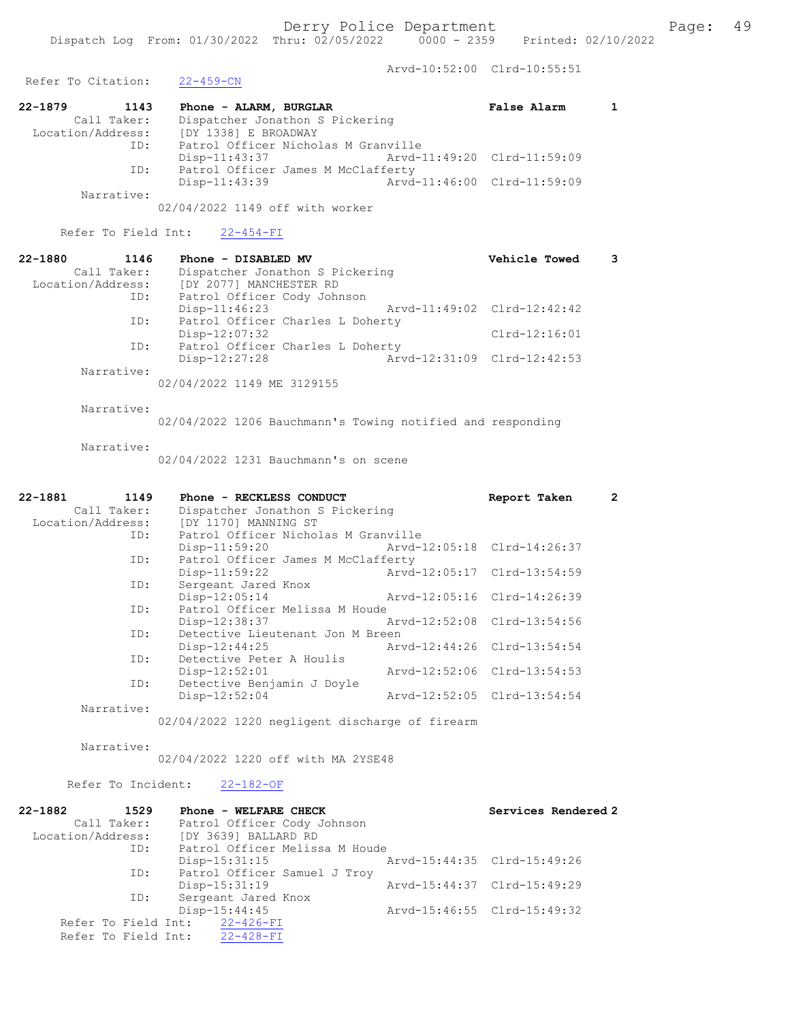Arvd-10:52:00 Clrd-10:55:51<br>22-459-CN Refer To Citation: 22-1879 1143 Phone - ALARM, BURGLAR False Alarm 1 Call Taker: Dispatcher Jonathon S Pickering Location/Address: [DY 1338] E BROADWAY ID: Patrol Officer Nicholas M Granville Disp-11:43:37 Arvd-11:49:20 Clrd-11:59:09 ID: Patrol Officer James M McClafferty Disp-11:43:39 Arvd-11:46:00 Clrd-11:59:09 Narrative: 02/04/2022 1149 off with worker Refer To Field Int: 22-454-FI 22-1880 1146 Phone - DISABLED MV Vehicle Towed 3 Call Taker: Dispatcher Jonathon S Pickering Location/Address: [DY 2077] MANCHESTER RD ID: Patrol Officer Cody Johnson Disp-11:46:23 Arvd-11:49:02 Clrd-12:42:42 ID: Patrol Officer Charles L Doherty

Disp-12:07:32 Clrd-12:16:01

ID: Patrol Officer Charles L Doherty<br>Disp-12:27:28 Arvd-12:31:09 Clrd-12:42:53 Disp-12:27:28 Narrative:

02/04/2022 1149 ME 3129155

Narrative:

02/04/2022 1206 Bauchmann's Towing notified and responding

Narrative:

02/04/2022 1231 Bauchmann's on scene

| $22 - 1881$ | 1149 | Phone - RECKLESS CONDUCT                       |                             | Report Taken                | $\overline{2}$ |
|-------------|------|------------------------------------------------|-----------------------------|-----------------------------|----------------|
| Call Taker: |      | Dispatcher Jonathon S Pickering                |                             |                             |                |
|             |      | Location/Address: [DY 1170] MANNING ST         |                             |                             |                |
|             |      | ID: Patrol Officer Nicholas M Granville        |                             |                             |                |
|             |      | Disp-11:59:20                                  | Arvd-12:05:18 Clrd-14:26:37 |                             |                |
|             | ID:  | Patrol Officer James M McClafferty             |                             |                             |                |
|             |      | $Disp-11:59:22$                                |                             | Arvd-12:05:17 Clrd-13:54:59 |                |
|             | ID:  | Sergeant Jared Knox                            |                             |                             |                |
|             |      | Disp-12:05:14                                  | Arvd-12:05:16 Clrd-14:26:39 |                             |                |
|             | ID:  | Patrol Officer Melissa M Houde                 |                             |                             |                |
|             |      | Disp-12:38:37                                  | Arvd-12:52:08 Clrd-13:54:56 |                             |                |
|             | ID:  | Detective Lieutenant Jon M Breen               |                             |                             |                |
|             |      | $Disp-12:44:25$                                |                             | Arvd-12:44:26 Clrd-13:54:54 |                |
|             | ID:  | Detective Peter A Houlis                       |                             |                             |                |
|             |      | $Disp-12:52:01$                                |                             | Arvd-12:52:06 Clrd-13:54:53 |                |
|             | ID:  | Detective Benjamin J Doyle                     |                             |                             |                |
|             |      | Disp-12:52:04                                  |                             | Arvd-12:52:05 Clrd-13:54:54 |                |
| Narrative:  |      |                                                |                             |                             |                |
|             |      | 02/04/2022 1220 negligent discharge of firearm |                             |                             |                |

Narrative:

02/04/2022 1220 off with MA 2YSE48

Refer To Incident: 22-182-OF

| 22-1882<br>1529               | Phone - WELFARE CHECK          |                             | Services Rendered 2         |
|-------------------------------|--------------------------------|-----------------------------|-----------------------------|
| Call Taker:                   | Patrol Officer Cody Johnson    |                             |                             |
| Location/Address:             | [DY 3639] BALLARD RD           |                             |                             |
| ID:                           | Patrol Officer Melissa M Houde |                             |                             |
|                               | Disp-15:31:15                  |                             | Arvd-15:44:35 Clrd-15:49:26 |
| ID:                           | Patrol Officer Samuel J Troy   |                             |                             |
|                               | Disp-15:31:19                  | Arvd-15:44:37 Clrd-15:49:29 |                             |
| ID:                           | Sergeant Jared Knox            |                             |                             |
|                               | $Disp-15:44:45$                |                             | Arvd-15:46:55 Clrd-15:49:32 |
| Refer To Field Int: 22-426-FI |                                |                             |                             |
| Refer To Field Int: 22-428-FI |                                |                             |                             |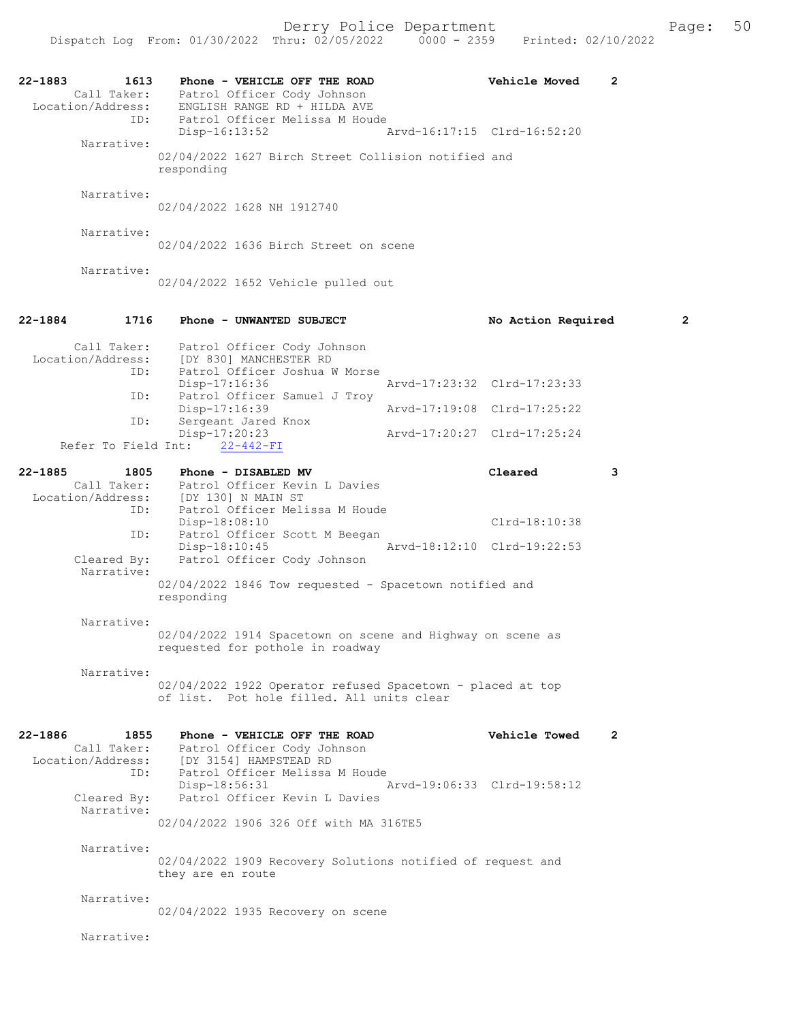| 22-1883<br>1613<br>Location/Address:<br>TD:<br>ID: | Phone - VEHICLE OFF THE ROAD<br>Call Taker: Patrol Officer Cody Johnson<br>ENGLISH RANGE RD + HILDA AVE<br>Patrol Officer Melissa M Houde |                             | Vehicle Moved        | 2 |                |
|----------------------------------------------------|-------------------------------------------------------------------------------------------------------------------------------------------|-----------------------------|----------------------|---|----------------|
| Narrative:                                         | Disp-16:13:52                                                                                                                             | Arvd-16:17:15 Clrd-16:52:20 |                      |   |                |
|                                                    | 02/04/2022 1627 Birch Street Collision notified and<br>responding                                                                         |                             |                      |   |                |
| Narrative:                                         | 02/04/2022 1628 NH 1912740                                                                                                                |                             |                      |   |                |
| Narrative:                                         | 02/04/2022 1636 Birch Street on scene                                                                                                     |                             |                      |   |                |
| Narrative:                                         | 02/04/2022 1652 Vehicle pulled out                                                                                                        |                             |                      |   |                |
| 22-1884<br>1716                                    | Phone - UNWANTED SUBJECT                                                                                                                  |                             | No Action Required   |   | $\overline{2}$ |
| ID:                                                | Call Taker: Patrol Officer Cody Johnson<br>Location/Address: [DY 830] MANCHESTER RD<br>Patrol Officer Joshua W Morse                      |                             |                      |   |                |
|                                                    | Disp-17:16:36                                                                                                                             | Arvd-17:23:32 Clrd-17:23:33 |                      |   |                |
| ID:                                                | Patrol Officer Samuel J Troy<br>Disp-17:16:39                                                                                             | Arvd-17:19:08 Clrd-17:25:22 |                      |   |                |
| ID:                                                | Sergeant Jared Knox<br>Disp-17:20:23<br>Refer To Field Int: 22-442-FI                                                                     | Arvd-17:20:27 Clrd-17:25:24 |                      |   |                |
| $22 - 1885$<br>1805                                | Phone - DISABLED MV                                                                                                                       |                             | Cleared              | 3 |                |
| ID:                                                | Call Taker: Patrol Officer Kevin L Davies<br>Location/Address: [DY 130] N MAIN ST<br>Patrol Officer Melissa M Houde                       |                             |                      |   |                |
| ID:                                                | Disp-18:08:10<br>Patrol Officer Scott M Beegan                                                                                            |                             | Clrd-18:10:38        |   |                |
| Cleared By:                                        | Disp-18:10:45<br>Patrol Officer Cody Johnson                                                                                              | Arvd-18:12:10 Clrd-19:22:53 |                      |   |                |
| Narrative:                                         | 02/04/2022 1846 Tow requested - Spacetown notified and<br>responding                                                                      |                             |                      |   |                |
| Narrative:                                         |                                                                                                                                           |                             |                      |   |                |
|                                                    | 02/04/2022 1914 Spacetown on scene and Highway on scene as<br>requested for pothole in roadway                                            |                             |                      |   |                |
| Narrative:                                         | 02/04/2022 1922 Operator refused Spacetown - placed at top<br>of list. Pot hole filled. All units clear                                   |                             |                      |   |                |
| 22-1886<br>1855                                    | Phone - VEHICLE OFF THE ROAD<br>Call Taker: Patrol Officer Cody Johnson                                                                   |                             | <b>Vehicle Towed</b> | 2 |                |
| ID:                                                | Location/Address: [DY 3154] HAMPSTEAD RD<br>Patrol Officer Melissa M Houde<br>Disp-18:56:31                                               | Arvd-19:06:33 Clrd-19:58:12 |                      |   |                |
| Cleared By:<br>Narrative:                          | Patrol Officer Kevin L Davies<br>02/04/2022 1906 326 Off with MA 316TE5                                                                   |                             |                      |   |                |
| Narrative:                                         | 02/04/2022 1909 Recovery Solutions notified of request and<br>they are en route                                                           |                             |                      |   |                |
| Narrative:                                         | 02/04/2022 1935 Recovery on scene                                                                                                         |                             |                      |   |                |
| Narrative:                                         |                                                                                                                                           |                             |                      |   |                |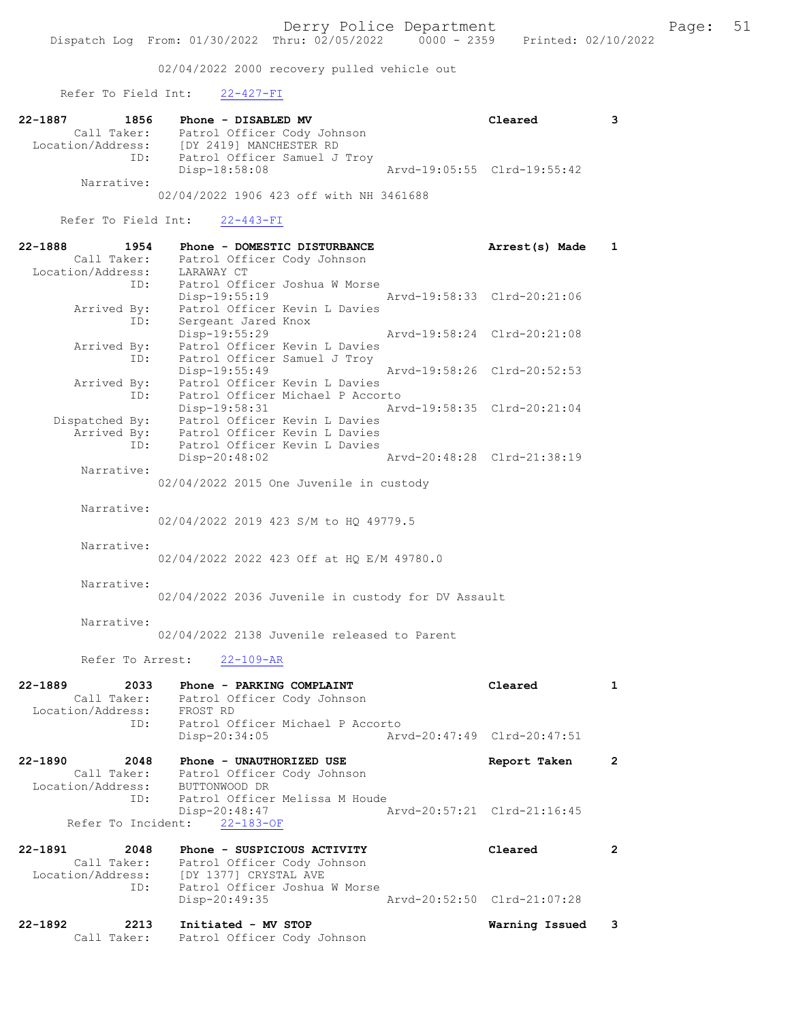02/04/2022 2000 recovery pulled vehicle out

Refer To Field Int: 22-427-FI

| 22-1887 | 1856              | Phone - DISABLED MV          | Cleared                     | 3 |
|---------|-------------------|------------------------------|-----------------------------|---|
|         | Call Taker:       | Patrol Officer Cody Johnson  |                             |   |
|         | Location/Address: | [DY 2419] MANCHESTER RD      |                             |   |
|         | ID:               | Patrol Officer Samuel J Troy |                             |   |
|         |                   | Disp-18:58:08                | Arvd-19:05:55 Clrd-19:55:42 |   |
|         | Narrative:        |                              |                             |   |

02/04/2022 1906 423 off with NH 3461688

Refer To Field Int: 22-443-FI

Call Taker: Patrol Officer Cody Johnson

| 22-1888<br>Call Taker:<br>Location/Address: | 1954                       | Phone - DOMESTIC DISTURBANCE<br>Patrol Officer Cody Johnson<br>LARAWAY CT                                  | Arrest(s) Made              | $\mathbf{1}$         |
|---------------------------------------------|----------------------------|------------------------------------------------------------------------------------------------------------|-----------------------------|----------------------|
| Arrived By:                                 | ID:                        | Patrol Officer Joshua W Morse<br>Disp-19:55:19<br>Patrol Officer Kevin L Davies                            | Arvd-19:58:33 Clrd-20:21:06 |                      |
| Arrived By:                                 | ID:                        | Sergeant Jared Knox<br>Disp-19:55:29<br>Patrol Officer Kevin L Davies                                      | Arvd-19:58:24 Clrd-20:21:08 |                      |
|                                             | ID:                        | Patrol Officer Samuel J Troy<br>Disp-19:55:49                                                              | Arvd-19:58:26 Clrd-20:52:53 |                      |
| Arrived By:                                 | ID:                        | Patrol Officer Kevin L Davies<br>Patrol Officer Michael P Accorto                                          |                             |                      |
| Dispatched By:                              | Arrived By:                | Disp-19:58:31<br>Patrol Officer Kevin L Davies<br>Patrol Officer Kevin L Davies                            | Arvd-19:58:35 Clrd-20:21:04 |                      |
|                                             | ID:                        | Patrol Officer Kevin L Davies<br>$Disp-20:48:02$                                                           | Arvd-20:48:28 Clrd-21:38:19 |                      |
| Narrative:                                  |                            | 02/04/2022 2015 One Juvenile in custody                                                                    |                             |                      |
| Narrative:                                  |                            | 02/04/2022 2019 423 S/M to HQ 49779.5                                                                      |                             |                      |
| Narrative:                                  |                            | 02/04/2022 2022 423 Off at HO E/M 49780.0                                                                  |                             |                      |
| Narrative:                                  |                            | 02/04/2022 2036 Juvenile in custody for DV Assault                                                         |                             |                      |
| Narrative:                                  |                            | 02/04/2022 2138 Juvenile released to Parent                                                                |                             |                      |
|                                             | Refer To Arrest:           | $22 - 109 - AR$                                                                                            |                             |                      |
| 22-1889<br>Location/Address:                | 2033<br>Call Taker:        | Phone - PARKING COMPLAINT<br>Patrol Officer Cody Johnson<br>FROST RD                                       | Cleared                     | $\mathbf{1}$         |
|                                             | ID:                        | Patrol Officer Michael P Accorto<br>Disp-20:34:05                                                          | Arvd-20:47:49 Clrd-20:47:51 |                      |
| 22-1890<br>Location/Address:                | 2048<br>Call Taker:<br>ID: | Phone - UNAUTHORIZED USE<br>Patrol Officer Cody Johnson<br>BUTTONWOOD DR<br>Patrol Officer Melissa M Houde | Report Taken                | $\mathbf{2}^{\circ}$ |
| Refer To Incident:                          |                            | $Disp-20:48:47$<br>$22 - 183 - OF$                                                                         | Arvd-20:57:21 Clrd-21:16:45 |                      |
| 22-1891<br>Call Taker:<br>Location/Address: | 2048                       | Phone - SUSPICIOUS ACTIVITY<br>Patrol Officer Cody Johnson<br>[DY 1377] CRYSTAL AVE                        | Cleared                     | 2                    |
|                                             | ID:                        | Patrol Officer Joshua W Morse<br>Disp-20:49:35                                                             | Arvd-20:52:50 Clrd-21:07:28 |                      |
| 22-1892                                     | 2213                       | Initiated - MV STOP                                                                                        | Warning Issued              | 3                    |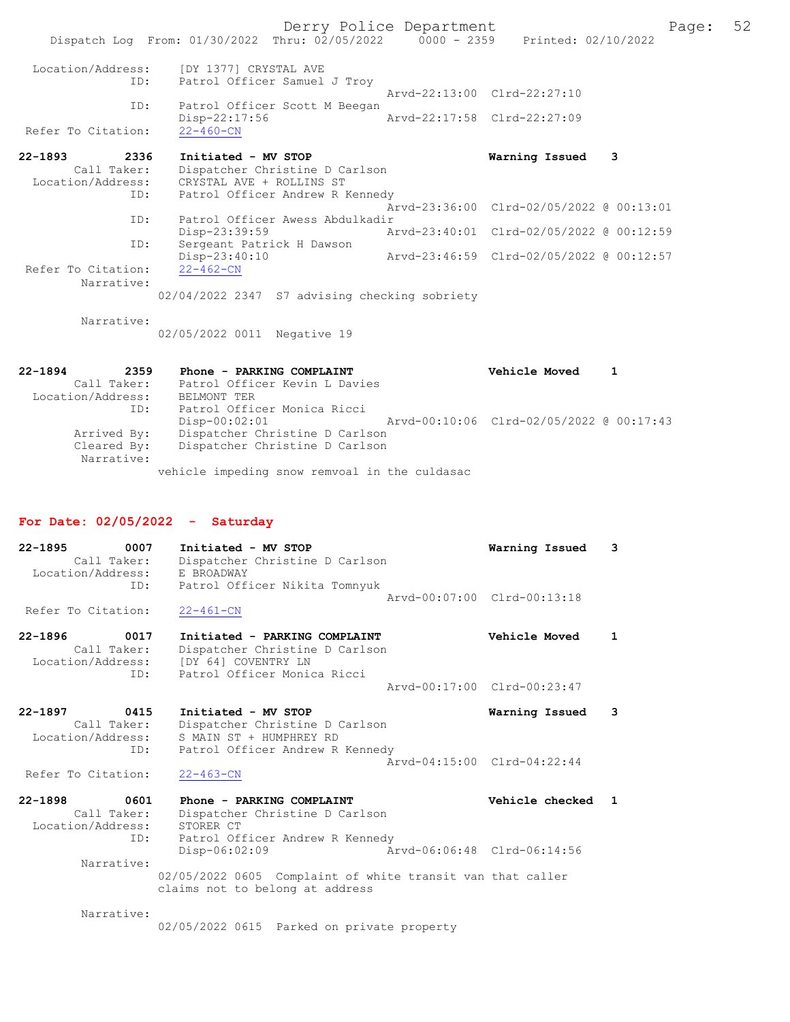Derry Police Department Form Page: 52 Dispatch Log From: 01/30/2022 Thru: 02/05/2022 0000 - 2359 Printed: 02/10/2022 Location/Address: [DY 1377] CRYSTAL AVE ID: Patrol Officer Samuel J Troy Arvd-22:13:00 Clrd-22:27:10<br>TD: Patrol Officer Scott M Beegan Patrol Officer Scott M Beegan<br>Disp-22:17:56 Disp-22:17:56 Arvd-22:17:58 Clrd-22:27:09 Refer To Citation: 22-1893 2336 Initiated - MV STOP Warning Issued 3 Call Taker: Dispatcher Christine D Carlson Location/Address: CRYSTAL AVE + ROLLINS ST ID: Patrol Officer Andrew R Kennedy Arvd-23:36:00 Clrd-02/05/2022 @ 00:13:01 ID: Patrol Officer Awess Abdulkadir Disp-23:39:59 Arvd-23:40:01 Clrd-02/05/2022 @ 00:12:59 ID: Sergeant Patrick H Dawson Disp-23:40:10 Arvd-23:46:59 Clrd-02/05/2022 @ 00:12:57 Refer To Citation: Narrative: 02/04/2022 2347 S7 advising checking sobriety Narrative: 02/05/2022 0011 Negative 19

22-1894 2359 Phone - PARKING COMPLAINT Vehicle Moved 1 Call Taker: Patrol Officer Kevin L Davies Location/Address: BELMONT TER<br>ID: Patrol Officer<br>Disp-00:02:01<br>Contriber Chr Patrol Officer Monica Ricci Arvd-00:10:06 Clrd-02/05/2022 @ 00:17:43 Arrived By: Dispatcher Christine D Carlson Cleared By: Dispatcher Christine D Carlson Narrative: vehicle impeding snow remvoal in the culdasac

#### For Date: 02/05/2022 - Saturday

| $22 - 1895$<br>0007<br>Call Taker:<br>Location/Address:<br>ID: | Initiated - MV STOP<br>Dispatcher Christine D Carlson<br>E BROADWAY<br>Patrol Officer Nikita Tomnyuk                  | Warning Issued                               |  |
|----------------------------------------------------------------|-----------------------------------------------------------------------------------------------------------------------|----------------------------------------------|--|
| Refer To Citation:                                             | $22 - 461 - CN$                                                                                                       | Aryd-00:07:00 Clrd-00:13:18                  |  |
| $22 - 1896$<br>0017<br>Call Taker:<br>Location/Address:<br>ID: | Initiated - PARKING COMPLAINT<br>Dispatcher Christine D Carlson<br>[DY 64] COVENTRY LN<br>Patrol Officer Monica Ricci | Vehicle Moved<br>Arvd-00:17:00 Clrd-00:23:47 |  |

22-1897 0415 Initiated - MV STOP Warning Issued 3 Call Taker: Dispatcher Christine D Carlson Location/Address: S MAIN ST + HUMPHREY RD ID: Patrol Officer Andrew R Kennedy Arvd-04:15:00 Clrd-04:22:44 Refer To Citation:

22-1898 0601 Phone - PARKING COMPLAINT Vehicle checked 1 Call Taker: Dispatcher Christine D Carlson Location/Address: STORER CT ID: Patrol Officer Andrew R Kennedy Disp-06:02:09 Arvd-06:06:48 Clrd-06:14:56 Narrative: 02/05/2022 0605 Complaint of white transit van that caller claims not to belong at address

Narrative:

02/05/2022 0615 Parked on private property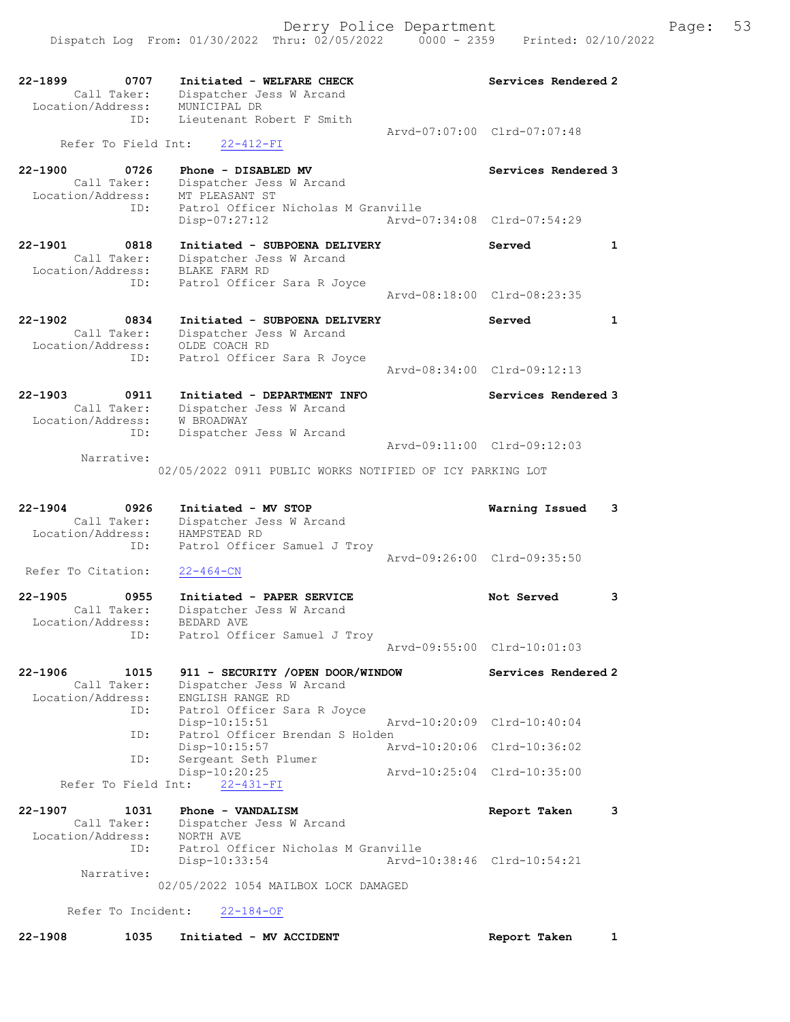| 22-1899<br>0707                    | Initiated - WELFARE CHECK                                 | Services Rendered 2         |              |
|------------------------------------|-----------------------------------------------------------|-----------------------------|--------------|
| Call Taker:<br>Location/Address:   | Dispatcher Jess W Arcand<br>MUNICIPAL DR                  |                             |              |
| ID:                                | Lieutenant Robert F Smith                                 | Aryd-07:07:00 Clrd-07:07:48 |              |
| Refer To Field Int:                | $22 - 412 - FI$                                           |                             |              |
| $22 - 1900$<br>0726                | Phone - DISABLED MV                                       | Services Rendered 3         |              |
| Call Taker:<br>Location/Address:   | Dispatcher Jess W Arcand<br>MT PLEASANT ST                |                             |              |
| ID:                                | Patrol Officer Nicholas M Granville<br>Disp-07:27:12      | Arvd-07:34:08 Clrd-07:54:29 |              |
|                                    |                                                           |                             |              |
| $22 - 1901$<br>0818<br>Call Taker: | Initiated - SUBPOENA DELIVERY<br>Dispatcher Jess W Arcand | Served                      | $\mathbf{1}$ |
| Location/Address:                  | BLAKE FARM RD                                             |                             |              |
| ID:                                | Patrol Officer Sara R Joyce                               | Arvd-08:18:00 Clrd-08:23:35 |              |
| $22 - 1902$<br>0834                | Initiated - SUBPOENA DELIVERY                             | Served                      | $\mathbf{1}$ |
| Call Taker:                        | Dispatcher Jess W Arcand                                  |                             |              |
| Location/Address:<br>ID:           | OLDE COACH RD<br>Patrol Officer Sara R Joyce              |                             |              |
|                                    |                                                           | Arvd-08:34:00 Clrd-09:12:13 |              |
| $22 - 1903$<br>0911                | Initiated - DEPARTMENT INFO                               | Services Rendered 3         |              |
| Call Taker:<br>Location/Address:   | Dispatcher Jess W Arcand<br>W BROADWAY                    |                             |              |
| ID:                                | Dispatcher Jess W Arcand                                  |                             |              |
| Narrative:                         |                                                           | Arvd-09:11:00 Clrd-09:12:03 |              |
|                                    | 02/05/2022 0911 PUBLIC WORKS NOTIFIED OF ICY PARKING LOT  |                             |              |
|                                    |                                                           |                             |              |
|                                    |                                                           |                             |              |
| $22 - 1904$<br>0926                | Initiated - MV STOP                                       | Warning Issued              | 3            |
| Call Taker:<br>Location/Address:   | Dispatcher Jess W Arcand<br>HAMPSTEAD RD                  |                             |              |
| ID:                                | Patrol Officer Samuel J Troy                              | Arvd-09:26:00 Clrd-09:35:50 |              |
| Refer To Citation:                 | $22 - 464 - CN$                                           |                             |              |
| $22 - 1905$<br>0955                | Initiated - PAPER SERVICE                                 | Not Served                  | 3            |
| Call Taker:                        | Dispatcher Jess W Arcand                                  |                             |              |
| Location/Address:<br>ID:           | <b>BEDARD AVE</b><br>Patrol Officer Samuel J Troy         |                             |              |
|                                    |                                                           | Arvd-09:55:00 Clrd-10:01:03 |              |
| $22 - 1906$<br>1015                | 911 - SECURITY / OPEN DOOR/WINDOW                         | Services Rendered 2         |              |
| Call Taker:<br>Location/Address:   | Dispatcher Jess W Arcand<br>ENGLISH RANGE RD              |                             |              |
| ID:                                | Patrol Officer Sara R Joyce                               | Arvd-10:20:09 Clrd-10:40:04 |              |
| ID:                                | Disp-10:15:51<br>Patrol Officer Brendan S Holden          |                             |              |
| ID:                                | $Disp-10:15:57$<br>Sergeant Seth Plumer                   | Arvd-10:20:06 Clrd-10:36:02 |              |
|                                    | Disp-10:20:25                                             | Arvd-10:25:04 Clrd-10:35:00 |              |
| Refer To Field Int:                | $22 - 431 - FI$                                           |                             |              |
| $22 - 1907$<br>1031                | Phone - VANDALISM                                         | Report Taken                | 3            |
| Call Taker:<br>Location/Address:   | Dispatcher Jess W Arcand<br>NORTH AVE                     |                             |              |
| ID:                                | Patrol Officer Nicholas M Granville<br>Disp-10:33:54      | Arvd-10:38:46 Clrd-10:54:21 |              |
| Narrative:                         |                                                           |                             |              |
|                                    | 02/05/2022 1054 MAILBOX LOCK DAMAGED                      |                             |              |
| Refer To Incident:                 | $22 - 184 - OF$                                           |                             |              |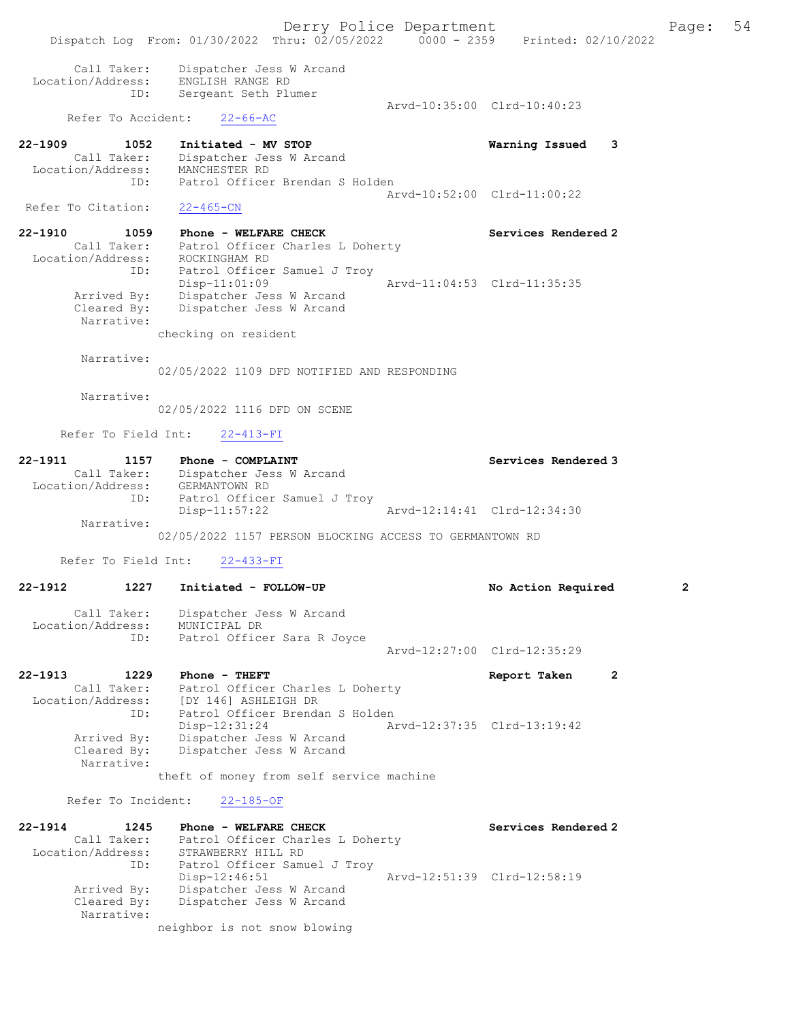Derry Police Department Fage: 54 Dispatch Log From: 01/30/2022 Thru: 02/05/2022 0000 - 2359 Printed: 02/10/2022 Call Taker: Dispatcher Jess W Arcand Location/Address: ENGLISH RANGE RD ID: Sergeant Seth Plumer Arvd-10:35:00 Clrd-10:40:23 Refer To Accident: 22-66-AC 22-1909 1052 Initiated - MV STOP Warning Issued 3 Call Taker: Dispatcher Jess W Arcand Location/Address: MANCHESTER RD ID: Patrol Officer Brendan S Holden Arvd-10:52:00 Clrd-11:00:22 Refer To Citation: 22-465-CN 22-1910 1059 Phone - WELFARE CHECK Services Rendered 2 Call Taker: Patrol Officer Charles L Doherty Location/Address: ROCKINGHAM RD ID: Patrol Officer Samuel J Troy Disp-11:01:09 Arvd-11:04:53 Clrd-11:35:35 Arrived By: Dispatcher Jess W Arcand Cleared By: Dispatcher Jess W Arcand Narrative: checking on resident Narrative: 02/05/2022 1109 DFD NOTIFIED AND RESPONDING Narrative: 02/05/2022 1116 DFD ON SCENE Refer To Field Int: 22-413-FI 22-1911 1157 Phone - COMPLAINT Services Rendered 3 Call Taker: Dispatcher Jess W Arcand Location/Address: GERMANTOWN RD ID: Patrol Officer Samuel J Troy<br>Disp-11:57:22 Arvd-12:14:41 Clrd-12:34:30 Narrative: 02/05/2022 1157 PERSON BLOCKING ACCESS TO GERMANTOWN RD Refer To Field Int: 22-433-FI 22-1912 1227 Initiated - FOLLOW-UP No Action Required 2 Call Taker: Dispatcher Jess W Arcand Location/Address: MUNICIPAL DR ID: Patrol Officer Sara R Joyce Arvd-12:27:00 Clrd-12:35:29 22-1913 1229 Phone - THEFT Report Taken 2 Call Taker: Patrol Officer Charles L Doherty Location/Address: [DY 146] ASHLEIGH DR ID: Patrol Officer Brendan S Holden Disp-12:31:24 Arvd-12:37:35 Clrd-13:19:42 Arrived By: Dispatcher Jess W Arcand<br>Cleared By: Dispatcher Jess W Arcand Dispatcher Jess W Arcand Narrative: theft of money from self service machine Refer To Incident: 22-185-OF 22-1914 1245 Phone - WELFARE CHECK Services Rendered 2

 Call Taker: Patrol Officer Charles L Doherty Location/Address: STRAWBERRY HILL RD ID: Patrol Officer Samuel J Troy Disp-12:46:51 Arvd-12:51:39 Clrd-12:58:19 Arrived By: Dispatcher Jess W Arcand Cleared By: Dispatcher Jess W Arcand Narrative: neighbor is not snow blowing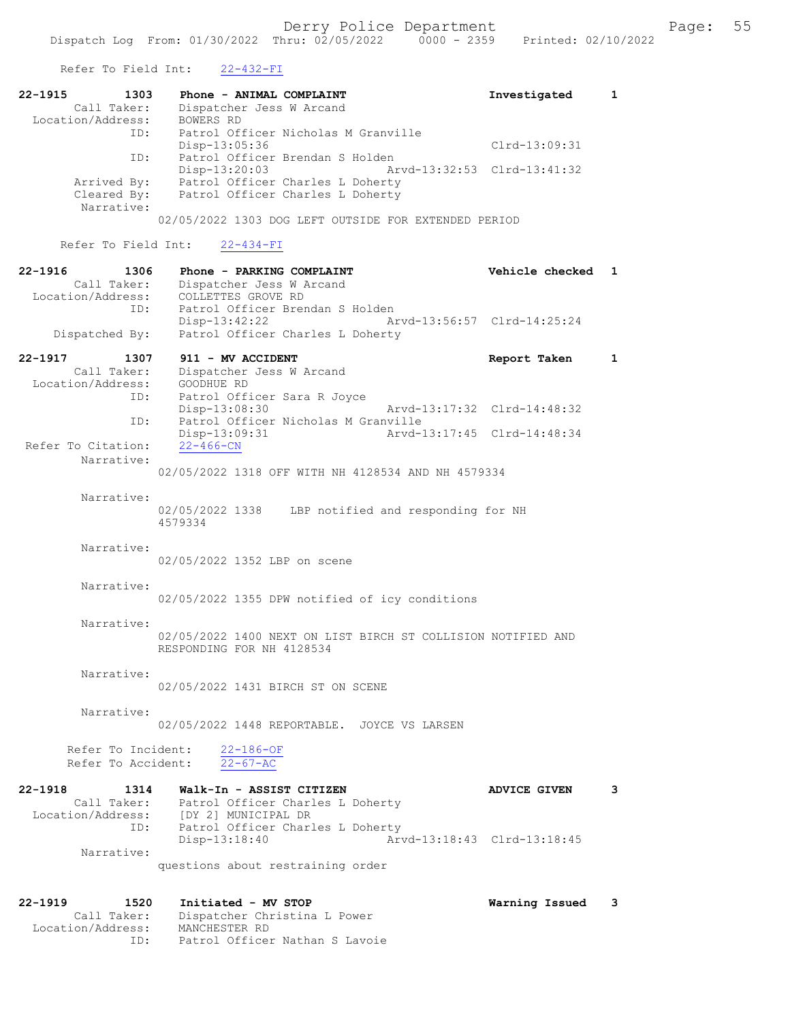Refer To Field Int: 22-432-FI

| 22-1915 1303<br>Call Taker:<br>Location/Address: BOWERS RD | Phone - ANIMAL COMPLAINT<br>Dispatcher Jess W Arcand<br>ID: Patrol Officer Nicholas M Granville                     | Investigated 1    |   |
|------------------------------------------------------------|---------------------------------------------------------------------------------------------------------------------|-------------------|---|
|                                                            | Disp-13:05:36                                                                                                       | Clrd-13:09:31     |   |
| ID:                                                        | Patrol Officer Brendan S Holden<br>Disp-13:20:03 Arvd-13:32:53 Clrd-13:41:32                                        |                   |   |
| Narrative:                                                 | Arrived By: Patrol Officer Charles L Doherty<br>Cleared By: Patrol Officer Charles L Doherty                        |                   |   |
|                                                            | 02/05/2022 1303 DOG LEFT OUTSIDE FOR EXTENDED PERIOD                                                                |                   |   |
|                                                            | Refer To Field Int: 22-434-FI                                                                                       |                   |   |
|                                                            | 22-1916 1306 Phone - PARKING COMPLAINT                                                                              | Vehicle checked 1 |   |
|                                                            | Call Taker: Dispatcher Jess W Arcand<br>Location/Address: COLLETTES GROVE RD<br>ID: Patrol Officer Brendan S Holden |                   |   |
|                                                            | Disp-13:42:22 Arvd-13:56:57 Clrd-14:25:24                                                                           |                   |   |
|                                                            | Dispatched By: Patrol Officer Charles L Doherty                                                                     |                   |   |
| Location/Address:                                          | 22-1917 1307 911 - MV ACCIDENT<br>Call Taker: Dispatcher Jess W Arcand<br>GOODHUE RD                                | Report Taken      | 1 |

ID: Patrol Officer Sara R Joyce<br>Disp-13:08:30 Disp-13:08:30 Arvd-13:17:32 Clrd-14:48:32 ID: Patrol Officer Nicholas M Granville Disp-13:09:31 Arvd-13:17:45 Clrd-14:48:34 Refer To Citation: Narrative:

02/05/2022 1318 OFF WITH NH 4128534 AND NH 4579334

 Narrative: 02/05/2022 1338 LBP notified and responding for NH 4579334

Narrative:

02/05/2022 1352 LBP on scene

Narrative:

02/05/2022 1355 DPW notified of icy conditions

Narrative:

02/05/2022 1400 NEXT ON LIST BIRCH ST COLLISION NOTIFIED AND RESPONDING FOR NH 4128534

Narrative:

02/05/2022 1431 BIRCH ST ON SCENE

Narrative:

02/05/2022 1448 REPORTABLE. JOYCE VS LARSEN

Refer To Incident:  $\frac{22-186-OF}{22-67-AC}$ Refer To Accident:

22-1918 1314 Walk-In - ASSIST CITIZEN ADVICE GIVEN 3<br>Call Taker: Patrol Officer Charles L Doherty Call Taker: Patrol Officer Charles L Doherty<br>Location/Address: [DY 2] MUNICIPAL DR Location/Address: [DY 2] MUNICIPAL DR ID: Patrol Officer Charles L Doherty<br>Disp-13:18:40 Arv Disp-13:18:40 Arvd-13:18:43 Clrd-13:18:45 Narrative: questions about restraining order

22-1919 1520 Initiated - MV STOP Warning Issued 3 Call Taker: Dispatcher Christina L Power<br>:ion/Address: MANCHESTER RD Location/Address:<br>ID: Patrol Officer Nathan S Lavoie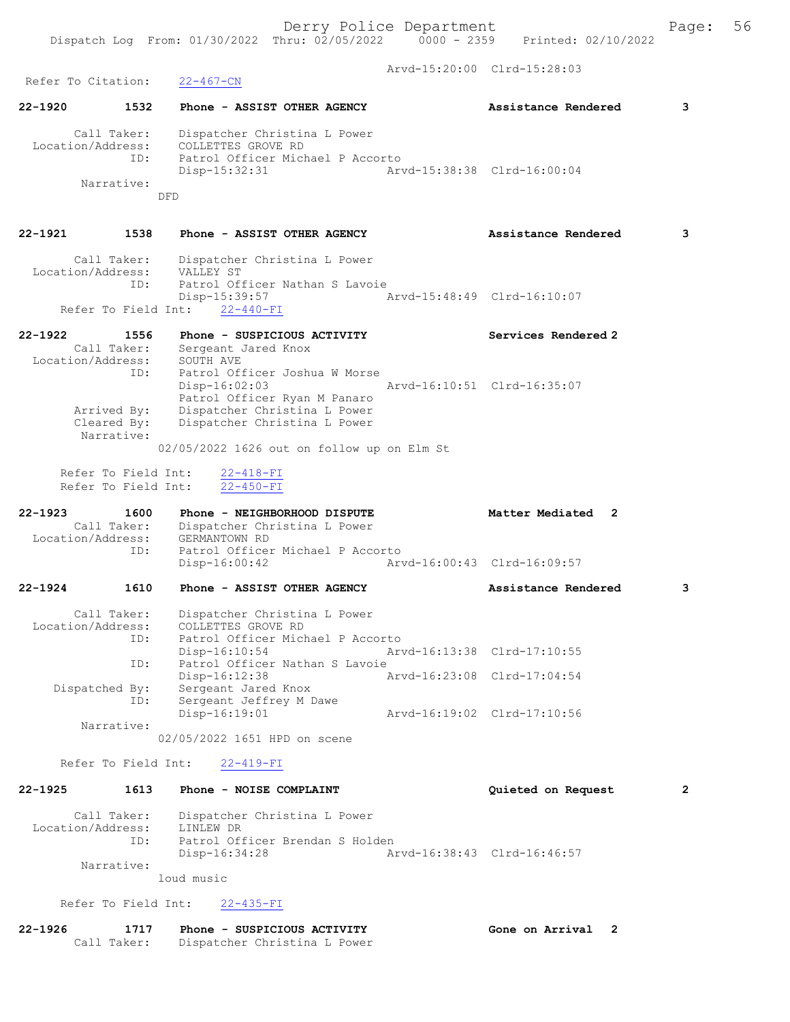Arvd-15:20:00 Clrd-15:28:03 Refer To Citation: 22-467-CN 22-1920 1532 Phone - ASSIST OTHER AGENCY Assistance Rendered 3 Call Taker: Dispatcher Christina L Power Location/Address: COLLETTES GROVE RD ID: Patrol Officer Michael P Accorto Disp-15:32:31 Arvd-15:38:38 Clrd-16:00:04 Narrative: DFD 22-1921 1538 Phone - ASSIST OTHER AGENCY Assistance Rendered 3 Call Taker: Dispatcher Christina L Power Location/Address: VALLEY ST ress: УАДДЕ ЭТ<br>ID: Patrol Officer Nathan S Lavoie Disp-15:39:57 Arvd-15:48:49 Clrd-16:10:07 Refer To Field Int: 22-440-FI 22-1922 1556 Phone - SUSPICIOUS ACTIVITY Services Rendered 2 Call Taker: Sergeant Jared Knox Location/Address: SOUTH AVE ID: Patrol Officer Joshua W Morse Disp-16:02:03 Arvd-16:10:51 Clrd-16:35:07 Patrol Officer Ryan M Panaro Arrived By: Dispatcher Christina L Power Cleared By: Dispatcher Christina L Power Narrative: 02/05/2022 1626 out on follow up on Elm St Refer To Field Int: 22-418-FI Refer To Field Int: 22-450-FI 22-1923 1600 Phone - NEIGHBORHOOD DISPUTE 10 Matter Mediated 2 Call Taker: Dispatcher Christina L Power<br>cation/Address: GERMANTOWN RD Location/Address:<br>ID: ID: Patrol Officer Michael P Accorto Disp-16:00:42 Arvd-16:00:43 Clrd-16:09:57 22-1924 1610 Phone - ASSIST OTHER AGENCY Assistance Rendered 3 Call Taker: Dispatcher Christina L Power Location/Address: COLLETTES GROVE RD ID: Patrol Officer Michael P Accorto Disp-16:10:54 Arvd-16:13:38 Clrd-17:10:55 ID: Patrol Officer Nathan S Lavoie<br>Disp-16:12:38 A Arvd-16:23:08 Clrd-17:04:54 Dispatched By: Sergeant Jared Knox ID: Sergeant Jeffrey M Dawe Disp-16:19:01 Arvd-16:19:02 Clrd-17:10:56 Narrative: 02/05/2022 1651 HPD on scene Refer To Field Int: 22-419-FI 22-1925 1613 Phone - NOISE COMPLAINT Quieted on Request 2 Call Taker: Dispatcher Christina L Power Location/Address: LINLEW DR ID: Patrol Officer Brendan S Holden<br>Disp-16:34:28 Ar Disp-16:34:28 Arvd-16:38:43 Clrd-16:46:57 Narrative: loud music Refer To Field Int: 22-435-FI 22-1926 1717 Phone - SUSPICIOUS ACTIVITY Gone on Arrival 2 Call Taker: Dispatcher Christina L Power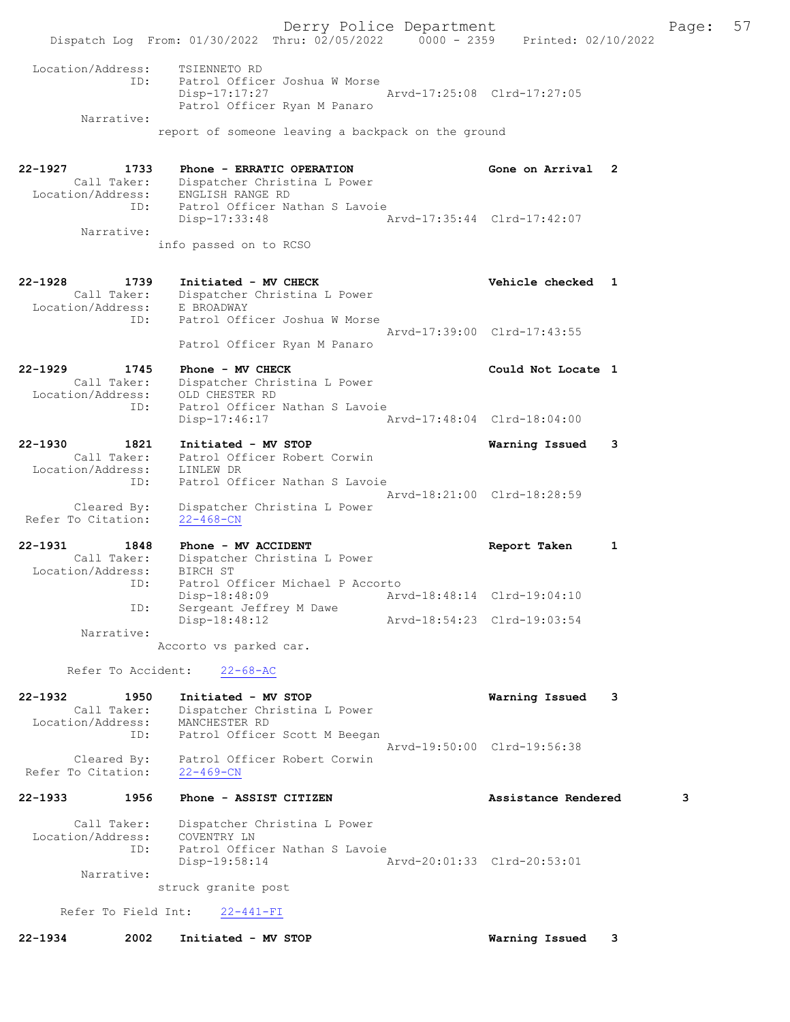Derry Police Department Fage: 57 Dispatch Log From: 01/30/2022 Thru: 02/05/2022 0000 - 2359 Printed: 02/10/2022 Location/Address: TSIENNETO RD ID: Patrol Officer Joshua W Morse Disp-17:17:27 Arvd-17:25:08 Clrd-17:27:05 Patrol Officer Ryan M Panaro Narrative: report of someone leaving a backpack on the ground 22-1927 1733 Phone - ERRATIC OPERATION Gone on Arrival 2 Call Taker: Dispatcher Christina L Power Location/Address: ENGLISH RANGE RD ID: Patrol Officer Nathan S Lavoie<br>Disp-17:33:48 Arvd-17:35:44 Clrd-17:42:07 Disp-17:33:48 Narrative: info passed on to RCSO 22-1928 1739 Initiated - MV CHECK Vehicle checked 1 Call Taker: Dispatcher Christina L Power Location/Address: E BROADWAY ID: Patrol Officer Joshua W Morse Arvd-17:39:00 Clrd-17:43:55 Patrol Officer Ryan M Panaro 22-1929 1745 Phone - MV CHECK Could Not Locate 1 Call Taker: Dispatcher Christina L Power Location/Address: OLD CHESTER RD ID: Patrol Officer Nathan S Lavoie Disp-17:46:17 Arvd-17:48:04 Clrd-18:04:00 22-1930 1821 Initiated - MV STOP Warning Issued 3 Call Taker: Patrol Officer Robert Corwin Location/Address: LINLEW DR ID: Patrol Officer Nathan S Lavoie Arvd-18:21:00 Clrd-18:28:59 Cleared By: Dispatcher Christina L Power Refer To Citation: 22-468-CN 22-1931 1848 Phone - MV ACCIDENT Report Taken 1 Call Taker: Dispatcher Christina L Power Location/Address: BIRCH ST ID: Patrol Officer Michael P Accorto Disp-18:48:09 Arvd-18:48:14 Clrd-19:04:10 ID: Sergeant Jeffrey M Dawe Disp-18:48:12 Arvd-18:54:23 Clrd-19:03:54 Narrative: Accorto vs parked car. Refer To Accident: 22-68-AC 22-1932 1950 Initiated - MV STOP Warning Issued 3 Call Taker: Dispatcher Christina L Power Location/Address: MANCHESTER RD ID: Patrol Officer Scott M Beegan Arvd-19:50:00 Clrd-19:56:38 Cleared By: Patrol Officer Robert Corwin Refer To Citation: 22-469-CN 22-1933 1956 Phone - ASSIST CITIZEN Assistance Rendered 3 Call Taker: Dispatcher Christina L Power Location/Address: COVENTRY LN ID: Patrol Officer Nathan S Lavoie Disp-19:58:14 Arvd-20:01:33 Clrd-20:53:01 Narrative: struck granite post Refer To Field Int: 22-441-FI

22-1934 2002 Initiated - MV STOP Warning Issued 3